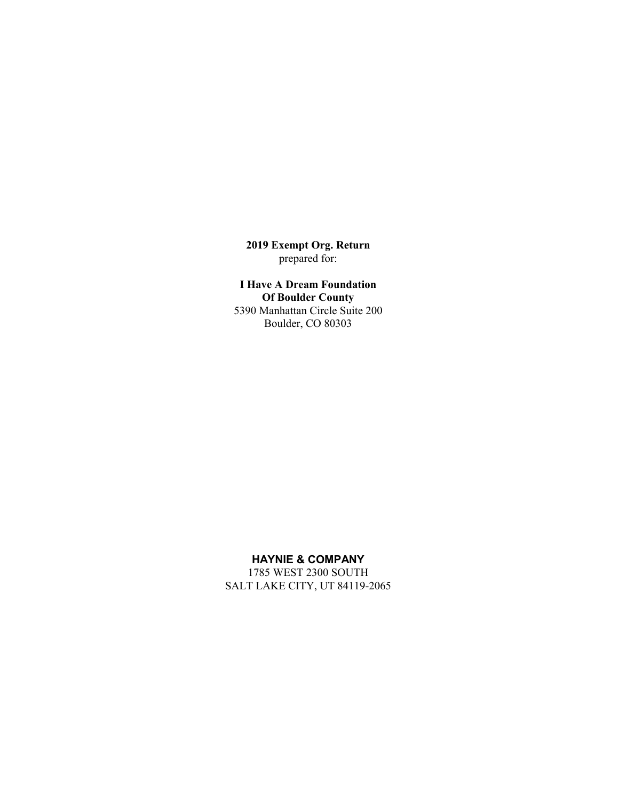**2019 Exempt Org. Return** prepared for:

**I Have A Dream Foundation Of Boulder County** 5390 Manhattan Circle Suite 200 Boulder, CO 80303

## **HAYNIE & COMPANY**

1785 WEST 2300 SOUTH SALT LAKE CITY, UT 84119-2065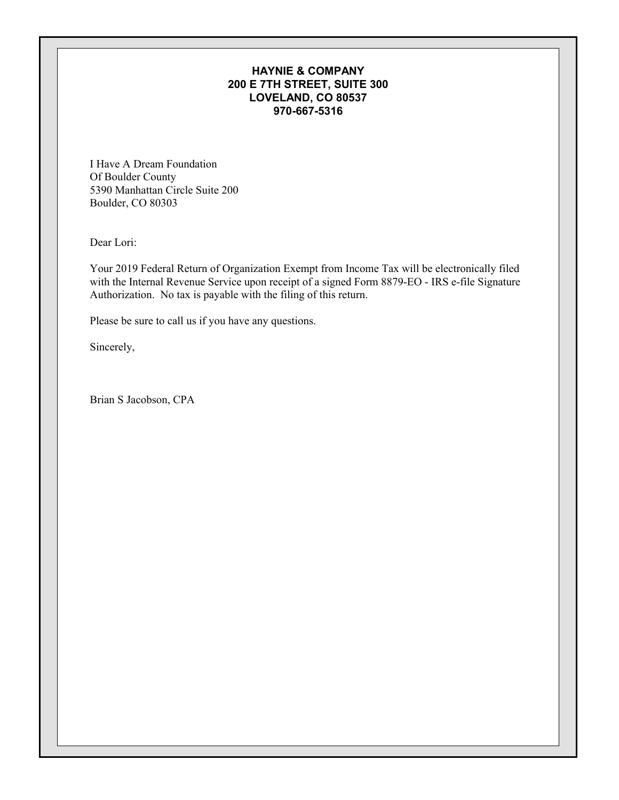## **HAYNIE & COMPANY 200 E 7TH STREET, SUITE 300 LOVELAND, CO 80537 970-667-5316**

I Have A Dream Foundation Of Boulder County 5390 Manhattan Circle Suite 200 Boulder, CO 80303

Dear Lori:

Your 2019 Federal Return of Organization Exempt from Income Tax will be electronically filed with the Internal Revenue Service upon receipt of a signed Form 8879-EO - IRS e-file Signature Authorization. No tax is payable with the filing of this return.

Please be sure to call us if you have any questions.

Sincerely,

Brian S Jacobson, CPA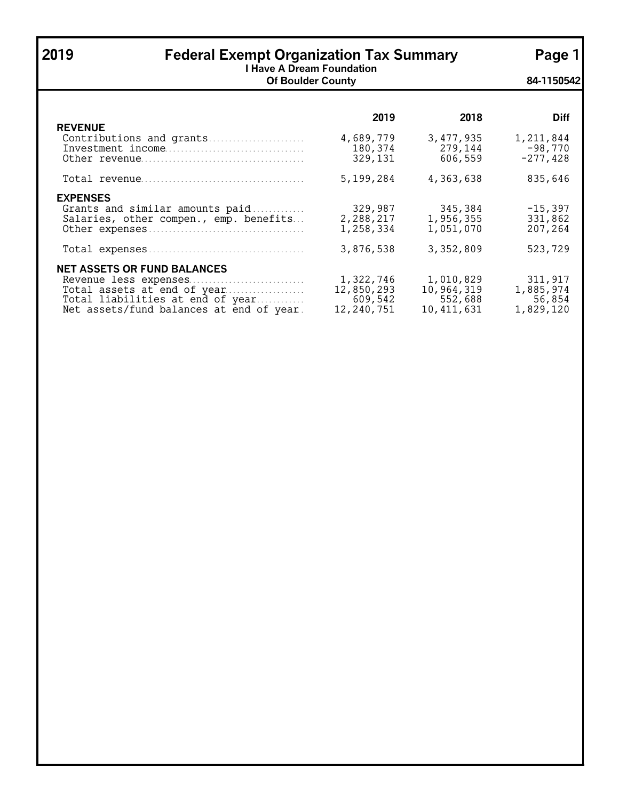| 2019                                                                                                                                                                       | <b>Federal Exempt Organization Tax Summary</b><br><b>I Have A Dream Foundation</b> |                                                    |                                             |  |  |  |
|----------------------------------------------------------------------------------------------------------------------------------------------------------------------------|------------------------------------------------------------------------------------|----------------------------------------------------|---------------------------------------------|--|--|--|
|                                                                                                                                                                            | <b>Of Boulder County</b>                                                           |                                                    | 84-1150542                                  |  |  |  |
|                                                                                                                                                                            | 2019                                                                               | 2018                                               | <b>Diff</b>                                 |  |  |  |
| <b>REVENUE</b><br>Contributions and grants                                                                                                                                 | 4,689,779<br>180,374<br>329,131                                                    | 3,477,935<br>279,144<br>606,559                    | 1,211,844<br>$-98,770$<br>$-277,428$        |  |  |  |
|                                                                                                                                                                            | 5,199,284                                                                          | 4,363,638                                          | 835,646                                     |  |  |  |
| <b>EXPENSES</b><br>Grants and similar amounts paid<br>Salaries, other compen., emp. benefits                                                                               | 329,987<br>2,288,217<br>1,258,334                                                  | 345,384<br>1,956,355<br>1,051,070                  | $-15,397$<br>331,862<br>207,264             |  |  |  |
|                                                                                                                                                                            | 3,876,538                                                                          | 3,352,809                                          | 523,729                                     |  |  |  |
| <b>NET ASSETS OR FUND BALANCES</b><br>Revenue less expenses<br>Total assets at end of year<br>Total liabilities at end of year<br>Net assets/fund balances at end of year. | 1,322,746<br>12,850,293<br>609,542<br>12,240,751                                   | 1,010,829<br>10,964,319<br>552,688<br>10, 411, 631 | 311,917<br>1,885,974<br>56,854<br>1,829,120 |  |  |  |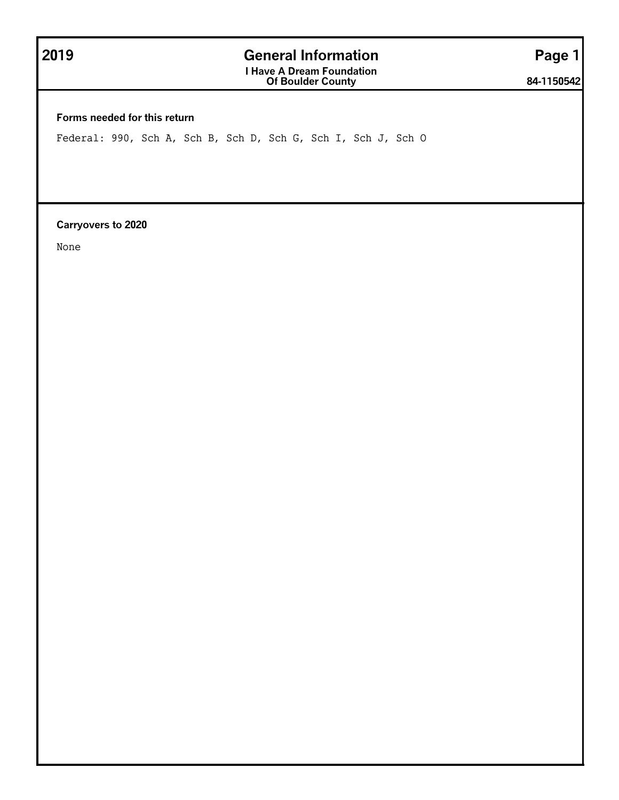# **2019 General Information Page 1**

**I Have A Dream Foundation Of Boulder County 84-1150542**

**Forms needed for this return**

Federal: 990, Sch A, Sch B, Sch D, Sch G, Sch I, Sch J, Sch O

**Carryovers to 2020**

None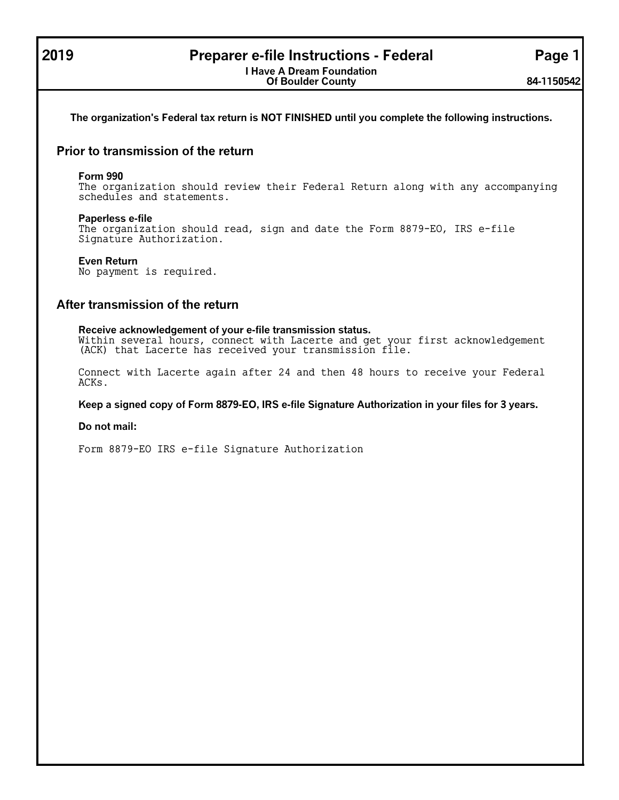## **2019 Preparer e-file Instructions - Federal Page 1**

## **The organization's Federal tax return is NOT FINISHED until you complete the following instructions.**

## **Prior to transmission of the return**

#### **Form 990**

The organization should review their Federal Return along with any accompanying schedules and statements.

#### **Paperless e-file**

The organization should read, sign and date the Form 8879-EO, IRS e-file Signature Authorization.

## **Even Return**

No payment is required.

## **After transmission of the return**

**Receive acknowledgement of your e-file transmission status.** Within several hours, connect with Lacerte and get your first acknowledgement (ACK) that Lacerte has received your transmission file.

Connect with Lacerte again after 24 and then 48 hours to receive your Federal ACKs.

**Keep a signed copy of Form 8879-EO, IRS e-file Signature Authorization in your files for 3 years.**

#### **Do not mail:**

Form 8879-EO IRS e-file Signature Authorization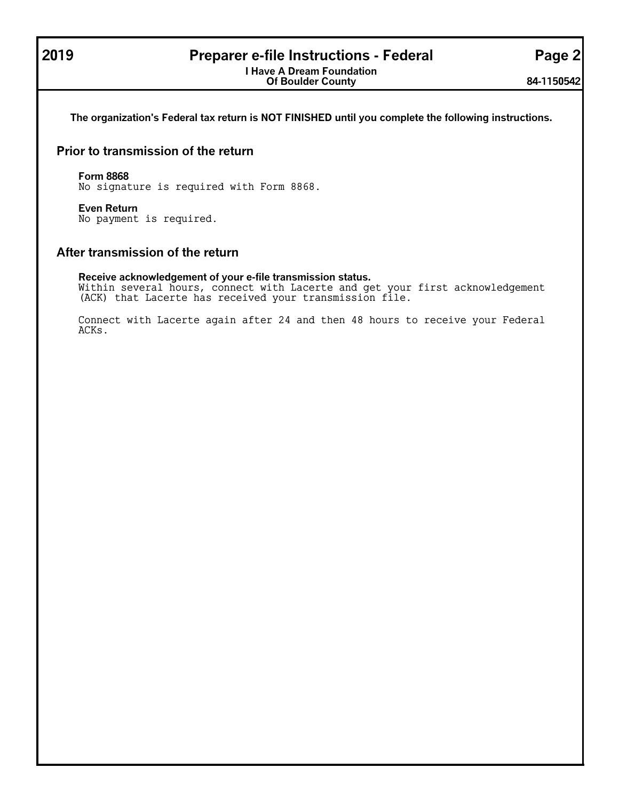## **2019 Preparer e-file Instructions - Federal Page 2**

**I Have A Dream Foundation Of Boulder County 84-1150542**

**The organization's Federal tax return is NOT FINISHED until you complete the following instructions.**

## **Prior to transmission of the return**

#### **Form 8868**

No signature is required with Form 8868.

#### **Even Return**

No payment is required.

## **After transmission of the return**

#### **Receive acknowledgement of your e-file transmission status.**

Within several hours, connect with Lacerte and get your first acknowledgement (ACK) that Lacerte has received your transmission file.

Connect with Lacerte again after 24 and then 48 hours to receive your Federal ACKs.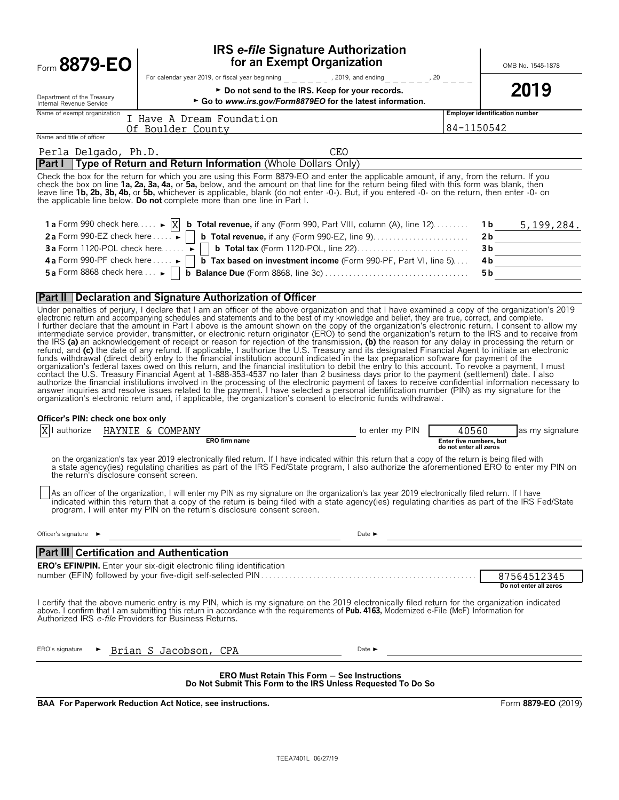| Form 8879-EO                                           |                                                                                                                                                                                                                                                                                                                                                                                                                                                                                                                                                                                                                                                                                                                                                                                                                                                                                                                                                                                                                                                                                                                                                                                                                                                                                                                                                                                                                                                                                                                                                             | <b>IRS e-file Signature Authorization</b><br>for an Exempt Organization                                             | OMB No. 1545-1878                                   |
|--------------------------------------------------------|-------------------------------------------------------------------------------------------------------------------------------------------------------------------------------------------------------------------------------------------------------------------------------------------------------------------------------------------------------------------------------------------------------------------------------------------------------------------------------------------------------------------------------------------------------------------------------------------------------------------------------------------------------------------------------------------------------------------------------------------------------------------------------------------------------------------------------------------------------------------------------------------------------------------------------------------------------------------------------------------------------------------------------------------------------------------------------------------------------------------------------------------------------------------------------------------------------------------------------------------------------------------------------------------------------------------------------------------------------------------------------------------------------------------------------------------------------------------------------------------------------------------------------------------------------------|---------------------------------------------------------------------------------------------------------------------|-----------------------------------------------------|
|                                                        | For calendar year 2019, or fiscal year beginning $\begin{array}{c} \begin{array}{c} \n-1 \\ -2\n\end{array}$ , 2019, and ending $\begin{array}{c} \n-1 \\ -2\n\end{array}$                                                                                                                                                                                                                                                                                                                                                                                                                                                                                                                                                                                                                                                                                                                                                                                                                                                                                                                                                                                                                                                                                                                                                                                                                                                                                                                                                                                  | ► Do not send to the IRS. Keep for your records.                                                                    | 2019                                                |
| Department of the Treasury<br>Internal Revenue Service |                                                                                                                                                                                                                                                                                                                                                                                                                                                                                                                                                                                                                                                                                                                                                                                                                                                                                                                                                                                                                                                                                                                                                                                                                                                                                                                                                                                                                                                                                                                                                             | ► Go to www.irs.gov/Form8879EO for the latest information.                                                          |                                                     |
| Name of exempt organization                            | I Have A Dream Foundation<br>Of Boulder County                                                                                                                                                                                                                                                                                                                                                                                                                                                                                                                                                                                                                                                                                                                                                                                                                                                                                                                                                                                                                                                                                                                                                                                                                                                                                                                                                                                                                                                                                                              |                                                                                                                     | Employer identification number<br>84-1150542        |
| Name and title of officer                              |                                                                                                                                                                                                                                                                                                                                                                                                                                                                                                                                                                                                                                                                                                                                                                                                                                                                                                                                                                                                                                                                                                                                                                                                                                                                                                                                                                                                                                                                                                                                                             |                                                                                                                     |                                                     |
| Perla Delgado, Ph.D.                                   | <b>Part I</b> Type of Return and Return Information (Whole Dollars Only)                                                                                                                                                                                                                                                                                                                                                                                                                                                                                                                                                                                                                                                                                                                                                                                                                                                                                                                                                                                                                                                                                                                                                                                                                                                                                                                                                                                                                                                                                    | CEO                                                                                                                 |                                                     |
|                                                        | Check the box for the return for which you are using this Form 8879-EO and enter the applicable amount, if any, from the return. If you<br>check the box on line 1a, 2a, 3a, 4a, or 5a, below, and the amount on that line for the return being filed with this form was blank, then<br>leave line 1b, 2b, 3b, 4b, or 5b, whichever is applicable, blank (do not enter -0-). But, if you entered -0- on the return, then enter -0- on<br>the applicable line below. Do not complete more than one line in Part I.                                                                                                                                                                                                                                                                                                                                                                                                                                                                                                                                                                                                                                                                                                                                                                                                                                                                                                                                                                                                                                           |                                                                                                                     |                                                     |
|                                                        | 1 a Form 990 check here $\dots$ $\blacktriangleright$ $X$ b Total revenue, if any (Form 990, Part VIII, column (A), line 12)                                                                                                                                                                                                                                                                                                                                                                                                                                                                                                                                                                                                                                                                                                                                                                                                                                                                                                                                                                                                                                                                                                                                                                                                                                                                                                                                                                                                                                |                                                                                                                     | $1b$ 5, 199, 284.                                   |
|                                                        | 2a Form 990-EZ check here  . ► D <b>b Total revenue</b> , if any (Form 990-EZ, line 9)                                                                                                                                                                                                                                                                                                                                                                                                                                                                                                                                                                                                                                                                                                                                                                                                                                                                                                                                                                                                                                                                                                                                                                                                                                                                                                                                                                                                                                                                      |                                                                                                                     | 2b                                                  |
|                                                        | 4a Form 990-PF check here $\dots \rightarrow$   b Tax based on investment income (Form 990-PF, Part VI, line 5)                                                                                                                                                                                                                                                                                                                                                                                                                                                                                                                                                                                                                                                                                                                                                                                                                                                                                                                                                                                                                                                                                                                                                                                                                                                                                                                                                                                                                                             |                                                                                                                     | 3b<br>4b                                            |
|                                                        | 5a Form 8868 check here $\ldots$   b Balance Due (Form 8868, line 3c) $\ldots$ $\ldots$ $\ldots$ $\ldots$ $\ldots$ $\ldots$ $\ldots$                                                                                                                                                                                                                                                                                                                                                                                                                                                                                                                                                                                                                                                                                                                                                                                                                                                                                                                                                                                                                                                                                                                                                                                                                                                                                                                                                                                                                        |                                                                                                                     | 5b                                                  |
|                                                        |                                                                                                                                                                                                                                                                                                                                                                                                                                                                                                                                                                                                                                                                                                                                                                                                                                                                                                                                                                                                                                                                                                                                                                                                                                                                                                                                                                                                                                                                                                                                                             |                                                                                                                     |                                                     |
|                                                        | <b>Part II Declaration and Signature Authorization of Officer</b><br>Under penalties of perjury, I declare that I am an officer of the above organization and that I have examined a copy of the organization's 2019                                                                                                                                                                                                                                                                                                                                                                                                                                                                                                                                                                                                                                                                                                                                                                                                                                                                                                                                                                                                                                                                                                                                                                                                                                                                                                                                        |                                                                                                                     |                                                     |
|                                                        | electronic return and accompanying schedules and statements and to the best of my knowledge and belief, they are true, correct, and complete.<br>I further declare that the amount in Part I above is the amount shown on the copy of the organization's electronic return. I consent to allow my<br>intermediate service provider, transmitter, or electronic return originator (ERO) to send the organization's return to the IRS and to receive from<br>the IRS (a) an acknowledgement of receipt or reason for rejection of the transmission, (b) the reason for any delay in processing the return or refund, and (c) the date of any refund. If applicable, I authorize the U.S. Tr<br>funds withdrawal (direct debit) entry to the financial institution account indicated in the tax preparation software for payment of the<br>organization's federal taxes owed on this return, and the financial institution to debit the entry to this account. To revoke a payment, I must<br>contact the U.S. Treasury Financial Agent at 1-888-353-4537 no later than 2 business days prior to the payment (settlement) date. I also<br>authorize the financial institutions involved in the processing of the electronic payment of taxes to receive confidential information necessary to<br>answer inquiries and resolve issues related to the payment. I have selected a personal identification number (PIN) as my signature for the<br>organization's electronic return and, if applicable, the organization's consent to electronic funds withdrawal. |                                                                                                                     |                                                     |
| Officer's PIN: check one box only                      |                                                                                                                                                                                                                                                                                                                                                                                                                                                                                                                                                                                                                                                                                                                                                                                                                                                                                                                                                                                                                                                                                                                                                                                                                                                                                                                                                                                                                                                                                                                                                             |                                                                                                                     |                                                     |
|                                                        | $X$ <sup> </sup> authorize $HAYNIE \& COMPANY$<br>ERO firm name                                                                                                                                                                                                                                                                                                                                                                                                                                                                                                                                                                                                                                                                                                                                                                                                                                                                                                                                                                                                                                                                                                                                                                                                                                                                                                                                                                                                                                                                                             |                                                                                                                     | 40560<br>as my signature<br>Enter five numbers, but |
| the return's disclosure consent screen.                | on the organization's tax year 2019 electronically filed return. If I have indicated within this return that a copy of the return is being filed with<br>a state agency(ies) regulating charities as part of the IRS Fed/State program, I also authorize the aforementioned ERO to enter my PIN on<br>As an officer of the organization, I will enter my PIN as my signature on the organization's tax year 2019 electronically filed return. If I have<br>indicated within this return that a copy of the return is being filed with a state agency(ies) regulating charities as part of the IRS Fed/State program, I will enter my PIN on the return's disclosure consent screen.                                                                                                                                                                                                                                                                                                                                                                                                                                                                                                                                                                                                                                                                                                                                                                                                                                                                         |                                                                                                                     | do not enter all zeros                              |
| Officer's signature ►                                  |                                                                                                                                                                                                                                                                                                                                                                                                                                                                                                                                                                                                                                                                                                                                                                                                                                                                                                                                                                                                                                                                                                                                                                                                                                                                                                                                                                                                                                                                                                                                                             | Date $\blacktriangleright$                                                                                          |                                                     |
| <b>Part III Certification and Authentication</b>       |                                                                                                                                                                                                                                                                                                                                                                                                                                                                                                                                                                                                                                                                                                                                                                                                                                                                                                                                                                                                                                                                                                                                                                                                                                                                                                                                                                                                                                                                                                                                                             |                                                                                                                     |                                                     |
|                                                        | <b>ERO's EFIN/PIN.</b> Enter your six-digit electronic filing identification                                                                                                                                                                                                                                                                                                                                                                                                                                                                                                                                                                                                                                                                                                                                                                                                                                                                                                                                                                                                                                                                                                                                                                                                                                                                                                                                                                                                                                                                                |                                                                                                                     |                                                     |
|                                                        |                                                                                                                                                                                                                                                                                                                                                                                                                                                                                                                                                                                                                                                                                                                                                                                                                                                                                                                                                                                                                                                                                                                                                                                                                                                                                                                                                                                                                                                                                                                                                             |                                                                                                                     | 87564512345<br>Do not enter all zeros               |
| Authorized IRS e-file Providers for Business Returns.  | I certify that the above numeric entry is my PIN, which is my signature on the 2019 electronically filed return for the organization indicated<br>above. I confirm that I am submitting this return in accordance with the requirements of Pub. 4163, Modernized e-File (MeF) Information for                                                                                                                                                                                                                                                                                                                                                                                                                                                                                                                                                                                                                                                                                                                                                                                                                                                                                                                                                                                                                                                                                                                                                                                                                                                               |                                                                                                                     |                                                     |
| ERO's signature<br>►                                   | Brian S Jacobson, CPA                                                                                                                                                                                                                                                                                                                                                                                                                                                                                                                                                                                                                                                                                                                                                                                                                                                                                                                                                                                                                                                                                                                                                                                                                                                                                                                                                                                                                                                                                                                                       | Date $\blacktriangleright$                                                                                          |                                                     |
|                                                        |                                                                                                                                                                                                                                                                                                                                                                                                                                                                                                                                                                                                                                                                                                                                                                                                                                                                                                                                                                                                                                                                                                                                                                                                                                                                                                                                                                                                                                                                                                                                                             | <b>ERO Must Retain This Form - See Instructions</b><br>Do Not Submit This Form to the IRS Unless Requested To Do So |                                                     |

**BAA For Paperwork Reduction Act Notice, see instructions.** Form 8879-EO (2019)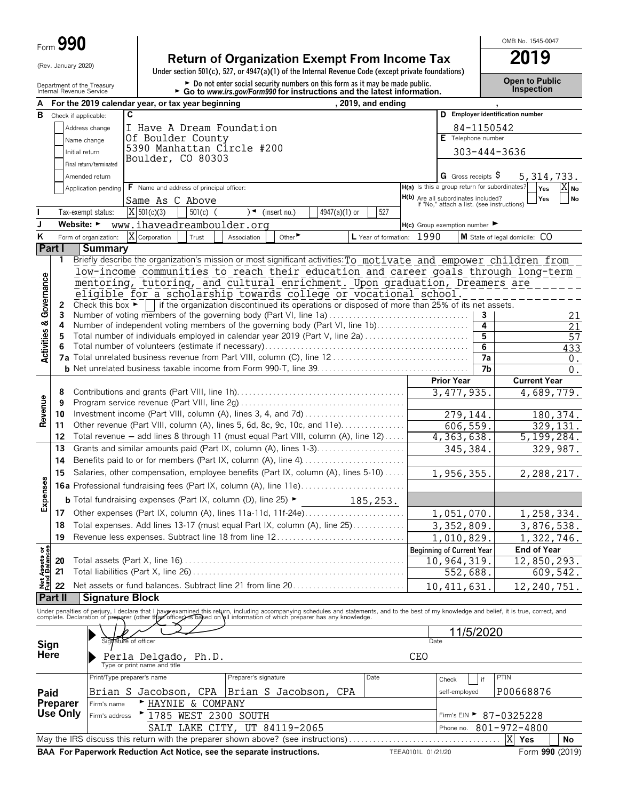| <b>90</b><br>Form $\bar{\bm{\omega}}$ |
|---------------------------------------|

# **Return of Organization Exempt From Income Tax 2019**<br>Under section 501(c), 527, or 4947(a)(1) of the Internal Revenue Code (except private foundations)

Department of the Treasury **and County of the Treasury and County of the County of the County of the County of County of the Donot enter social security numbers on this form as it may be made public. County the Treasury C** 

OMB No. 1545-0047

|                                        |                                                                                                                                               |                                                                                   | For the 2019 calendar year, or tax year beginning                                                                                                                                                                                 |                      |                         |               | , 2019, and ending        |                    |                                                                                          |                 |                                  |                 |
|----------------------------------------|-----------------------------------------------------------------------------------------------------------------------------------------------|-----------------------------------------------------------------------------------|-----------------------------------------------------------------------------------------------------------------------------------------------------------------------------------------------------------------------------------|----------------------|-------------------------|---------------|---------------------------|--------------------|------------------------------------------------------------------------------------------|-----------------|----------------------------------|-----------------|
| в                                      |                                                                                                                                               | Check if applicable:                                                              | C                                                                                                                                                                                                                                 |                      |                         |               |                           |                    |                                                                                          |                 | D Employer identification number |                 |
|                                        |                                                                                                                                               | Address change                                                                    | I Have A Dream Foundation                                                                                                                                                                                                         |                      |                         |               |                           |                    |                                                                                          | 84-1150542      |                                  |                 |
|                                        |                                                                                                                                               | Name change                                                                       | Of Boulder County                                                                                                                                                                                                                 |                      |                         |               |                           |                    | E Telephone number                                                                       |                 |                                  |                 |
|                                        |                                                                                                                                               | Initial return                                                                    | 5390 Manhattan Circle #200                                                                                                                                                                                                        |                      |                         |               |                           |                    |                                                                                          |                 | 303-444-3636                     |                 |
|                                        |                                                                                                                                               | Final return/terminated                                                           | Boulder, CO 80303                                                                                                                                                                                                                 |                      |                         |               |                           |                    |                                                                                          |                 |                                  |                 |
|                                        |                                                                                                                                               | Amended return                                                                    |                                                                                                                                                                                                                                   |                      |                         |               |                           |                    | G Gross receipts $\varsigma$                                                             |                 |                                  | 5, 314, 733.    |
|                                        |                                                                                                                                               | Application pending                                                               | F Name and address of principal officer:                                                                                                                                                                                          |                      |                         |               |                           |                    | H(a) Is this a group return for subordinates?                                            |                 |                                  | Yes<br>$X_{No}$ |
|                                        |                                                                                                                                               |                                                                                   | Same As C Above                                                                                                                                                                                                                   |                      |                         |               |                           |                    | <b>H(b)</b> Are all subordinates included?<br>If "No," attach a list. (see instructions) |                 |                                  | Yes<br>No       |
|                                        |                                                                                                                                               | Tax-exempt status:                                                                | $X$ 501(c)(3)<br>$501(c)$ (                                                                                                                                                                                                       |                      | $\sqrt{ }$ (insert no.) | 4947(a)(1) or | 527                       |                    |                                                                                          |                 |                                  |                 |
| J                                      |                                                                                                                                               | Website: $\blacktriangleright$                                                    | www.ihaveadreamboulder.org                                                                                                                                                                                                        |                      |                         |               |                           |                    | $H(c)$ Group exemption number $\blacktriangleright$                                      |                 |                                  |                 |
| Κ                                      |                                                                                                                                               | Form of organization:                                                             | X Corporation<br>Trust                                                                                                                                                                                                            | Association          | Other <sup>&gt;</sup>   |               | L Year of formation: 1990 |                    |                                                                                          |                 | M State of legal domicile: CO    |                 |
|                                        | Part I                                                                                                                                        | <b>Summary</b>                                                                    |                                                                                                                                                                                                                                   |                      |                         |               |                           |                    |                                                                                          |                 |                                  |                 |
|                                        | 1.                                                                                                                                            |                                                                                   | Briefly describe the organization's mission or most significant activities: To motivate and empower children from                                                                                                                 |                      |                         |               |                           |                    |                                                                                          |                 |                                  |                 |
|                                        |                                                                                                                                               |                                                                                   | low-income communities to reach their education and career goals through long-term                                                                                                                                                |                      |                         |               |                           |                    |                                                                                          |                 |                                  |                 |
|                                        |                                                                                                                                               |                                                                                   | mentoring, tutoring, and cultural enrichment. Upon graduation, Dreamers are                                                                                                                                                       |                      |                         |               |                           |                    |                                                                                          |                 |                                  |                 |
|                                        |                                                                                                                                               |                                                                                   | eligible for a scholarship towards college or vocational school.                                                                                                                                                                  |                      |                         |               |                           |                    |                                                                                          |                 |                                  |                 |
|                                        | 2                                                                                                                                             |                                                                                   | Check this box $\blacktriangleright$   if the organization discontinued its operations or disposed of more than 25% of its net assets.                                                                                            |                      |                         |               |                           |                    |                                                                                          |                 |                                  |                 |
|                                        | 3                                                                                                                                             |                                                                                   | Number of voting members of the governing body (Part VI, line 1a)                                                                                                                                                                 |                      |                         |               |                           |                    |                                                                                          | 3               |                                  | 21              |
|                                        | 4<br>5                                                                                                                                        |                                                                                   | Number of independent voting members of the governing body (Part VI, line 1b)<br>Total number of individuals employed in calendar year 2019 (Part V, line 2a)                                                                     |                      |                         |               |                           |                    |                                                                                          | 4<br>5          |                                  | 21              |
|                                        | 6                                                                                                                                             |                                                                                   |                                                                                                                                                                                                                                   |                      |                         |               |                           |                    |                                                                                          | $6\overline{6}$ |                                  | 57<br>433       |
| <b>Activities &amp; Governance</b>     |                                                                                                                                               |                                                                                   |                                                                                                                                                                                                                                   |                      |                         |               |                           |                    |                                                                                          | 7a              |                                  | 0.              |
|                                        |                                                                                                                                               |                                                                                   |                                                                                                                                                                                                                                   |                      |                         |               |                           |                    |                                                                                          | 7b              |                                  | $0$ .           |
|                                        |                                                                                                                                               |                                                                                   |                                                                                                                                                                                                                                   |                      |                         |               |                           |                    | <b>Prior Year</b>                                                                        |                 | <b>Current Year</b>              |                 |
|                                        | 8                                                                                                                                             |                                                                                   |                                                                                                                                                                                                                                   |                      |                         |               |                           |                    | 3, 477, 935.                                                                             |                 |                                  | 4,689,779.      |
| Revenue                                | 9                                                                                                                                             |                                                                                   |                                                                                                                                                                                                                                   |                      |                         |               |                           |                    |                                                                                          |                 |                                  |                 |
|                                        | 10                                                                                                                                            |                                                                                   | Investment income (Part VIII, column (A), lines 3, 4, and 7d)                                                                                                                                                                     |                      |                         |               |                           |                    | 279,144.                                                                                 |                 |                                  | 180, 374.       |
|                                        | 11                                                                                                                                            |                                                                                   | Other revenue (Part VIII, column (A), lines 5, 6d, 8c, 9c, 10c, and 11e)                                                                                                                                                          |                      |                         |               |                           |                    | 606, 559.                                                                                |                 |                                  | 329, 131.       |
|                                        | 12                                                                                                                                            |                                                                                   | Total revenue - add lines 8 through 11 (must equal Part VIII, column (A), line 12)                                                                                                                                                |                      |                         |               |                           |                    | 4, 363, 638.                                                                             |                 |                                  | 5, 199, 284.    |
|                                        | Grants and similar amounts paid (Part IX, column (A), lines 1-3)<br>13<br>Benefits paid to or for members (Part IX, column (A), line 4)<br>14 |                                                                                   |                                                                                                                                                                                                                                   |                      |                         |               | 345,384.                  |                    |                                                                                          | 329,987.        |                                  |                 |
|                                        |                                                                                                                                               |                                                                                   |                                                                                                                                                                                                                                   |                      |                         |               |                           |                    |                                                                                          |                 |                                  |                 |
|                                        | 15                                                                                                                                            | Salaries, other compensation, employee benefits (Part IX, column (A), lines 5-10) |                                                                                                                                                                                                                                   |                      |                         |               |                           | 1,956,355.         |                                                                                          |                 | 2,288,217.                       |                 |
|                                        |                                                                                                                                               |                                                                                   |                                                                                                                                                                                                                                   |                      |                         |               |                           |                    |                                                                                          |                 |                                  |                 |
| Expenses                               |                                                                                                                                               |                                                                                   | <b>b</b> Total fundraising expenses (Part IX, column (D), line 25) $\blacktriangleright$                                                                                                                                          |                      |                         |               | 185,253.                  |                    |                                                                                          |                 |                                  |                 |
|                                        | 17                                                                                                                                            |                                                                                   | Other expenses (Part IX, column (A), lines 11a-11d, 11f-24e)                                                                                                                                                                      |                      |                         |               |                           |                    | 1,051,070.                                                                               |                 |                                  | 1,258,334.      |
|                                        | 18                                                                                                                                            |                                                                                   | Total expenses. Add lines 13-17 (must equal Part IX, column (A), line 25)                                                                                                                                                         |                      |                         |               |                           |                    | 3,352,809.                                                                               |                 |                                  | 3,876,538.      |
|                                        | 19                                                                                                                                            |                                                                                   | Revenue less expenses. Subtract line 18 from line 12                                                                                                                                                                              |                      |                         |               |                           |                    | 1,010,829.                                                                               |                 |                                  | 1,322,746.      |
|                                        |                                                                                                                                               |                                                                                   |                                                                                                                                                                                                                                   |                      |                         |               |                           |                    | Beginning of Current Year                                                                |                 | <b>End of Year</b>               |                 |
| <b>Net Assets or<br/>Fund Balances</b> | 20                                                                                                                                            |                                                                                   |                                                                                                                                                                                                                                   |                      |                         |               |                           |                    | 10,964,319.                                                                              |                 |                                  | 12,850,293.     |
|                                        | 21                                                                                                                                            |                                                                                   |                                                                                                                                                                                                                                   |                      |                         |               |                           |                    | 552,688.                                                                                 |                 |                                  | 609,542.        |
|                                        | 22                                                                                                                                            |                                                                                   | Net assets or fund balances. Subtract line 21 from line 20                                                                                                                                                                        |                      |                         |               |                           |                    | 10, 411, 631                                                                             |                 |                                  | 12,240,751.     |
|                                        | Part II                                                                                                                                       | <b>Signature Block</b>                                                            |                                                                                                                                                                                                                                   |                      |                         |               |                           |                    |                                                                                          |                 |                                  |                 |
|                                        |                                                                                                                                               |                                                                                   | Under penalties of perjury, I declare that I have examined this return, including accompanying schedules and statements, and to the best of my knowledge and belief, it is true, correct, and<br>complete. Declaration of prepare |                      |                         |               |                           |                    |                                                                                          |                 |                                  |                 |
|                                        |                                                                                                                                               |                                                                                   |                                                                                                                                                                                                                                   |                      |                         |               |                           |                    |                                                                                          | 11/5/2020       |                                  |                 |
|                                        |                                                                                                                                               |                                                                                   | Signature of officer                                                                                                                                                                                                              |                      |                         |               |                           |                    | Date                                                                                     |                 |                                  |                 |
| Sign<br>Here                           |                                                                                                                                               |                                                                                   | Perla Delgado, Ph.D.                                                                                                                                                                                                              |                      |                         |               |                           | CEO                |                                                                                          |                 |                                  |                 |
|                                        |                                                                                                                                               |                                                                                   | Type or print name and title                                                                                                                                                                                                      |                      |                         |               |                           |                    |                                                                                          |                 |                                  |                 |
|                                        |                                                                                                                                               |                                                                                   | Print/Type preparer's name                                                                                                                                                                                                        | Preparer's signature |                         |               | Date                      |                    | Check                                                                                    | if              | <b>PTIN</b>                      |                 |
| Paid                                   |                                                                                                                                               |                                                                                   | Brian S Jacobson, CPA                                                                                                                                                                                                             |                      | Brian S Jacobson,       | CPA           |                           |                    | self-employed                                                                            |                 | P00668876                        |                 |
|                                        | Preparer                                                                                                                                      | Firm's name                                                                       | ► HAYNIE                                                                                                                                                                                                                          | & COMPANY            |                         |               |                           |                    |                                                                                          |                 |                                  |                 |
|                                        | <b>Use Only</b>                                                                                                                               | Firm's address                                                                    | 1785 WEST 2300 SOUTH                                                                                                                                                                                                              |                      |                         |               |                           |                    |                                                                                          |                 | Firm's EIN ► 87-0325228          |                 |
|                                        |                                                                                                                                               |                                                                                   | SALT LAKE CITY, UT 84119-2065                                                                                                                                                                                                     |                      |                         |               |                           |                    | Phone no.                                                                                |                 | 801-972-4800                     |                 |
|                                        |                                                                                                                                               |                                                                                   | May the IRS discuss this return with the preparer shown above? (see instructions)                                                                                                                                                 |                      |                         |               |                           |                    |                                                                                          |                 | X<br>Yes                         | No              |
|                                        |                                                                                                                                               |                                                                                   | BAA For Paperwork Reduction Act Notice, see the separate instructions.                                                                                                                                                            |                      |                         |               |                           | TEEA0101L 01/21/20 |                                                                                          |                 |                                  | Form 990 (2019) |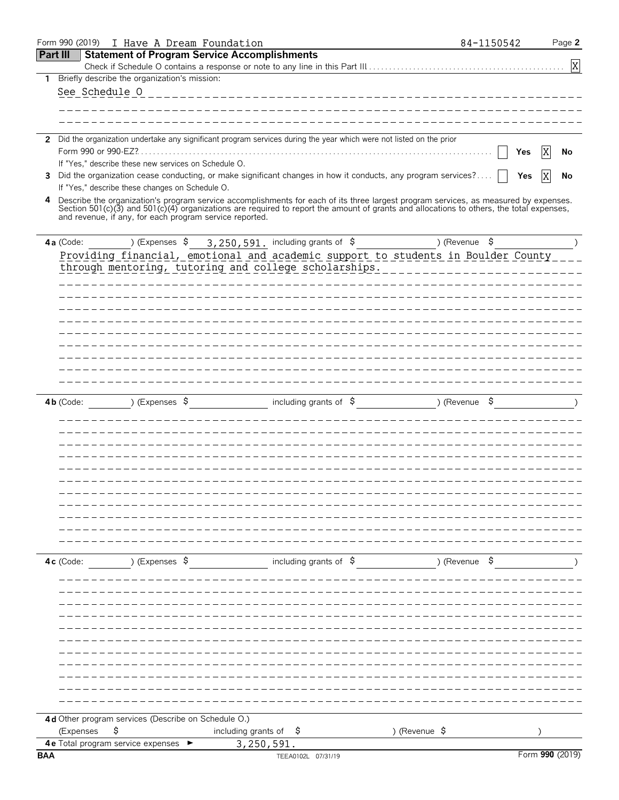|              | Form 990 (2019) I Have A Dream Foundation                              |                                                     |                                   |                                                                                                                                                                                                                                                                                  |                           | 84-1150542    | Page 2          |
|--------------|------------------------------------------------------------------------|-----------------------------------------------------|-----------------------------------|----------------------------------------------------------------------------------------------------------------------------------------------------------------------------------------------------------------------------------------------------------------------------------|---------------------------|---------------|-----------------|
|              | <b>Part III</b>                                                        | <b>Statement of Program Service Accomplishments</b> |                                   |                                                                                                                                                                                                                                                                                  |                           |               |                 |
|              |                                                                        |                                                     |                                   |                                                                                                                                                                                                                                                                                  |                           |               | $\mathbf X$     |
| 1            | Briefly describe the organization's mission:                           |                                                     |                                   |                                                                                                                                                                                                                                                                                  |                           |               |                 |
|              | See Schedule 0                                                         |                                                     |                                   | _________________________________                                                                                                                                                                                                                                                |                           |               |                 |
|              |                                                                        |                                                     |                                   |                                                                                                                                                                                                                                                                                  |                           |               |                 |
|              |                                                                        |                                                     |                                   |                                                                                                                                                                                                                                                                                  |                           |               |                 |
| $\mathbf{2}$ |                                                                        |                                                     |                                   | Did the organization undertake any significant program services during the year which were not listed on the prior                                                                                                                                                               |                           |               |                 |
|              | Form 990 or 990-EZ?.                                                   |                                                     |                                   |                                                                                                                                                                                                                                                                                  |                           |               | Χ<br>Yes<br>No  |
|              | If "Yes," describe these new services on Schedule O.                   |                                                     |                                   |                                                                                                                                                                                                                                                                                  |                           |               |                 |
| 3            |                                                                        |                                                     |                                   | Did the organization cease conducting, or make significant changes in how it conducts, any program services?                                                                                                                                                                     |                           |               | X<br>Yes<br>No  |
|              | If "Yes," describe these changes on Schedule O.                        |                                                     |                                   |                                                                                                                                                                                                                                                                                  |                           |               |                 |
| 4            | and revenue, if any, for each program service reported.                |                                                     |                                   | Describe the organization's program service accomplishments for each of its three largest program services, as measured by expenses.<br>Section 501(c)(3) and 501(c)(4) organizations are required to report the amount of grants and allocations to others, the total expenses, |                           |               |                 |
|              | 4a (Code:                                                              | ) (Expenses \$                                      |                                   | 3, 250, 591. including grants of \$                                                                                                                                                                                                                                              |                           | ) (Revenue \$ |                 |
|              |                                                                        |                                                     |                                   | Providing financial, emotional and academic support to students in Boulder County                                                                                                                                                                                                |                           |               |                 |
|              |                                                                        |                                                     |                                   | through mentoring, tutoring and college scholarships.                                                                                                                                                                                                                            |                           |               |                 |
|              |                                                                        |                                                     |                                   |                                                                                                                                                                                                                                                                                  |                           |               |                 |
|              |                                                                        |                                                     |                                   |                                                                                                                                                                                                                                                                                  |                           |               |                 |
|              |                                                                        |                                                     |                                   |                                                                                                                                                                                                                                                                                  |                           |               |                 |
|              |                                                                        |                                                     |                                   |                                                                                                                                                                                                                                                                                  |                           |               |                 |
|              |                                                                        |                                                     |                                   |                                                                                                                                                                                                                                                                                  |                           |               |                 |
|              |                                                                        |                                                     |                                   |                                                                                                                                                                                                                                                                                  |                           |               |                 |
|              |                                                                        |                                                     |                                   |                                                                                                                                                                                                                                                                                  |                           |               |                 |
|              |                                                                        |                                                     |                                   |                                                                                                                                                                                                                                                                                  |                           |               |                 |
|              |                                                                        |                                                     |                                   |                                                                                                                                                                                                                                                                                  |                           |               |                 |
|              |                                                                        |                                                     |                                   |                                                                                                                                                                                                                                                                                  |                           |               |                 |
|              | $4b$ (Code:                                                            | ) (Expenses \$                                      |                                   | including grants of $\sqrt{5}$                                                                                                                                                                                                                                                   | $($ Revenue $\frac{1}{2}$ |               |                 |
|              |                                                                        |                                                     |                                   |                                                                                                                                                                                                                                                                                  |                           |               |                 |
|              |                                                                        |                                                     |                                   |                                                                                                                                                                                                                                                                                  |                           |               |                 |
|              |                                                                        |                                                     |                                   |                                                                                                                                                                                                                                                                                  |                           |               |                 |
|              |                                                                        |                                                     |                                   |                                                                                                                                                                                                                                                                                  |                           |               |                 |
|              |                                                                        |                                                     |                                   |                                                                                                                                                                                                                                                                                  |                           |               |                 |
|              |                                                                        |                                                     |                                   |                                                                                                                                                                                                                                                                                  |                           |               |                 |
|              |                                                                        |                                                     |                                   |                                                                                                                                                                                                                                                                                  |                           |               |                 |
|              |                                                                        |                                                     |                                   |                                                                                                                                                                                                                                                                                  |                           |               |                 |
|              |                                                                        |                                                     |                                   |                                                                                                                                                                                                                                                                                  |                           |               |                 |
|              |                                                                        |                                                     |                                   |                                                                                                                                                                                                                                                                                  |                           |               |                 |
|              |                                                                        |                                                     |                                   |                                                                                                                                                                                                                                                                                  |                           |               |                 |
|              | 4c (Code:                                                              | ) (Expenses \$                                      |                                   | including grants of $\beta$ (Revenue $\beta$                                                                                                                                                                                                                                     |                           |               |                 |
|              |                                                                        |                                                     |                                   |                                                                                                                                                                                                                                                                                  |                           |               |                 |
|              |                                                                        |                                                     |                                   |                                                                                                                                                                                                                                                                                  |                           |               |                 |
|              |                                                                        |                                                     |                                   |                                                                                                                                                                                                                                                                                  |                           |               |                 |
|              |                                                                        |                                                     |                                   |                                                                                                                                                                                                                                                                                  |                           |               |                 |
|              |                                                                        |                                                     |                                   |                                                                                                                                                                                                                                                                                  |                           |               |                 |
|              |                                                                        |                                                     |                                   |                                                                                                                                                                                                                                                                                  |                           |               |                 |
|              |                                                                        |                                                     |                                   |                                                                                                                                                                                                                                                                                  |                           |               |                 |
|              |                                                                        |                                                     |                                   |                                                                                                                                                                                                                                                                                  |                           |               |                 |
|              |                                                                        |                                                     |                                   |                                                                                                                                                                                                                                                                                  |                           |               |                 |
|              |                                                                        |                                                     |                                   |                                                                                                                                                                                                                                                                                  |                           |               |                 |
|              |                                                                        |                                                     |                                   |                                                                                                                                                                                                                                                                                  |                           |               |                 |
|              |                                                                        |                                                     |                                   |                                                                                                                                                                                                                                                                                  |                           |               |                 |
|              | 4d Other program services (Describe on Schedule O.)<br>\$<br>(Expenses |                                                     | including grants of $\frac{1}{2}$ |                                                                                                                                                                                                                                                                                  | ) (Revenue \$             |               |                 |
|              | 4 e Total program service expenses ►                                   |                                                     | 3,250,591.                        |                                                                                                                                                                                                                                                                                  |                           |               |                 |
| <b>BAA</b>   |                                                                        |                                                     |                                   | TEEA0102L 07/31/19                                                                                                                                                                                                                                                               |                           |               | Form 990 (2019) |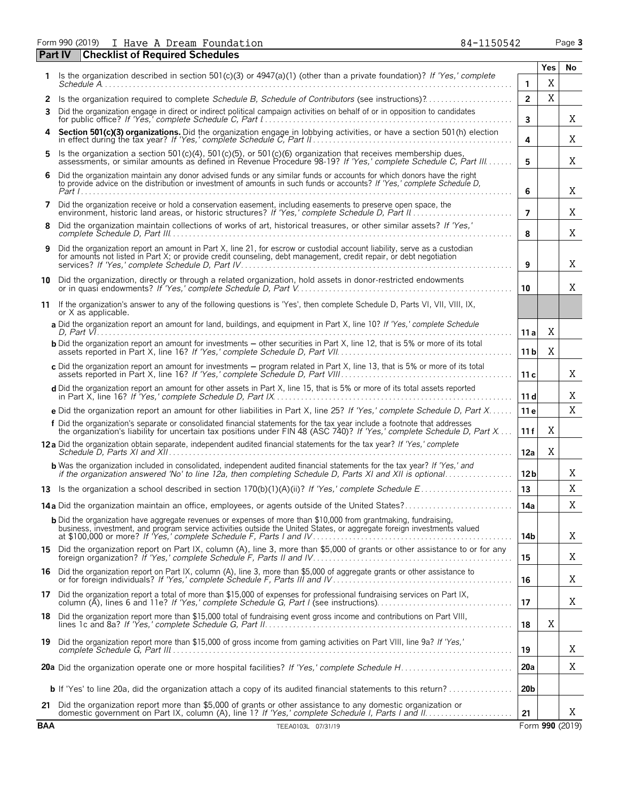Form 990 (2019) I Have A Dream Foundation **84-1150542** Page 3

| Part IV    | <b>Checklist of Required Schedules</b>                                                                                                                                                                                                              |                 |            |                 |
|------------|-----------------------------------------------------------------------------------------------------------------------------------------------------------------------------------------------------------------------------------------------------|-----------------|------------|-----------------|
| 1          | Is the organization described in section 501(c)(3) or 4947(a)(1) (other than a private foundation)? If 'Yes,' complete                                                                                                                              |                 | <b>Yes</b> | No.             |
|            |                                                                                                                                                                                                                                                     | 1               | X          |                 |
| 2          |                                                                                                                                                                                                                                                     | $\overline{2}$  | X          |                 |
| 3          | Did the organization engage in direct or indirect political campaign activities on behalf of or in opposition to candidates                                                                                                                         | 3               |            | Χ               |
| 4          | Section 501(c)(3) organizations. Did the organization engage in lobbying activities, or have a section 501(h) election                                                                                                                              | 4               |            | X               |
| 5          | Is the organization a section 501(c)(4), 501(c)(5), or 501(c)(6) organization that receives membership dues,<br>assessments, or similar amounts as defined in Revenue Procedure 98-19? If 'Yes,' complete Schedule C, Part III                      | 5               |            | Χ               |
| 6          | Did the organization maintain any donor advised funds or any similar funds or accounts for which donors have the right<br>to provide advice on the distribution or investment of amounts in such funds or accounts? If 'Yes,' complete Schedule D,  | 6               |            | Χ               |
| 7          | Did the organization receive or hold a conservation easement, including easements to preserve open space, the                                                                                                                                       | $\overline{7}$  |            | Χ               |
| 8          | Did the organization maintain collections of works of art, historical treasures, or other similar assets? If 'Yes,'                                                                                                                                 | 8               |            | Χ               |
| 9          | Did the organization report an amount in Part X, line 21, for escrow or custodial account liability, serve as a custodian<br>for amounts not listed in Part X; or provide credit counseling, debt management, credit repair, or debt negotiation    | 9               |            | Χ               |
|            | 10 Did the organization, directly or through a related organization, hold assets in donor-restricted endowments                                                                                                                                     | 10              |            | X               |
|            | 11 If the organization's answer to any of the following questions is 'Yes', then complete Schedule D, Parts VI, VII, VIII, IX,<br>or X as applicable.                                                                                               |                 |            |                 |
|            | a Did the organization report an amount for land, buildings, and equipment in Part X, line 10? If 'Yes,' complete Schedule                                                                                                                          | 11 a            | Χ          |                 |
|            | <b>b</b> Did the organization report an amount for investments - other securities in Part X, line 12, that is 5% or more of its total                                                                                                               | 11 <sub>b</sub> | Χ          |                 |
|            | c Did the organization report an amount for investments - program related in Part X, line 13, that is 5% or more of its total                                                                                                                       | 11c             |            | Χ               |
|            | d Did the organization report an amount for other assets in Part X, line 15, that is 5% or more of its total assets reported                                                                                                                        | 11d             |            | Χ               |
|            | e Did the organization report an amount for other liabilities in Part X, line 25? If 'Yes,' complete Schedule D, Part X                                                                                                                             | 11e             |            | X               |
|            | f Did the organization's separate or consolidated financial statements for the tax year include a footnote that addresses<br>the organization's liability for uncertain tax positions under FIN 48 (ASC 740)? If 'Yes,' complete Schedule D, Part X | 11f             | X          |                 |
|            | 12a Did the organization obtain separate, independent audited financial statements for the tax year? If 'Yes,' complete                                                                                                                             | 12a             | X          |                 |
|            | <b>b</b> Was the organization included in consolidated, independent audited financial statements for the tax year? If 'Yes,' and<br>if the organization answered 'No' to line 12a, then completing Schedule D, Parts XI and XII is optional         | 12 <sub>b</sub> |            | Χ               |
|            |                                                                                                                                                                                                                                                     | 13              |            | Χ               |
|            |                                                                                                                                                                                                                                                     | 14a             |            | Χ               |
|            | <b>b</b> Did the organization have aggregate revenues or expenses of more than \$10,000 from grantmaking, fundraising,                                                                                                                              | 14b             |            | X               |
|            | 15 Did the organization report on Part IX, column (A), line 3, more than \$5,000 of grants or other assistance to or for any                                                                                                                        | 15              |            | X               |
| 16         | Did the organization report on Part IX, column (A), line 3, more than \$5,000 of aggregate grants or other assistance to<br>or for foreign individuals? If 'Yes,' complete Schedule F, Parts III and IV                                             | 16              |            | Χ               |
| 17.        | Did the organization report a total of more than \$15,000 of expenses for professional fundraising services on Part IX,                                                                                                                             | 17              |            | Χ               |
| 18         | Did the organization report more than \$15,000 total of fundraising event gross income and contributions on Part VIII,                                                                                                                              | 18              | X          |                 |
| 19         | Did the organization report more than \$15,000 of gross income from gaming activities on Part VIII, line 9a? If 'Yes,'                                                                                                                              | 19              |            | Χ               |
|            |                                                                                                                                                                                                                                                     | 20a             |            | X               |
|            | <b>b</b> If 'Yes' to line 20a, did the organization attach a copy of its audited financial statements to this return?                                                                                                                               | 20 <sub>b</sub> |            |                 |
| 21         | Did the organization report more than \$5,000 of grants or other assistance to any domestic organization or                                                                                                                                         | 21              |            | X               |
| <b>BAA</b> | TEEA0103L 07/31/19                                                                                                                                                                                                                                  |                 |            | Form 990 (2019) |

| Form 990 (2019) |  |  | I Have A Dream Foundatio |
|-----------------|--|--|--------------------------|
|                 |  |  |                          |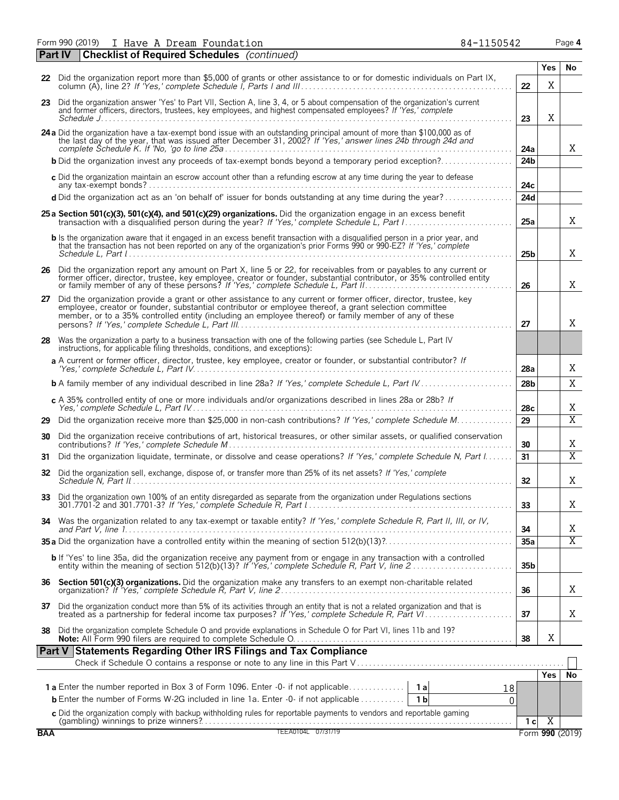Form 990 (2019) I Have A Dream Foundation 84-1150542 Page **4** I Have A Dream Foundation 84-1150542

|            | <b>Checklist of Required Schedules</b> (continued)<br>  Part IV                                                                                                                                                                                                                                                                       |                 |                |                 |
|------------|---------------------------------------------------------------------------------------------------------------------------------------------------------------------------------------------------------------------------------------------------------------------------------------------------------------------------------------|-----------------|----------------|-----------------|
|            | 22 Did the organization report more than \$5,000 of grants or other assistance to or for domestic individuals on Part IX,                                                                                                                                                                                                             |                 | <b>Yes</b>     | No              |
|            |                                                                                                                                                                                                                                                                                                                                       | 22              | X              |                 |
|            | 23 Did the organization answer 'Yes' to Part VII, Section A, line 3, 4, or 5 about compensation of the organization's current<br>and former officers, directors, trustees, key employees, and highest compensated employees? If 'Yes,' complete                                                                                       | 23              | X              |                 |
|            | 24 a Did the organization have a tax-exempt bond issue with an outstanding principal amount of more than \$100,000 as of the last day of the year, that was issued after December 31, 2002? If 'Yes,' answer lines 24b through                                                                                                        | 24a             |                | X               |
|            | <b>b</b> Did the organization invest any proceeds of tax-exempt bonds beyond a temporary period exception?                                                                                                                                                                                                                            | 24 <sub>b</sub> |                |                 |
|            | c Did the organization maintain an escrow account other than a refunding escrow at any time during the year to defease                                                                                                                                                                                                                | 24c             |                |                 |
|            | d Did the organization act as an 'on behalf of' issuer for bonds outstanding at any time during the year?                                                                                                                                                                                                                             | 24d             |                |                 |
|            | 25 a Section 501(c)(3), 501(c)(4), and 501(c)(29) organizations. Did the organization engage in an excess benefit                                                                                                                                                                                                                     | 25a             |                | X               |
|            | <b>b</b> Is the organization aware that it engaged in an excess benefit transaction with a disqualified person in a prior year, and<br>that the transaction has not been reported on any of the organization's prior Forms 990 or 990-EZ? If 'Yes,' complete                                                                          | 25 <sub>b</sub> |                | X               |
|            | 26 Did the organization report any amount on Part X, line 5 or 22, for receivables from or payables to any current or<br>former officer, director, trustee, key employee, creator or founder, substantial contributor, or 35% controlled entity<br>or family member of any of these persons? If 'Yes,' complete Schedule L, Part II   | 26              |                | Χ               |
| 27         | Did the organization provide a grant or other assistance to any current or former officer, director, trustee, key<br>employee, creator or founder, substantial contributor or employee thereof, a grant selection committee<br>member, or to a 35% controlled entity (including an employee thereof) or family member of any of these | 27              |                | X               |
| 28         | Was the organization a party to a business transaction with one of the following parties (see Schedule L, Part IV<br>instructions, for applicable filing thresholds, conditions, and exceptions):                                                                                                                                     |                 |                |                 |
|            | a A current or former officer, director, trustee, key employee, creator or founder, or substantial contributor? If                                                                                                                                                                                                                    | 28a             |                | Χ               |
|            | <b>b</b> A family member of any individual described in line 28a? If 'Yes,' complete Schedule L, Part IV                                                                                                                                                                                                                              | 28 <sub>b</sub> |                | X               |
|            | c A 35% controlled entity of one or more individuals and/or organizations described in lines 28a or 28b? If                                                                                                                                                                                                                           | 28c             |                | Χ               |
| 29         | Did the organization receive more than \$25,000 in non-cash contributions? If 'Yes,' complete Schedule M                                                                                                                                                                                                                              | 29              |                | $\overline{X}$  |
| 30         | Did the organization receive contributions of art, historical treasures, or other similar assets, or qualified conservation                                                                                                                                                                                                           | 30              |                | Χ               |
| 31         | Did the organization liquidate, terminate, or dissolve and cease operations? If 'Yes,' complete Schedule N, Part I                                                                                                                                                                                                                    | 31              |                | $\overline{X}$  |
| 32         | Did the organization sell, exchange, dispose of, or transfer more than 25% of its net assets? If 'Yes,' complete                                                                                                                                                                                                                      | 32              |                | Χ               |
| 33         | Did the organization own 100% of an entity disregarded as separate from the organization under Regulations sections                                                                                                                                                                                                                   | 33              |                | Χ               |
|            | 34 Was the organization related to any tax-exempt or taxable entity? If 'Yes,' complete Schedule R, Part II, III, or IV,                                                                                                                                                                                                              | 34              |                | Χ               |
|            |                                                                                                                                                                                                                                                                                                                                       | 35a             |                | $\overline{X}$  |
|            | b If 'Yes' to line 35a, did the organization receive any payment from or engage in any transaction with a controlled<br>entity within the meaning of section 512(b)(13)? If 'Yes,' complete Schedule R, Part V, line 2                                                                                                                | 35 <sub>b</sub> |                |                 |
|            |                                                                                                                                                                                                                                                                                                                                       | 36              |                | X               |
|            | 37 Did the organization conduct more than 5% of its activities through an entity that is not a related organization and that is treated as a partnership for federal income tax purposes? If 'Yes,' complete Schedule R, Part                                                                                                         | 37              |                | Χ               |
| 38         | Did the organization complete Schedule O and provide explanations in Schedule O for Part VI, lines 11b and 19?                                                                                                                                                                                                                        | 38              | X              |                 |
|            | Part V Statements Regarding Other IRS Filings and Tax Compliance                                                                                                                                                                                                                                                                      |                 |                |                 |
|            |                                                                                                                                                                                                                                                                                                                                       |                 |                | No              |
|            |                                                                                                                                                                                                                                                                                                                                       | 18              | Yes            |                 |
|            | <b>b</b> Enter the number of Forms W-2G included in line 1a. Enter -0- if not applicable<br>1 <sub>b</sub>                                                                                                                                                                                                                            | 0               |                |                 |
|            |                                                                                                                                                                                                                                                                                                                                       |                 |                |                 |
| <b>BAA</b> | C Did the organization comply with backup withholding rules for reportable payments to vendors and reportable gaming<br>(gambling) winnings to prize winners?<br>TEEA0104L 07/31/19                                                                                                                                                   | 1 <sub>c</sub>  | $\overline{X}$ | Form 990 (2019) |
|            |                                                                                                                                                                                                                                                                                                                                       |                 |                |                 |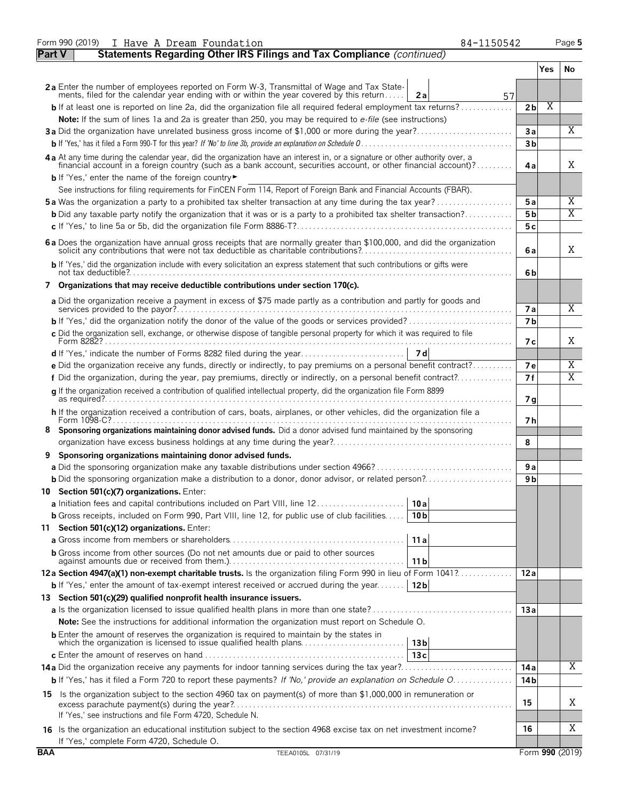|               | Form 990 (2019)<br>84-1150542<br>I Have A Dream Foundation                                                                                                                                                                                       |                       |     | Page 5          |
|---------------|--------------------------------------------------------------------------------------------------------------------------------------------------------------------------------------------------------------------------------------------------|-----------------------|-----|-----------------|
| <b>Part V</b> | Statements Regarding Other IRS Filings and Tax Compliance (continued)                                                                                                                                                                            |                       |     |                 |
|               |                                                                                                                                                                                                                                                  |                       | Yes | No              |
|               | 2a Enter the number of employees reported on Form W-3, Transmittal of Wage and Tax State-                                                                                                                                                        |                       |     |                 |
|               | ments, filed for the calendar year ending with or within the year covered by this return<br>2a<br>57                                                                                                                                             |                       |     |                 |
|               | <b>b</b> If at least one is reported on line 2a, did the organization file all required federal employment tax returns?                                                                                                                          | 2 <sub>b</sub>        | X   |                 |
|               | Note: If the sum of lines 1a and 2a is greater than 250, you may be required to e-file (see instructions)<br>3a Did the organization have unrelated business gross income of \$1,000 or more during the year?                                    | 3a                    |     | $\overline{X}$  |
|               |                                                                                                                                                                                                                                                  | 3 <sub>b</sub>        |     |                 |
|               |                                                                                                                                                                                                                                                  |                       |     |                 |
|               | 4a At any time during the calendar year, did the organization have an interest in, or a signature or other authority over, a<br>financial account in a foreign country (such as a bank account, securities account, or other financial account)? | 4a                    |     | X               |
|               | b If 'Yes,' enter the name of the foreign country<br>See instructions for filing requirements for FinCEN Form 114, Report of Foreign Bank and Financial Accounts (FBAR).                                                                         |                       |     |                 |
|               | <b>5a</b> Was the organization a party to a prohibited tax shelter transaction at any time during the tax year?                                                                                                                                  | 5a                    |     | Χ               |
|               | <b>b</b> Did any taxable party notify the organization that it was or is a party to a prohibited tax shelter transaction?                                                                                                                        | 5 <sub>b</sub>        |     | $\overline{X}$  |
|               |                                                                                                                                                                                                                                                  | 5 c                   |     |                 |
|               |                                                                                                                                                                                                                                                  |                       |     |                 |
|               | 6 a Does the organization have annual gross receipts that are normally greater than \$100,000, and did the organization solicit any contributions that were not tax deductible as charitable contributions?                                      | 6a                    |     | X               |
|               | b If 'Yes,' did the organization include with every solicitation an express statement that such contributions or gifts were                                                                                                                      | 6b                    |     |                 |
|               | 7 Organizations that may receive deductible contributions under section 170(c).                                                                                                                                                                  |                       |     |                 |
|               | a Did the organization receive a payment in excess of \$75 made partly as a contribution and partly for goods and                                                                                                                                |                       |     | X               |
|               |                                                                                                                                                                                                                                                  | 7 a<br>7 <sub>b</sub> |     |                 |
|               | c Did the organization sell, exchange, or otherwise dispose of tangible personal property for which it was required to file                                                                                                                      |                       |     |                 |
|               |                                                                                                                                                                                                                                                  | 7 с                   |     | X               |
|               |                                                                                                                                                                                                                                                  |                       |     |                 |
|               | e Did the organization receive any funds, directly or indirectly, to pay premiums on a personal benefit contract?                                                                                                                                | 7e                    |     | Χ               |
|               | f Did the organization, during the year, pay premiums, directly or indirectly, on a personal benefit contract?                                                                                                                                   | 7f                    |     | X               |
|               | q If the organization received a contribution of qualified intellectual property, did the organization file Form 8899                                                                                                                            | 7 g                   |     |                 |
|               | h If the organization received a contribution of cars, boats, airplanes, or other vehicles, did the organization file a                                                                                                                          | 7 h                   |     |                 |
| 8.            | Sponsoring organizations maintaining donor advised funds. Did a donor advised fund maintained by the sponsoring                                                                                                                                  |                       |     |                 |
|               |                                                                                                                                                                                                                                                  | 8                     |     |                 |
| 9             | Sponsoring organizations maintaining donor advised funds.                                                                                                                                                                                        |                       |     |                 |
|               |                                                                                                                                                                                                                                                  | 9a                    |     |                 |
|               |                                                                                                                                                                                                                                                  | 9 b                   |     |                 |
|               | 10 Section 501(c)(7) organizations. Enter:                                                                                                                                                                                                       |                       |     |                 |
|               | a Initiation fees and capital contributions included on Part VIII, line 12<br>10 a                                                                                                                                                               |                       |     |                 |
|               | b Gross receipts, included on Form 990, Part VIII, line 12, for public use of club facilities<br>10 <sub>b</sub>                                                                                                                                 |                       |     |                 |
|               | 11 Section 501(c)(12) organizations. Enter:                                                                                                                                                                                                      |                       |     |                 |
|               | 11a                                                                                                                                                                                                                                              |                       |     |                 |
|               | <b>b</b> Gross income from other sources (Do not net amounts due or paid to other sources<br>11 <sub>b</sub>                                                                                                                                     |                       |     |                 |
|               | 12a Section 4947(a)(1) non-exempt charitable trusts. Is the organization filing Form 990 in lieu of Form 1041?                                                                                                                                   | 12a                   |     |                 |
|               | <b>b</b> If 'Yes,' enter the amount of tax-exempt interest received or accrued during the year<br>12 <sub>b</sub>                                                                                                                                |                       |     |                 |
|               | 13 Section 501(c)(29) qualified nonprofit health insurance issuers.                                                                                                                                                                              |                       |     |                 |
|               |                                                                                                                                                                                                                                                  | 13a                   |     |                 |
|               | <b>Note:</b> See the instructions for additional information the organization must report on Schedule O.                                                                                                                                         |                       |     |                 |
|               | <b>b</b> Enter the amount of reserves the organization is required to maintain by the states in<br>13 <sub>b</sub>                                                                                                                               |                       |     |                 |
|               | 13c                                                                                                                                                                                                                                              |                       |     |                 |
|               |                                                                                                                                                                                                                                                  | 14 a                  |     | X               |
|               | <b>b</b> If 'Yes,' has it filed a Form 720 to report these payments? If 'No,' provide an explanation on Schedule O                                                                                                                               | 14 <sub>b</sub>       |     |                 |
|               | 15 Is the organization subject to the section 4960 tax on payment(s) of more than \$1,000,000 in remuneration or                                                                                                                                 | 15                    |     | X               |
|               | If 'Yes,' see instructions and file Form 4720, Schedule N.                                                                                                                                                                                       |                       |     |                 |
|               | 16 Is the organization an educational institution subject to the section 4968 excise tax on net investment income?<br>If 'Yes,' complete Form 4720, Schedule O.                                                                                  | 16                    |     | Χ               |
| <b>BAA</b>    | TEEA0105L 07/31/19                                                                                                                                                                                                                               |                       |     | Form 990 (2019) |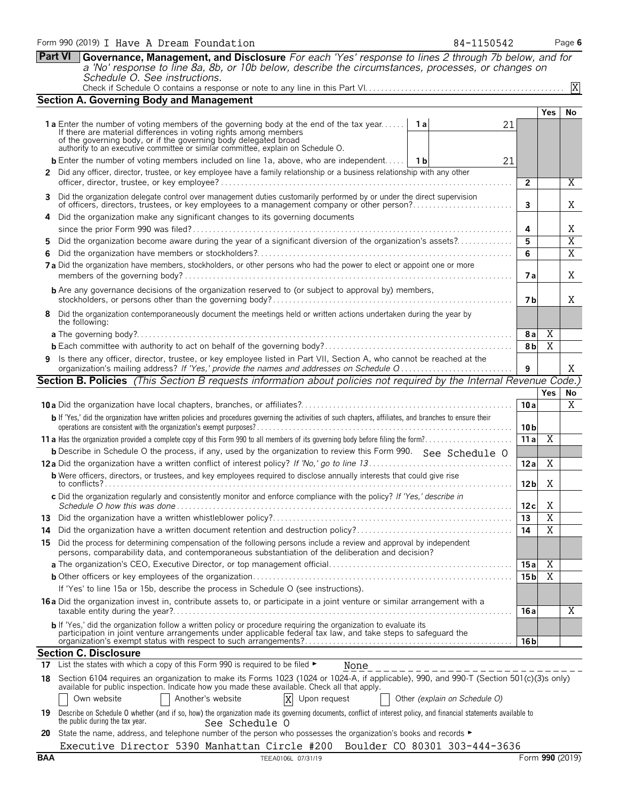| Form 990 (2019) I Have A Dream Foundation                                                                   | 84-1150542 | Page 6 |
|-------------------------------------------------------------------------------------------------------------|------------|--------|
| Part VI Governance, Management, and Disclosure For each 'Yes' response to lines 2 through 7b below, and for |            |        |

*a 'No' response to line 8a, 8b, or 10b below, describe the circumstances, processes, or changes on Schedule O. See instructions.* Check if Schedule O contains a response or note to any line in this Part VI. . . . . . . . . . . . . . . . . . . . . . . . . . . . . . . . . . . . . . . . . . . . . . . . . .

|     | <b>Section A. Governing Body and Management</b>                                                                                                                                                                                                                                                                                |                 |                |                |
|-----|--------------------------------------------------------------------------------------------------------------------------------------------------------------------------------------------------------------------------------------------------------------------------------------------------------------------------------|-----------------|----------------|----------------|
|     |                                                                                                                                                                                                                                                                                                                                |                 | <b>Yes</b>     | No             |
|     | 1a Enter the number of voting members of the governing body at the end of the tax year<br>1 a<br>21<br>If there are material differences in voting rights among members<br>of the governing body, or if the governing body delegated broad<br>authority to an executive committee or similar committee, explain on Schedule O. |                 |                |                |
|     | <b>b</b> Enter the number of voting members included on line 1a, above, who are independent   1b<br>21                                                                                                                                                                                                                         |                 |                |                |
|     | 2 Did any officer, director, trustee, or key employee have a family relationship or a business relationship with any other                                                                                                                                                                                                     |                 |                |                |
|     |                                                                                                                                                                                                                                                                                                                                | $\overline{2}$  |                | Χ              |
|     | 3 Did the organization delegate control over management duties customarily performed by or under the direct supervision                                                                                                                                                                                                        |                 |                |                |
|     | of officers, directors, trustees, or key employees to a management company or other person?                                                                                                                                                                                                                                    | 3               |                | Χ              |
|     | 4 Did the organization make any significant changes to its governing documents                                                                                                                                                                                                                                                 |                 |                |                |
|     |                                                                                                                                                                                                                                                                                                                                | 4               |                | Χ              |
| 5.  | Did the organization become aware during the year of a significant diversion of the organization's assets?                                                                                                                                                                                                                     | 5<br>6          |                | $\overline{X}$ |
| 6.  | 7 a Did the organization have members, stockholders, or other persons who had the power to elect or appoint one or more                                                                                                                                                                                                        |                 |                | $\overline{X}$ |
|     |                                                                                                                                                                                                                                                                                                                                | 7 a             |                | X              |
|     | <b>b</b> Are any governance decisions of the organization reserved to (or subject to approval by) members,                                                                                                                                                                                                                     | 7 b             |                | X              |
|     | 8 Did the organization contemporaneously document the meetings held or written actions undertaken during the year by<br>the following:                                                                                                                                                                                         |                 |                |                |
|     |                                                                                                                                                                                                                                                                                                                                | 8 a             | X              |                |
|     |                                                                                                                                                                                                                                                                                                                                | 8 <sub>b</sub>  | $\overline{X}$ |                |
|     | 9 Is there any officer, director, trustee, or key employee listed in Part VII, Section A, who cannot be reached at the<br>organization's mailing address? If 'Yes,' provide the names and addresses on Schedule Q                                                                                                              | 9               |                | Χ              |
|     | <b>Section B. Policies</b> (This Section B requests information about policies not required by the Internal Revenue Code.)                                                                                                                                                                                                     |                 |                |                |
|     |                                                                                                                                                                                                                                                                                                                                |                 | <b>Yes</b>     | No             |
|     |                                                                                                                                                                                                                                                                                                                                | 10a             |                | X              |
|     | b If 'Yes,' did the organization have written policies and procedures governing the activities of such chapters, affiliates, and branches to ensure their                                                                                                                                                                      | 10 <sub>b</sub> |                |                |
|     |                                                                                                                                                                                                                                                                                                                                | 11a             | $\overline{X}$ |                |
|     | <b>b</b> Describe in Schedule O the process, if any, used by the organization to review this Form 990. See Schedule O                                                                                                                                                                                                          |                 |                |                |
|     |                                                                                                                                                                                                                                                                                                                                | 12a             | Χ              |                |
|     | <b>b</b> Were officers, directors, or trustees, and key employees required to disclose annually interests that could give rise                                                                                                                                                                                                 | 12 <sub>b</sub> | Χ              |                |
|     | c Did the organization regularly and consistently monitor and enforce compliance with the policy? If 'Yes,' describe in                                                                                                                                                                                                        | 12c             | X              |                |
|     |                                                                                                                                                                                                                                                                                                                                | 13              | $\overline{X}$ |                |
| 14. |                                                                                                                                                                                                                                                                                                                                | 14              | $\overline{X}$ |                |
|     | 15 Did the process for determining compensation of the following persons include a review and approval by independent<br>persons, comparability data, and contemporaneous substantiation of the deliberation and decision?                                                                                                     |                 |                |                |
|     |                                                                                                                                                                                                                                                                                                                                | 15 a            | Χ              |                |
|     |                                                                                                                                                                                                                                                                                                                                | 15 <sub>b</sub> | Χ              |                |
|     | If 'Yes' to line 15a or 15b, describe the process in Schedule O (see instructions).                                                                                                                                                                                                                                            |                 |                |                |
|     | <b>16a</b> Did the organization invest in, contribute assets to, or participate in a joint venture or similar arrangement with a                                                                                                                                                                                               | 16 a            |                | Χ              |
|     | b If 'Yes,' did the organization follow a written policy or procedure requiring the organization to evaluate its<br>participation in joint venture arrangements under applicable federal tax law, and take steps to safeguard the                                                                                              |                 |                |                |
|     | <b>Section C. Disclosure</b>                                                                                                                                                                                                                                                                                                   | 16 <sub>b</sub> |                |                |
|     | 17 List the states with which a copy of this Form 990 is required to be filed $\blacktriangleright$<br>None                                                                                                                                                                                                                    |                 |                |                |
|     |                                                                                                                                                                                                                                                                                                                                |                 |                |                |
|     | 18 Section 6104 requires an organization to make its Forms 1023 (1024 or 1024-A, if applicable), 990, and 990-T (Section 501(c)(3)s only)<br>available for public inspection. Indicate how you made these available. Check all that apply.                                                                                     |                 |                |                |
|     | Own website<br>Another's website<br>X<br>Upon request<br>Other (explain on Schedule O)                                                                                                                                                                                                                                         |                 |                |                |
|     | 19 Describe on Schedule O whether (and if so, how) the organization made its governing documents, conflict of interest policy, and financial statements available to                                                                                                                                                           |                 |                |                |

|                                 | 19 Describe on Schedule O whether (and if so, how) the organization made its governing documents, conflict of interest policy, and financial statements available to |  |
|---------------------------------|----------------------------------------------------------------------------------------------------------------------------------------------------------------------|--|
| the public during the tax year. | See Schedule O                                                                                                                                                       |  |
|                                 | $20$ State the name address and telephone number of the nersen who nessesses the erranization's beeks and records                                                    |  |

**20** State the name, address, and telephone number of the person who possesses the organization's books and records ► Executive Director 5390 Manhattan Circle #200 Boulder CO 80301 303-444-3636 X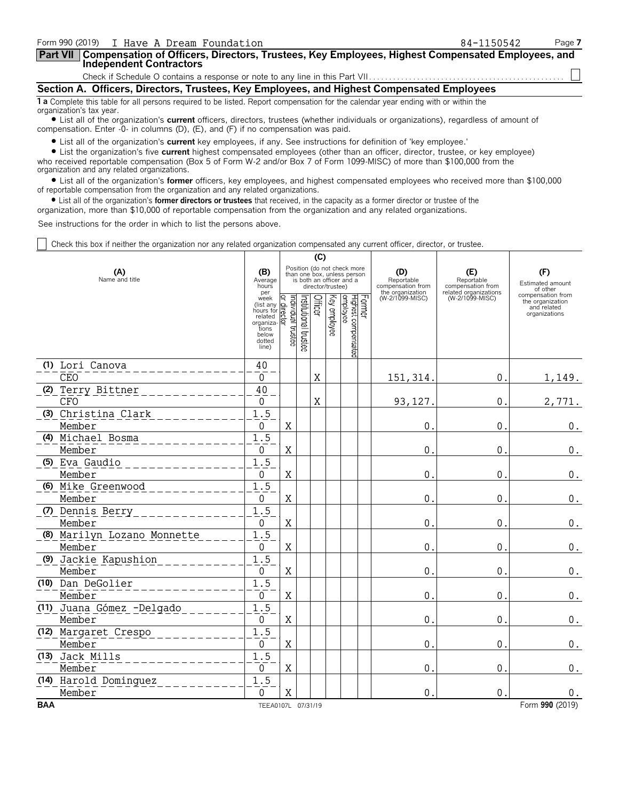| Form 990 (2019) I Have A Dream Foundation                                                                                                                      | 84-1150542 | Page 7 |
|----------------------------------------------------------------------------------------------------------------------------------------------------------------|------------|--------|
| Part VII   Compensation of Officers, Directors, Trustees, Key Employees, Highest Compensated Employees, and<br><b>Independent Contractors</b>                  |            |        |
|                                                                                                                                                                |            |        |
| Section A. Officers, Directors, Trustees, Key Employees, and Highest Compensated Employees                                                                     |            |        |
| 1 a Complete this table for all persons required to be listed. Report compensation for the calendar year ending with or within the<br>organization's tax year. |            |        |

? List all of the organization's **current** officers, directors, trustees (whether individuals or organizations), regardless of amount of compensation. Enter -0- in columns (D), (E), and (F) if no compensation was paid.

? List all of the organization's **current** key employees, if any. See instructions for definition of 'key employee.'

? List the organization's five **current** highest compensated employees (other than an officer, director, trustee, or key employee) who received reportable compensation (Box 5 of Form W-2 and/or Box 7 of Form 1099-MISC) of more than \$100,000 from the organization and any related organizations.

? List all of the organization's **former** officers, key employees, and highest compensated employees who received more than \$100,000 of reportable compensation from the organization and any related organizations.

? List all of the organization's **former directors or trustees** that received, in the capacity as a former director or trustee of the

organization, more than \$10,000 of reportable compensation from the organization and any related organizations.

See instructions for the order in which to list the persons above.

Check this box if neither the organization nor any related organization compensated any current officer, director, or trustee.

|            |                             |                                                                                                                                 |                    |                      | (C)     |                   |                                                                                        |                                                            |                                          |                                                                       |
|------------|-----------------------------|---------------------------------------------------------------------------------------------------------------------------------|--------------------|----------------------|---------|-------------------|----------------------------------------------------------------------------------------|------------------------------------------------------------|------------------------------------------|-----------------------------------------------------------------------|
|            | (A)<br>Name and title       | (B)<br>Average<br>hours<br>per                                                                                                  |                    |                      |         | director/trustee) | Position (do not check more<br>than one box, unless person<br>is both an officer and a | (D)<br>Reportable<br>compensation from<br>the organization | (E)<br>Reportable<br>compensation from   | (F)<br>Estimated amount<br>of other                                   |
|            |                             | week<br>week<br>(list any $\frac{Q}{R}$<br>hours for $\frac{Q}{R}$<br>related<br>organiza-<br>tions<br>below<br>dotted<br>line) | Individual trustee | nstitutional trustee | Officer | Key employee      | Former<br>Highest compensated<br>employee                                              | (W-2/1099-MISC)                                            | related organizations<br>(W-2/1099-MISC) | compensation from<br>the organization<br>and related<br>organizations |
|            | (1) Lori Canova             | $40\,$                                                                                                                          |                    |                      |         |                   |                                                                                        |                                                            |                                          |                                                                       |
| <b>CEO</b> |                             | $\mathbf 0$                                                                                                                     |                    |                      | X       |                   |                                                                                        | 151, 314.                                                  | $\mathbf 0$ .                            | 1,149.                                                                |
|            | (2) Terry Bittner           | $40$                                                                                                                            |                    |                      |         |                   |                                                                                        |                                                            |                                          |                                                                       |
| <b>CFO</b> |                             | $\mathbf 0$                                                                                                                     |                    |                      | X       |                   |                                                                                        | 93,127                                                     | $\mathbf 0$ .                            | 2,771.                                                                |
|            | (3) Christina Clark         | 1.5                                                                                                                             |                    |                      |         |                   |                                                                                        |                                                            |                                          |                                                                       |
|            | Member                      | $\Omega$                                                                                                                        | $\rm X$            |                      |         |                   |                                                                                        | $\mathbf 0$                                                | $\mathbf 0$                              | $0_{\cdot}$                                                           |
|            | (4) Michael Bosma           | 1.5                                                                                                                             |                    |                      |         |                   |                                                                                        |                                                            |                                          |                                                                       |
|            | Member                      | 0                                                                                                                               | $\mathbf X$        |                      |         |                   |                                                                                        | $\mathsf{O}$ .                                             | $\mathbf{0}$                             | $\boldsymbol{0}$ .                                                    |
|            | (5) Eva Gaudio              | 1.5                                                                                                                             |                    |                      |         |                   |                                                                                        |                                                            |                                          |                                                                       |
|            | Member                      | $\mathbf 0$                                                                                                                     | X                  |                      |         |                   |                                                                                        | $\mathbf{0}$                                               | $\mathbf{0}$                             | 0.                                                                    |
|            | (6) Mike Greenwood          | 1.5                                                                                                                             |                    |                      |         |                   |                                                                                        |                                                            |                                          |                                                                       |
|            | Member                      | $\mathbf 0$                                                                                                                     | $\mathbf X$        |                      |         |                   |                                                                                        | $\mathbf{0}$                                               | $\mathbf{0}$                             | $\boldsymbol{0}$ .                                                    |
|            | (7) Dennis Berry            | 1.5                                                                                                                             |                    |                      |         |                   |                                                                                        |                                                            |                                          |                                                                       |
|            | Member                      | $\mathbf 0$                                                                                                                     | Χ                  |                      |         |                   |                                                                                        | $\mathsf 0$                                                | $\mathbf 0$                              | $\boldsymbol{0}$ .                                                    |
|            | (8) Marilyn Lozano Monnette | 1.5                                                                                                                             |                    |                      |         |                   |                                                                                        |                                                            |                                          |                                                                       |
|            | Member                      | 0                                                                                                                               | X                  |                      |         |                   |                                                                                        | $\mathbf 0$                                                | $\mathbf 0$                              | $\boldsymbol{0}$ .                                                    |
|            | (9) Jackie Kapushion        | 1.5                                                                                                                             |                    |                      |         |                   |                                                                                        |                                                            |                                          |                                                                       |
|            | Member                      | $\mathbf 0$                                                                                                                     | $\rm X$            |                      |         |                   |                                                                                        | $\mathbf 0$                                                | $\mathbf 0$                              | $\boldsymbol{0}$ .                                                    |
|            | (10) Dan DeGolier           | 1.5                                                                                                                             |                    |                      |         |                   |                                                                                        |                                                            |                                          |                                                                       |
|            | Member                      | 0                                                                                                                               | X                  |                      |         |                   |                                                                                        | $\mathbf{0}$                                               | $\mathbf 0$ .                            | $\boldsymbol{0}$ .                                                    |
|            | (11) Juana Gómez -Delgado   | 1.5                                                                                                                             |                    |                      |         |                   |                                                                                        |                                                            |                                          |                                                                       |
|            | Member                      | $\mathbf 0$                                                                                                                     | $\mathbf X$        |                      |         |                   |                                                                                        | $\mathbf{0}$ .                                             | $\mathbf{0}$ .                           | $\boldsymbol{0}$ .                                                    |
|            | (12) Margaret Crespo        | 1.5                                                                                                                             |                    |                      |         |                   |                                                                                        |                                                            |                                          |                                                                       |
|            | Member                      | $\mathbf 0$                                                                                                                     | $\mathbf X$        |                      |         |                   |                                                                                        | $\mathbf{0}$ .                                             | $\mathbf{0}$ .                           | $\boldsymbol{0}$ .                                                    |
|            | (13) Jack Mills             | 1.5                                                                                                                             |                    |                      |         |                   |                                                                                        |                                                            |                                          |                                                                       |
|            | Member                      | 0                                                                                                                               | X                  |                      |         |                   |                                                                                        | $\mathbf{0}$ .                                             | $\mathbf{0}$ .                           | $\boldsymbol{0}$ .                                                    |
|            | (14) Harold Dominguez       | 1.5                                                                                                                             |                    |                      |         |                   |                                                                                        |                                                            |                                          |                                                                       |
|            | Member                      | $\Omega$                                                                                                                        | X                  |                      |         |                   |                                                                                        | $\overline{0}$                                             | $\mathbf{0}$                             | $\boldsymbol{0}$ .                                                    |
| <b>BAA</b> |                             | TEEA0107L 07/31/19                                                                                                              |                    |                      |         |                   |                                                                                        |                                                            |                                          | Form 990 (2019)                                                       |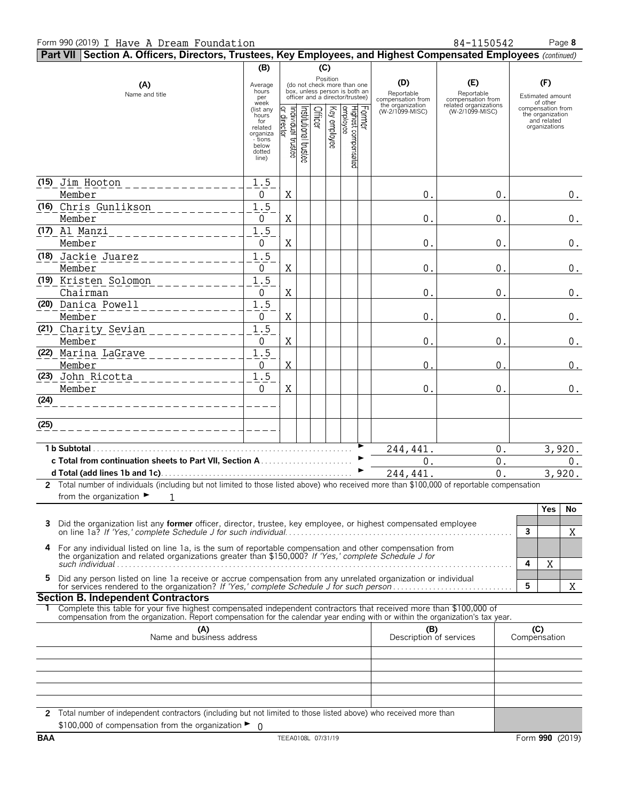#### Form 990 (2019) I Have A Dream Foundation **84-1150542** Page 8

**Part VII Section A. Officers, Directors, Trustees, Key Employees, and Highest Compensated Employees** *(continued)* **(B) (C)** Position<br>(do not check more than one<br>box, unless person is both an Average **(D) (E) (F) (A)** (do not check more than one hours box, unless person is both an Name and title Reportable Reportable per officer and a director/trustee) Estimated amount compensation from compensation from week of other the organization related organizations (list any compensation from (W-2/1099-MISC) (W-2/1099-MISC) hours the organization for and related related 월占등|꼭 글 동원옥 \_ \_ \_ \_ \_ \_ \_ \_ \_ \_ \_ \_ \_ \_ \_ \_ \_ organizations organiza - tions below dotted line) **(15) (16)** Chris Gunlikson 1.5 **(17) (18)** Jackie Juarez 1.5 <u>**(19)** Kristen Solomon \_ \_ \_ \_ \_ \_ \_ \_ \_ \_ 1.5</u> **(20)** Danica Powell 1.5 **(21) (22) (23)** John Ricotta 1.5 **(24) (25) 1 b Subtotal**. . . . . . . . . . . . . . . . . . . . . . . . . . . . . . . . . . . . . . . . . . . . . . . . . . . . . . . . . . . . . . . . . . G **c Total from continuation sheets to Part VII, Section A** . . . . . . . . . . . . . . . . . . . . . . . G **d Total (add lines 1b and 1c)**. . . . . . . . . . . . . . . . . . . . . . . . . . . . . . . . . . . . . . . . . . . . . . . . G **2** Total number of individuals (including but not limited to those listed above) who received more than \$100,000 of reportable compensation from the organization  $\blacktriangleright$ **Yes No 3** Did the organization list any **former** officer, director, trustee, key employee, or highest compensated employee on line 1a? *If 'Yes,' complete Schedule J for such individual*. . . . . . . . . . . . . . . . . . . . . . . . . . . . . . . . . . . . . . . . . . . . . . . . . . . . . . . . . **3 4** For any individual listed on line 1a, is the sum of reportable compensation and other compensation from the organization and related organizations greater than \$150,000? *If 'Yes,' complete Schedule J for*  $\frac{1}{2}$  and  $\frac{1}{2}$  and  $\frac{1}{2}$  and  $\frac{1}{2}$  and  $\frac{1}{2}$  and  $\frac{1}{2}$  and  $\frac{1}{2}$  and  $\frac{1}{2}$  and  $\frac{1}{2}$  and  $\frac{1}{2}$  and  $\frac{1}{2}$  and  $\frac{1}{2}$  and  $\frac{1}{2}$  and  $\frac{1}{2}$  and  $\frac{1}{2}$  and  $\frac{1}{2}$  a 5 Did any person listed on line 1a receive or accrue compensation from any unrelated organization or individual<br>for services rendered to the organization? If 'Yes,' complete Schedule J for such person...................... **Section B. Independent Contractors 1** Complete this table for your five highest compensated independent contractors that received more than \$100,000 of compensation from the organization. Report compensation for the calendar year ending with or within the organization's tax year. **(A) (B) (C)** Name and business address Description of services Compensation **2** Total number of independent contractors (including but not limited to those listed above) who received more than \$100,000 of compensation from the organization ▶  $\Omega$ X X X 1 244,441. 0. 3,920. 244,441. 0. 3,920. 0. 0. 0. Jim Hooton 1.5 Member 0 X 0. 0. 0. Member 0 X 0. 0. 0. Al Manzi 1.5 Member | 0 |X| | | | | | | 0.| 0.| 0.| 0. Member 0 X 0. 0. 0. Chairman 0 X 0. 0. 0. Member 0 X 0. 0. 0. Charity Sevian 1.5 Member 0 X 0. 0. 0. Marina LaGrave 1.5 Member 0 X 0. 0. 0. Member 0 X 0. 0. 0.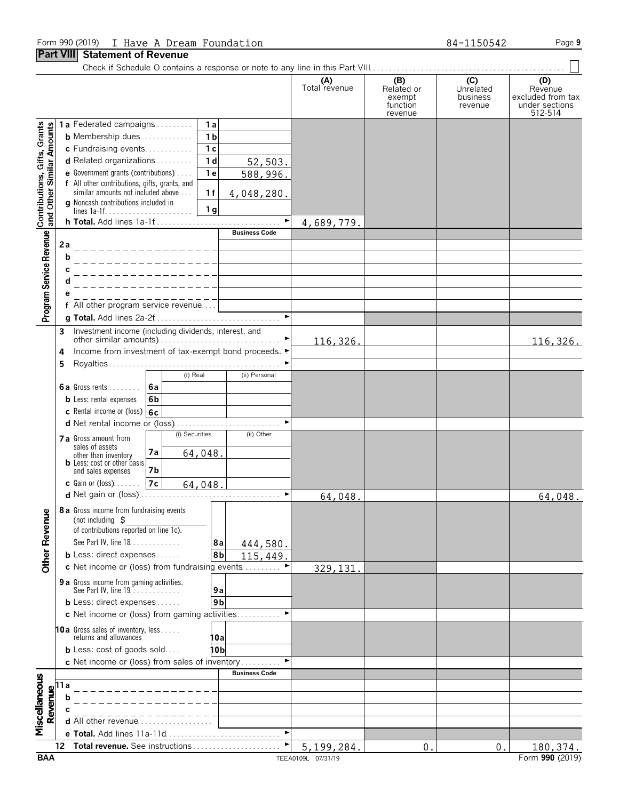#### Form 990 (2019) I Have A Dream Foundation **84-1150542** Page 9

## **Part VIII Statement of Revenue**

|                                           |                                                           |                                                                                           |                       | (A)<br>Total revenue | (B)<br>Related or<br>exempt<br>function<br>revenue | (C)<br>Unrelated<br>business<br>revenue | (D)<br>Revenue<br>excluded from tax<br>under sections<br>512-514 |
|-------------------------------------------|-----------------------------------------------------------|-------------------------------------------------------------------------------------------|-----------------------|----------------------|----------------------------------------------------|-----------------------------------------|------------------------------------------------------------------|
|                                           |                                                           | 1a Federated campaigns<br>1a                                                              |                       |                      |                                                    |                                         |                                                                  |
| Similar Amounts                           |                                                           | 1 <sub>b</sub><br><b>b</b> Membership dues                                                |                       |                      |                                                    |                                         |                                                                  |
|                                           |                                                           | 1 <sub>c</sub><br>c Fundraising events                                                    |                       |                      |                                                    |                                         |                                                                  |
|                                           |                                                           | 1 <sub>d</sub><br>d Related organizations                                                 | 52,503.               |                      |                                                    |                                         |                                                                  |
|                                           |                                                           | 1e<br>e Government grants (contributions)                                                 | 588,996.              |                      |                                                    |                                         |                                                                  |
| Contributions, Gifts, Grants<br>and Other |                                                           | f All other contributions, gifts, grants, and<br>similar amounts not included above<br>1f | 4,048,280.            |                      |                                                    |                                         |                                                                  |
|                                           |                                                           | g Noncash contributions included in<br>1 <sub>g</sub>                                     |                       |                      |                                                    |                                         |                                                                  |
|                                           |                                                           | h Total. Add lines 1a-1f                                                                  | ▶                     | 4,689,779.           |                                                    |                                         |                                                                  |
|                                           |                                                           |                                                                                           | <b>Business Code</b>  |                      |                                                    |                                         |                                                                  |
| Program Service Revenue                   | 2a                                                        |                                                                                           |                       |                      |                                                    |                                         |                                                                  |
|                                           | b                                                         |                                                                                           |                       |                      |                                                    |                                         |                                                                  |
|                                           |                                                           |                                                                                           |                       |                      |                                                    |                                         |                                                                  |
|                                           |                                                           |                                                                                           |                       |                      |                                                    |                                         |                                                                  |
|                                           |                                                           |                                                                                           |                       |                      |                                                    |                                         |                                                                  |
|                                           |                                                           | f All other program service revenue                                                       |                       |                      |                                                    |                                         |                                                                  |
|                                           |                                                           |                                                                                           |                       |                      |                                                    |                                         |                                                                  |
|                                           | 3                                                         | Investment income (including dividends, interest, and                                     |                       |                      |                                                    |                                         |                                                                  |
|                                           |                                                           |                                                                                           |                       | 116,326.             |                                                    |                                         | 116,326.                                                         |
|                                           | 4                                                         | Income from investment of tax-exempt bond proceeds▶                                       |                       |                      |                                                    |                                         |                                                                  |
|                                           | 5                                                         | (i) Real                                                                                  | (ii) Personal         |                      |                                                    |                                         |                                                                  |
|                                           |                                                           | <b>6a</b><br><b>6a</b> Gross rents                                                        |                       |                      |                                                    |                                         |                                                                  |
|                                           |                                                           | <b>b</b> Less: rental expenses<br>6 <sub>b</sub>                                          |                       |                      |                                                    |                                         |                                                                  |
|                                           |                                                           | <b>c</b> Rental income or (loss) $ 6c $                                                   |                       |                      |                                                    |                                         |                                                                  |
|                                           |                                                           |                                                                                           | $\blacktriangleright$ |                      |                                                    |                                         |                                                                  |
|                                           |                                                           | (i) Securities                                                                            | (ii) Other            |                      |                                                    |                                         |                                                                  |
|                                           |                                                           | 7 a Gross amount from<br>sales of assets                                                  |                       |                      |                                                    |                                         |                                                                  |
|                                           |                                                           | 7a<br>64,048.<br>other than inventory<br><b>b</b> Less: cost or other basis               |                       |                      |                                                    |                                         |                                                                  |
|                                           |                                                           | and sales expenses<br>7b                                                                  |                       |                      |                                                    |                                         |                                                                  |
|                                           |                                                           | $c$ Gain or (loss)<br>7c<br>64,048.                                                       |                       |                      |                                                    |                                         |                                                                  |
|                                           |                                                           |                                                                                           |                       | 64,048.              |                                                    |                                         | 64,048.                                                          |
|                                           |                                                           | 8 a Gross income from fundraising events                                                  |                       |                      |                                                    |                                         |                                                                  |
| <b>Other Revenue</b>                      |                                                           | (not including $\zeta$                                                                    |                       |                      |                                                    |                                         |                                                                  |
|                                           |                                                           | of contributions reported on line 1c).                                                    |                       |                      |                                                    |                                         |                                                                  |
|                                           |                                                           | See Part IV, line 18                                                                      | 8а<br>444,580.        |                      |                                                    |                                         |                                                                  |
|                                           |                                                           | <b>b</b> Less: direct expenses                                                            | 8b<br>115,449         |                      |                                                    |                                         |                                                                  |
|                                           |                                                           | c Net income or (loss) from fundraising events                                            |                       | 329,131              |                                                    |                                         |                                                                  |
|                                           |                                                           | 9 a Gross income from gaming activities.                                                  |                       |                      |                                                    |                                         |                                                                  |
|                                           |                                                           | See Part IV, line 19.                                                                     | 9a                    |                      |                                                    |                                         |                                                                  |
|                                           |                                                           | <b>b</b> Less: direct expenses                                                            | 9 <sub>b</sub>        |                      |                                                    |                                         |                                                                  |
|                                           |                                                           | c Net income or (loss) from gaming activities                                             |                       |                      |                                                    |                                         |                                                                  |
|                                           |                                                           | <b>10a</b> Gross sales of inventory, less<br>returns and allowances                       |                       |                      |                                                    |                                         |                                                                  |
|                                           |                                                           | <b>b</b> Less: cost of goods sold                                                         | 10al<br>10b           |                      |                                                    |                                         |                                                                  |
|                                           |                                                           | c Net income or (loss) from sales of inventory                                            |                       |                      |                                                    |                                         |                                                                  |
|                                           |                                                           |                                                                                           | <b>Business Code</b>  |                      |                                                    |                                         |                                                                  |
|                                           |                                                           |                                                                                           |                       |                      |                                                    |                                         |                                                                  |
|                                           |                                                           |                                                                                           |                       |                      |                                                    |                                         |                                                                  |
|                                           |                                                           |                                                                                           |                       |                      |                                                    |                                         |                                                                  |
| Miscellaneous                             | $\begin{array}{c}\n\textbf{Reume} \\ \hline\n\end{array}$ | <b>d</b> All other revenue $\ldots$                                                       |                       |                      |                                                    |                                         |                                                                  |
|                                           |                                                           |                                                                                           |                       |                      |                                                    |                                         |                                                                  |
|                                           | 12                                                        | Total revenue. See instructions                                                           | ٠                     | 5,199,284            | $\mathbf{0}$                                       | $0$ .                                   | 180,374.                                                         |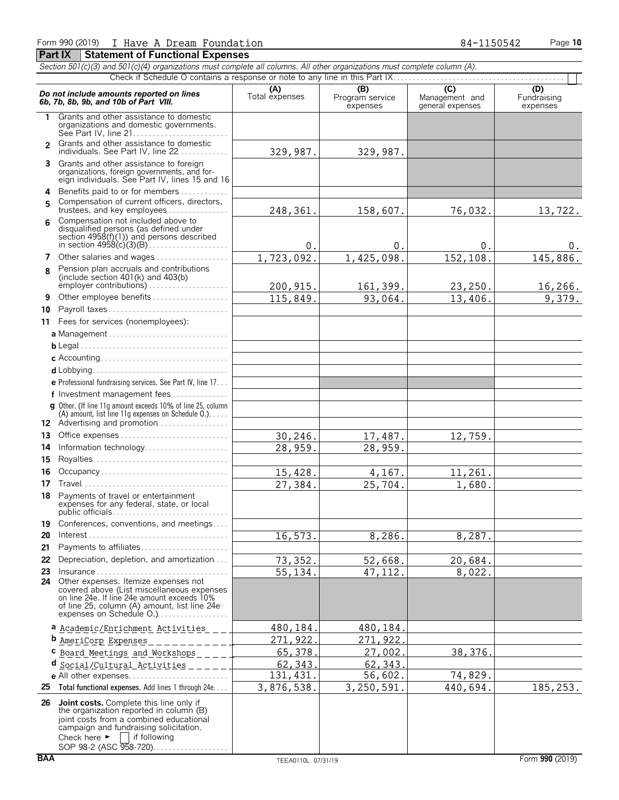|              | Section 501(c)(3) and 501(c)(4) organizations must complete all columns. All other organizations must complete column (A).                                                                                    |                       |                                    |                                                      |                                |
|--------------|---------------------------------------------------------------------------------------------------------------------------------------------------------------------------------------------------------------|-----------------------|------------------------------------|------------------------------------------------------|--------------------------------|
|              |                                                                                                                                                                                                               |                       |                                    |                                                      |                                |
|              | Do not include amounts reported on lines<br>6b, 7b, 8b, 9b, and 10b of Part VIII.                                                                                                                             | (A)<br>Total expenses | (B)<br>Program service<br>expenses | $\overline{C}$<br>Management and<br>general expenses | (D)<br>Fundraising<br>expenses |
| 1.           | Grants and other assistance to domestic<br>organizations and domestic governments.                                                                                                                            |                       |                                    |                                                      |                                |
| $\mathbf{z}$ | Grants and other assistance to domestic<br>individuals. See Part IV, line 22                                                                                                                                  | 329,987.              | 329,987.                           |                                                      |                                |
| 3            | Grants and other assistance to foreign<br>organizations, foreign governments, and for-<br>eign individuals. See Part IV, lines 15 and 16                                                                      |                       |                                    |                                                      |                                |
| 4<br>5       | Benefits paid to or for members<br>Compensation of current officers, directors,<br>trustees, and key employees                                                                                                | 248,361.              | 158,607.                           | 76,032.                                              | 13,722.                        |
| 6            | Compensation not included above to<br>disqualified persons (as defined under<br>section $4958(f)(1)$ and persons described                                                                                    | 0.                    | 0.                                 | 0.                                                   | $0$ .                          |
| 7            | Other salaries and wages                                                                                                                                                                                      | 1,723,092.            | 1,425,098.                         | 152,108.                                             | 145,886.                       |
| 8            | Pension plan accruals and contributions<br>(include section $401(k)$ and $403(b)$ )<br>employer contributions)                                                                                                |                       |                                    |                                                      |                                |
|              |                                                                                                                                                                                                               | 200, 915.             | 161,399.                           | 23,250.                                              | 16, 266.                       |
| 9            | Other employee benefits                                                                                                                                                                                       | 115,849.              | 93,064.                            | 13,406.                                              | 9,379.                         |
| 10           | Payroll taxes                                                                                                                                                                                                 |                       |                                    |                                                      |                                |
| 11           | Fees for services (nonemployees):                                                                                                                                                                             |                       |                                    |                                                      |                                |
|              |                                                                                                                                                                                                               |                       |                                    |                                                      |                                |
|              |                                                                                                                                                                                                               |                       |                                    |                                                      |                                |
|              |                                                                                                                                                                                                               |                       |                                    |                                                      |                                |
|              |                                                                                                                                                                                                               |                       |                                    |                                                      |                                |
|              | e Professional fundraising services. See Part IV, line 17                                                                                                                                                     |                       |                                    |                                                      |                                |
|              | f Investment management fees                                                                                                                                                                                  |                       |                                    |                                                      |                                |
|              | g Other. (If line 11q amount exceeds 10% of line 25, column<br>(A) amount, list line 11g expenses on Schedule $0.$ )<br>12 Advertising and promotion                                                          |                       |                                    |                                                      |                                |
| 13           |                                                                                                                                                                                                               | 30,246.               | 17,487.                            | 12,759.                                              |                                |
| 14           | Information technology                                                                                                                                                                                        | 28,959.               | 28,959.                            |                                                      |                                |
| 15           |                                                                                                                                                                                                               |                       |                                    |                                                      |                                |
| 16           | Occupancy                                                                                                                                                                                                     | 15,428.               | 4,167.                             | 11,261.                                              |                                |
| 17           |                                                                                                                                                                                                               | 27,384.               | 25,704.                            | 1,680.                                               |                                |
| 18           | Payments of travel or entertainment<br>expenses for any federal, state, or local<br>public officials                                                                                                          |                       |                                    |                                                      |                                |
| 19           | Conferences, conventions, and meetings                                                                                                                                                                        |                       |                                    |                                                      |                                |
| 20           | $Interest \dots \dots \dots \dots \dots \dots \dots \dots \dots \dots \dots \dots \dots \dots$                                                                                                                | 16, 573.              | 8,286.                             | 8,287.                                               |                                |
| 21           | Payments to affiliates                                                                                                                                                                                        |                       |                                    |                                                      |                                |
| 22           | Depreciation, depletion, and amortization                                                                                                                                                                     | 73,352.               | 52,668.                            | 20,684.                                              |                                |
| 23           | $insurance \ldots \ldots \ldots \ldots \ldots \ldots \ldots \ldots \ldots$                                                                                                                                    | 55,134.               | 47, 112.                           | 8,022.                                               |                                |
| 24           | Other expenses. Itemize expenses not<br>covered above (List miscellaneous expenses<br>on line 24e. If line 24e amount exceeds 10%<br>of line 25, column (A) amount, list line 24e<br>expenses on Schedule O.) |                       |                                    |                                                      |                                |
|              | a Academic/Enrichment Activities                                                                                                                                                                              | 480,184               | 480,184                            |                                                      |                                |
|              | <b>b</b> <u>AmeriCorp</u> Expenses                                                                                                                                                                            | 271,922               | 271,922                            |                                                      |                                |
|              | C Board Meetings and Workshops _ _ _                                                                                                                                                                          | 65,378.               | 27,002                             | 38, 376.                                             |                                |
|              | d Social/Cultural Activities                                                                                                                                                                                  | 62, 343.              | 62,343                             |                                                      |                                |
|              |                                                                                                                                                                                                               | 131, 431.             | 56,602.                            | 74,829.                                              |                                |
| 25           | Total functional expenses. Add lines 1 through 24e                                                                                                                                                            | 3,876,538.            | 3,250,591.                         | 440,694.                                             | 185,253.                       |
|              | 26 Joint costs. Complete this line only if<br>the organization reported in column (B)<br>joint costs from a combined educational<br>campaign and fundraising solicitation.                                    |                       |                                    |                                                      |                                |

Check here  $\blacktriangleright$  | if following

SOP 98-2 (ASC 958-720). . . . . . . . . . . . . . . . .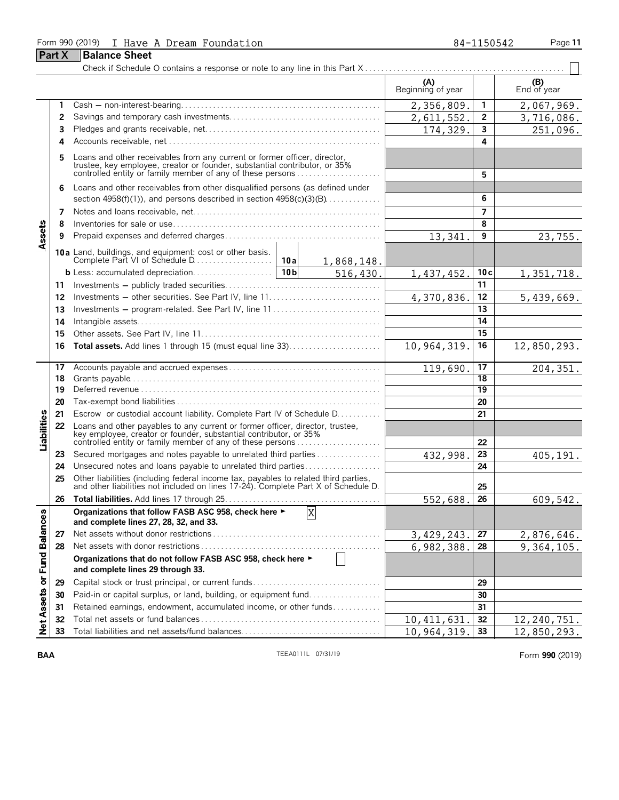#### Form 990 (2019) I Have A Dream Foundation **84-1150542** Page 11

**Part X Balance Sheet** 

| 84-1150542 |  |  |
|------------|--|--|
|            |  |  |
|            |  |  |

Check if Schedule O contains a response or note to any line in this Part X . . . . . . . . . . . . . . . . . . . . . . . . . . . . . . . . . . . . . . . . . . . . . . . . . . **(A) (B)**<br>Beginning of year **End of year 1** Cash ' non-interest-bearing. . . . . . . . . . . . . . . . . . . . . . . . . . . . . . . . . . . . . . . . . . . . . . . . . . **1** 2,067,969. **2** Savings and temporary cash investments. . . . . . . . . . . . . . . . . . . . . . . . . . . . . . . . . . . . . . **2** 3,716,086. **3** Pledges and grants receivable, net. . . . . . . . . . . . . . . . . . . . . . . . . . . . . . . . . . . . . . . . . . . . **3** 251,096 **4** Accounts receivable, net. . . . . . . . . . . . . . . . . . . . . . . . . . . . . . . . . . . . . . . . . . . . . . . . . . . . . . **4 5** Loans and other receivables from any current or former officer, director, trustee, key employee, creator or founder, substantial contributor, or 35% controlled entity or family member of any of these persons . . . . . . . . . . . . . . . . . . . . . **5 6** Loans and other receivables from other disqualified persons (as defined under section 4958(f)(1)), and persons described in section 4958(c)(3)(B). . . . . . . . . . . . . . **6 7** Notes and loans receivable, net. . . . . . . . . . . . . . . . . . . . . . . . . . . . . . . . . . . . . . . . . . . . . . . **7 8** Inventories for sale or use. . . . . . . . . . . . . . . . . . . . . . . . . . . . . . . . . . . . . . . . . . . . . . . . . . . . **8** Assets **9** Prepaid expenses and deferred charges. . . . . . . . . . . . . . . . . . . . . . . . . . . . . . . . . . . . . . . **9** 23,755. **10a** Land, buildings, and equipment: cost or other basis. Complete Part VI of Schedule D. . . . . . . . . . . . . . . . . . . . **10a** 1,868,148. **b** Less: accumulated depreciation. . . . . . . . . . . . . . . . 10b  $\vert$  **100 1, 437, 452. 10c** 1,437,452. 10c 1,351,718. **11** Investments ' publicly traded securities. . . . . . . . . . . . . . . . . . . . . . . . . . . . . . . . . . . . . . . **11 12** Investments ' other securities. See Part IV, line 11. . . . . . . . . . . . . . . . . . . . . . . . . . . . **12** 5,439,669. **13** Investments ' program-related. See Part IV, line 11 . . . . . . . . . . . . . . . . . . . . . . . . . . . **13 14** Intangible assets. . . . . . . . . . . . . . . . . . . . . . . . . . . . . . . . . . . . . . . . . . . . . . . . . . . . . . . . . . . . . **14 15** Other assets. See Part IV, line 11. . . . . . . . . . . . . . . . . . . . . . . . . . . . . . . . . . . . . . . . . . . . . **15 16 Total assets.** Add lines 1 through 15 (must equal line 33). . . . . . . . . . . . . . . . . . . . . . . **16** 12,850,293. **17** Accounts payable and accrued expenses . . . . . . . . . . . . . . . . . . . . . . . . . . . . . . . . . . . . . . **17** 119,690. 17 204,351 **18** Grants payable. . . . . . . . . . . . . . . . . . . . . . . . . . . . . . . . . . . . . . . . . . . . . . . . . . . . . . . . . . . . . . . **18 19** Deferred revenue. . . . . . . . . . . . . . . . . . . . . . . . . . . . . . . . . . . . . . . . . . . . . . . . . . . . . . . . . . . . . **19 20** Tax-exempt bond liabilities . . . . . . . . . . . . . . . . . . . . . . . . . . . . . . . . . . . . . . . . . . . . . . . . . . . **20** Liabilities **21** Escrow or custodial account liability. Complete Part IV of Schedule D. . . . . . . . . . . **21 22** Loans and other payables to any current or former officer, director, trustee, key employee, creator or founder, substantial contributor, or 35% controlled entity or family member of any of these persons . . . . . . . . . . . . . . . . . . . . . **22 23** Secured mortgages and notes payable to unrelated third parties . . . . . . . . . . . . . . . . 432, 998. 23 432,998. 23 405,191 **24** Unsecured notes and loans payable to unrelated third parties. . . . . . . . . . . . . . . . . . . **24 25** Other liabilities (including federal income tax, payables to related third parties, and other liabilities not included on lines 17-24). Complete Part X of Schedule D. **25 26 Total liabilities.** Add lines 17 through 25. . . . . . . . . . . . . . . . . . . . . . . . . . . . . . . . . . . . . . . **26** 552,688. 609,542. **Organizations that follow FASB ASC 958, check here** G X or Fund Balances **and complete lines 27, 28, 32, and 33. 27** Net assets without donor restrictions . . . . . . . . . . . . . . . . . . . . . . . . . . . . . . . . . . . . . . . . . . **27** 2,876,646. **28** Net assets with donor restrictions . . . . . . . . . . . . . . . . . . . . . . . . . . . . . . . . . . . . . . . . . . . . . **28** 6,982,388. 9,364,105. **Organizations that do not follow FASB ASC 958, check here** G **and complete lines 29 through 33. 29** Capital stock or trust principal, or current funds. . . . . . . . . . . . . . . . . . . . . . . . . . . . . . . . **29** Assets **30** Paid-in or capital surplus, or land, building, or equipment fund. . . . . . . . . . . . . . . . . . **30 31** Retained earnings, endowment, accumulated income, or other funds. . . . . . . . . . . . **31** Net: **32** Total net assets or fund balances . . . . . . . . . . . . . . . . . . . . . . . . . . . . . . . . . . . . . . . . . . . . . **32** 12,240,751 **33** Total liabilities and net assets/fund balances. . . . . . . . . . . . . . . . . . . . . . . . . . . . . . . . . . . **33**  $10,964,319.$  33 | 12,850,293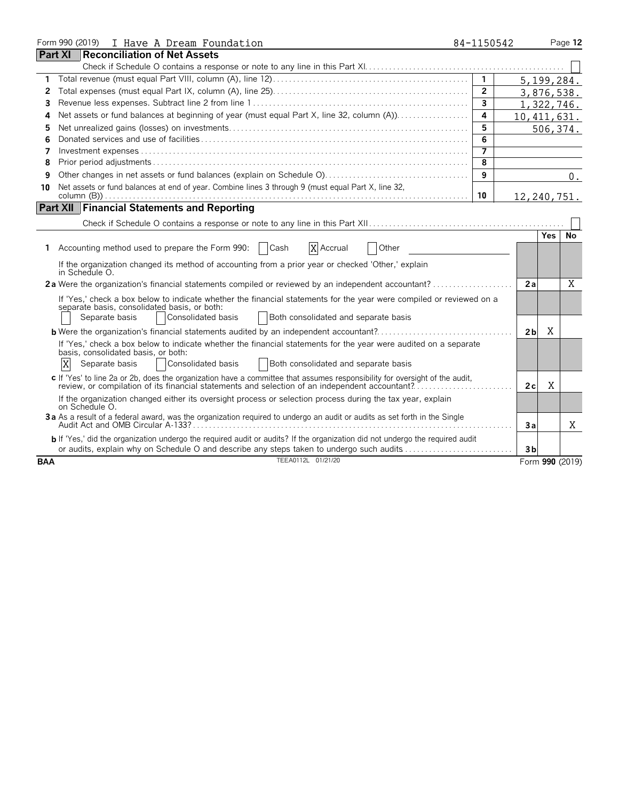|            | Form 990 (2019) I Have A Dream Foundation                                                                                                                                                                                                            | 84-1150542        |                |            | Page 12         |
|------------|------------------------------------------------------------------------------------------------------------------------------------------------------------------------------------------------------------------------------------------------------|-------------------|----------------|------------|-----------------|
|            | <b>Reconciliation of Net Assets</b><br><b>Part XI</b>                                                                                                                                                                                                |                   |                |            |                 |
|            |                                                                                                                                                                                                                                                      |                   |                |            |                 |
| 1.         |                                                                                                                                                                                                                                                      | $\mathbf{1}$      |                |            | 5, 199, 284.    |
| 2          |                                                                                                                                                                                                                                                      | $\overline{2}$    |                |            | 3,876,538.      |
| 3          |                                                                                                                                                                                                                                                      | $\mathbf{3}$      |                |            | 1,322,746.      |
| 4          | Net assets or fund balances at beginning of year (must equal Part X, line 32, column (A))                                                                                                                                                            | 4                 | 10, 411, 631.  |            |                 |
| 5          |                                                                                                                                                                                                                                                      | 5                 |                |            | 506,374.        |
| 6          |                                                                                                                                                                                                                                                      | 6                 |                |            |                 |
| 7          |                                                                                                                                                                                                                                                      | $\overline{\tau}$ |                |            |                 |
| 8          |                                                                                                                                                                                                                                                      | 8                 |                |            |                 |
| 9          |                                                                                                                                                                                                                                                      | 9                 |                |            | $0$ .           |
| 10         | Net assets or fund balances at end of year. Combine lines 3 through 9 (must equal Part X, line 32,                                                                                                                                                   |                   |                |            |                 |
|            | column (B) $\ldots$ $\ldots$ $\ldots$ $\ldots$ $\ldots$ $\ldots$ $\ldots$ $\ldots$ $\ldots$ $\ldots$ $\ldots$ $\ldots$ $\ldots$ $\ldots$ $\ldots$                                                                                                    | 10                | 12,240,751.    |            |                 |
|            | <b>Part XII Financial Statements and Reporting</b>                                                                                                                                                                                                   |                   |                |            |                 |
|            |                                                                                                                                                                                                                                                      |                   |                |            |                 |
|            |                                                                                                                                                                                                                                                      |                   |                | <b>Yes</b> | No              |
|            | Accounting method used to prepare the Form 990:<br>Cash<br>X Accrual<br>Other                                                                                                                                                                        |                   |                |            |                 |
|            | If the organization changed its method of accounting from a prior year or checked 'Other,' explain<br>in Schedule O.                                                                                                                                 |                   |                |            |                 |
|            | 2a Were the organization's financial statements compiled or reviewed by an independent accountant?                                                                                                                                                   |                   | 2a             |            | X               |
|            | If 'Yes,' check a box below to indicate whether the financial statements for the year were compiled or reviewed on a<br>separate basis, consolidated basis, or both:<br>Consolidated basis<br>Both consolidated and separate basis<br>Separate basis |                   |                |            |                 |
|            | <b>b</b> Were the organization's financial statements audited by an independent accountant?                                                                                                                                                          |                   | 2 <sub>b</sub> | X          |                 |
|            | If 'Yes,' check a box below to indicate whether the financial statements for the year were audited on a separate<br>basis, consolidated basis, or both:<br>X<br>Consolidated basis<br><b>Both consolidated and separate basis</b><br>Separate basis  |                   |                |            |                 |
|            | c If 'Yes' to line 2a or 2b, does the organization have a committee that assumes responsibility for oversight of the audit,<br>review, or compilation of its financial statements and selection of an independent accountant?                        |                   | 2c             | X          |                 |
|            | If the organization changed either its oversight process or selection process during the tax year, explain<br>on Schedule O.                                                                                                                         |                   |                |            |                 |
|            | 3a As a result of a federal award, was the organization required to undergo an audit or audits as set forth in the Single                                                                                                                            |                   | Зa             |            | Χ               |
|            | b If 'Yes,' did the organization undergo the required audit or audits? If the organization did not undergo the required audit<br>or audits, explain why on Schedule O and describe any steps taken to undergo such audits                            |                   | 3 <sub>b</sub> |            |                 |
| <b>BAA</b> | TEEA0112L 01/21/20                                                                                                                                                                                                                                   |                   |                |            | Form 990 (2019) |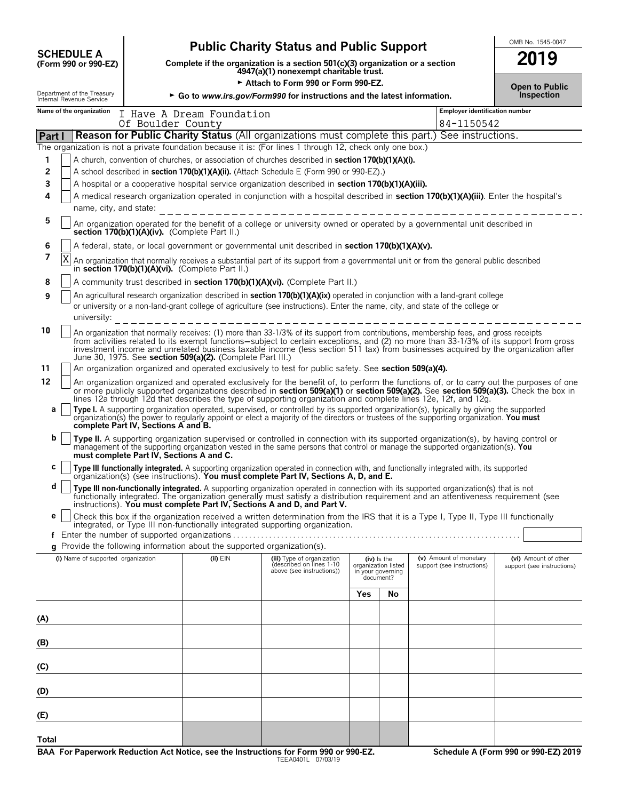|                                                        |                                               |                                                                               | <b>Public Charity Status and Public Support</b>                                                                                                                                                                                                                                                                                                                                                                                                                                                                                                 |                                     |                                      |                                                      | OMB No. 1545-0047                                  |
|--------------------------------------------------------|-----------------------------------------------|-------------------------------------------------------------------------------|-------------------------------------------------------------------------------------------------------------------------------------------------------------------------------------------------------------------------------------------------------------------------------------------------------------------------------------------------------------------------------------------------------------------------------------------------------------------------------------------------------------------------------------------------|-------------------------------------|--------------------------------------|------------------------------------------------------|----------------------------------------------------|
| <b>SCHEDULE A</b><br>(Form 990 or 990-EZ)              |                                               | Complete if the organization is a section 501(c)(3) organization or a section | 2019                                                                                                                                                                                                                                                                                                                                                                                                                                                                                                                                            |                                     |                                      |                                                      |                                                    |
|                                                        |                                               |                                                                               | 4947(a)(1) nonexempt charitable trust.<br>Attach to Form 990 or Form 990-EZ.                                                                                                                                                                                                                                                                                                                                                                                                                                                                    |                                     |                                      |                                                      |                                                    |
| Department of the Treasury<br>Internal Revenue Service |                                               | ► Go to www.irs.gov/Form990 for instructions and the latest information.      |                                                                                                                                                                                                                                                                                                                                                                                                                                                                                                                                                 | <b>Open to Public</b><br>Inspection |                                      |                                                      |                                                    |
| Name of the organization                               | Of Boulder County                             | I Have A Dream Foundation                                                     |                                                                                                                                                                                                                                                                                                                                                                                                                                                                                                                                                 |                                     |                                      | <b>Employer identification number</b><br>84-1150542  |                                                    |
| Part I                                                 |                                               |                                                                               | Reason for Public Charity Status (All organizations must complete this part.) See instructions.                                                                                                                                                                                                                                                                                                                                                                                                                                                 |                                     |                                      |                                                      |                                                    |
|                                                        |                                               |                                                                               | The organization is not a private foundation because it is: (For lines 1 through 12, check only one box.)                                                                                                                                                                                                                                                                                                                                                                                                                                       |                                     |                                      |                                                      |                                                    |
| 1<br>2                                                 |                                               |                                                                               | A church, convention of churches, or association of churches described in section 170(b)(1)(A)(i).<br>A school described in section 170(b)(1)(A)(ii). (Attach Schedule E (Form 990 or 990-EZ).)                                                                                                                                                                                                                                                                                                                                                 |                                     |                                      |                                                      |                                                    |
| 3                                                      |                                               |                                                                               | A hospital or a cooperative hospital service organization described in section 170(b)(1)(A)(iii).                                                                                                                                                                                                                                                                                                                                                                                                                                               |                                     |                                      |                                                      |                                                    |
| 4<br>name, city, and state:                            |                                               |                                                                               | A medical research organization operated in conjunction with a hospital described in section 170(b)(1)(A)(iii). Enter the hospital's                                                                                                                                                                                                                                                                                                                                                                                                            |                                     |                                      |                                                      |                                                    |
| 5                                                      | section 170(b)(1)(A)(iv). (Complete Part II.) |                                                                               | An organization operated for the benefit of a college or university owned or operated by a governmental unit described in                                                                                                                                                                                                                                                                                                                                                                                                                       |                                     |                                      |                                                      |                                                    |
| 6<br>7                                                 |                                               |                                                                               | A federal, state, or local government or governmental unit described in section 170(b)(1)(A)(v).                                                                                                                                                                                                                                                                                                                                                                                                                                                |                                     |                                      |                                                      |                                                    |
| X                                                      |                                               | in section 170(b)(1)(A)(vi). (Complete Part II.)                              | An organization that normally receives a substantial part of its support from a governmental unit or from the general public described                                                                                                                                                                                                                                                                                                                                                                                                          |                                     |                                      |                                                      |                                                    |
| 8                                                      |                                               |                                                                               | A community trust described in section 170(b)(1)(A)(vi). (Complete Part II.)                                                                                                                                                                                                                                                                                                                                                                                                                                                                    |                                     |                                      |                                                      |                                                    |
| 9<br>university:                                       |                                               |                                                                               | An agricultural research organization described in section 170(b)(1)(A)(ix) operated in conjunction with a land-grant college<br>or university or a non-land-grant college of agriculture (see instructions). Enter the name, city, and state of the college or                                                                                                                                                                                                                                                                                 |                                     |                                      |                                                      |                                                    |
| 10                                                     |                                               | June 30, 1975. See section 509(a)(2). (Complete Part III.)                    | An organization that normally receives: (1) more than 33-1/3% of its support from contributions, membership fees, and gross receipts<br>from activities related to its exempt functions-subject to certain exceptions, and (2) no more than 33-1/3% of its support from gross<br>investment income and unrelated business taxable income (less section 511 tax) from businesses acquired by the organization after                                                                                                                              |                                     |                                      |                                                      |                                                    |
| 11                                                     |                                               |                                                                               | An organization organized and operated exclusively to test for public safety. See section 509(a)(4).                                                                                                                                                                                                                                                                                                                                                                                                                                            |                                     |                                      |                                                      |                                                    |
| 12<br>а                                                |                                               |                                                                               | An organization organized and operated exclusively for the benefit of, to perform the functions of, or to carry out the purposes of one<br>or more publicly supported organizations described in section 509(a)(1) or section 509(a)(2). See section 509(a)(3). Check the box in<br>lines 12a through 12d that describes the type of supporting organization and complete lines 12e, 12f, and 12g.<br>Type I. A supporting organization operated, supervised, or controlled by its supported organization(s), typically by giving the supported |                                     |                                      |                                                      |                                                    |
|                                                        | complete Part IV, Sections A and B.           |                                                                               | organization(s) the power to regularly appoint or elect a majority of the directors or trustees of the supporting organization. You must                                                                                                                                                                                                                                                                                                                                                                                                        |                                     |                                      |                                                      |                                                    |
| b                                                      | must complete Part IV, Sections A and C.      |                                                                               | Type II. A supporting organization supervised or controlled in connection with its supported organization(s), by having control or<br>management of the supporting organization vested in the same persons that control or manage the supported organization(s). You                                                                                                                                                                                                                                                                            |                                     |                                      |                                                      |                                                    |
| С                                                      |                                               |                                                                               | Type III functionally integrated. A supporting organization operated in connection with, and functionally integrated with, its supported organization(s) (see instructions). You must complete Part IV, Sections A, D, and E.                                                                                                                                                                                                                                                                                                                   |                                     |                                      |                                                      |                                                    |
| d                                                      |                                               |                                                                               | Type III non-functionally integrated. A supporting organization operated in connection with its supported organization(s) that is not<br>functionally integrated. The organization generally must satisfy a distribution requirement and an attentiveness requirement (see<br>instructions). You must complete Part IV, Sections A and D, and Part V.                                                                                                                                                                                           |                                     |                                      |                                                      |                                                    |
| е                                                      |                                               |                                                                               | Check this box if the organization received a written determination from the IRS that it is a Type I, Type II, Type III functionally<br>integrated, or Type III non-functionally integrated supporting organization.                                                                                                                                                                                                                                                                                                                            |                                     |                                      |                                                      |                                                    |
|                                                        |                                               | g Provide the following information about the supported organization(s).      |                                                                                                                                                                                                                                                                                                                                                                                                                                                                                                                                                 |                                     |                                      |                                                      |                                                    |
| (i) Name of supported organization                     |                                               | $(ii)$ $EIN$                                                                  | (iii) Type of organization<br>described on lines 1-10<br>above (see instructions))                                                                                                                                                                                                                                                                                                                                                                                                                                                              | in your governing<br>document?      | $(iv)$ is the<br>organization listed | (v) Amount of monetary<br>support (see instructions) | (vi) Amount of other<br>support (see instructions) |
|                                                        |                                               |                                                                               |                                                                                                                                                                                                                                                                                                                                                                                                                                                                                                                                                 | Yes                                 | No                                   |                                                      |                                                    |
| (A)                                                    |                                               |                                                                               |                                                                                                                                                                                                                                                                                                                                                                                                                                                                                                                                                 |                                     |                                      |                                                      |                                                    |
| (B)                                                    |                                               |                                                                               |                                                                                                                                                                                                                                                                                                                                                                                                                                                                                                                                                 |                                     |                                      |                                                      |                                                    |
| (C)                                                    |                                               |                                                                               |                                                                                                                                                                                                                                                                                                                                                                                                                                                                                                                                                 |                                     |                                      |                                                      |                                                    |
| (D)                                                    |                                               |                                                                               |                                                                                                                                                                                                                                                                                                                                                                                                                                                                                                                                                 |                                     |                                      |                                                      |                                                    |
| (E)                                                    |                                               |                                                                               |                                                                                                                                                                                                                                                                                                                                                                                                                                                                                                                                                 |                                     |                                      |                                                      |                                                    |
| Total                                                  |                                               |                                                                               |                                                                                                                                                                                                                                                                                                                                                                                                                                                                                                                                                 |                                     |                                      |                                                      |                                                    |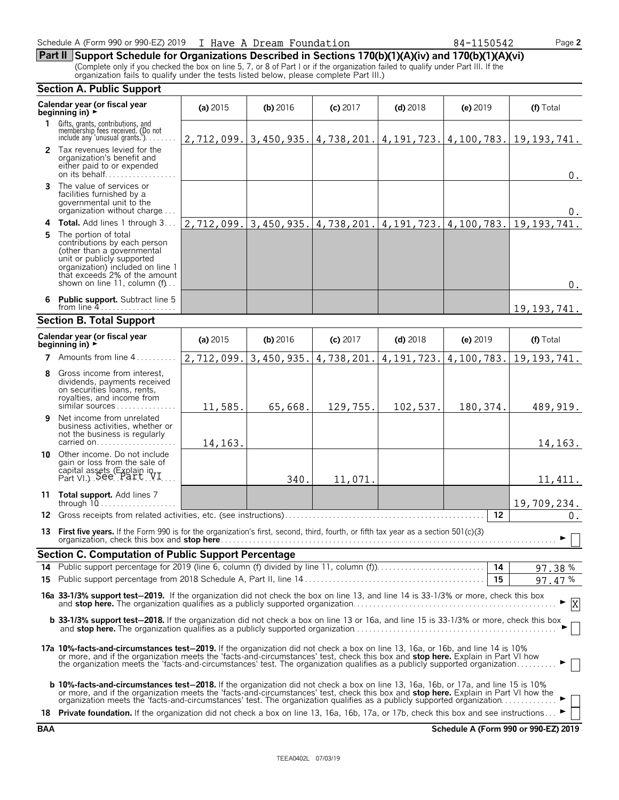#### Schedule A (Form 990 or 990-EZ) 2019 I Have A Dream Foundation 84-1150542 Page **2**

**Part II Support Schedule for Organizations Described in Sections 170(b)(1)(A)(iv) and 170(b)(1)(A)(vi)** (Complete only if you checked the box on line 5, 7, or 8 of Part I or if the organization failed to qualify under Part III. If the organization fails to qualify under the tests listed below, please complete Part III.)

#### **Section A. Public Support Calendar year (or fiscal year (a) 2015 <b>(b)** 2016 **(c) 2017 <b>(d)** 2018 **(e)** 2019 **(f)** Total **beginning in) 1** Gifts, grants, contributions, and<br>membership fees received. (Do not<br>include any 'unusual grants.'). . . . . . . . **2** Tax revenues levied for the organization's benefit and either paid to or expended on its behalf. . . . . . . . . . . . . . . . . . **3** The value of services or facilities furnished by a governmental unit to the organization without charge. . . . **4 Total.** Add lines 1 through 3 . . . **5** The portion of total contributions by each person (other than a governmental unit or publicly supported organization) included on line 1 that exceeds 2% of the amount shown on line 11, column (f). **6 Public support.** Subtract line 5 from line 4 **Section B. Total Support Calendar year (or fiscal year (a)** <sup>2015</sup> **(b)** <sup>2016</sup> **(c)** <sup>2017</sup> **(d)** <sup>2018</sup> **(e)** <sup>2019</sup> **(f)** Total **beginning in)** <sup>G</sup> **7** Amounts from line 4..... **8** Gross income from interest, dividends, payments received on securities loans, rents, royalties, and income from similar sources . . . . **9** Net income from unrelated business activities, whether or not the business is regularly carried on.......... **10** Other income. Do not include gain or loss from the sale of capital assets (Explain in  $Part VI.$ ). See  $Part VI.$ ... **11 Total support.** Add lines 7 through 10. . . . . . . . . . . . . . . . . . . . **12** Gross receipts from related activities, etc. (see instructions). . . . . . . . . . . . . . . . . . . . . . . . . . . . . . . . . . . . . . . . . . . . . . . . . . **12 13 First five years.** If the Form 990 is for the organization's first, second, third, fourth, or fifth tax year as a section 501(c)(3) organization, check this box and **stop here**. . . . . . . . . . . . . . . . . . . . . . . . . . . . . . . . . . . . . . . . . . . . . . . . . . . . . . . . . . . . . . . . . . . . . . . . . . . . . . . . . . . . G **Section C. Computation of Public Support Percentage 14** Public support percentage for 2019 (line 6, column (f) divided by line 11, column (f)). . . . . . . . . . . . . . . . . . . . . . . . . . . **14** % **15** Public support percentage from 2018 Schedule A, Part II, line 14 . . . . . . . . . . . . . . . . . . . . . . . . . . . . . . . . . . . . . . . . . . . . . **15** % **16a 33-1/3% support test**'**2019.** If the organization did not check the box on line 13, and line 14 is 33-1/3% or more, check this box and **stop here.** The organization qualifies as a publicly supported organization. . . . . . . . . . . . . . . . . . . . . . . . . . . . . . . . . . . . . . . . . . . . . . . . . . . G **b 33-1/3% support test-2018.** If the organization did not check a box on line 13 or 16a, and line 15 is 33-1/3% or more, check this box and **stop here.** The organization qualifies as a publicly supported organization. . . . . . . . . . . . . . . . . . . . . . . . . . . . . . . . . . . . . . . . . . . . . . . . . . . G **17a 10%-facts-and-circumstances test**'**2019.** If the organization did not check a box on line 13, 16a, or 16b, and line 14 is 10% or more, and if the organization meets the 'facts-and-circumstances' test, check this box and **stop here.** Explain in Part VI how<br>the organization meets the 'facts-and-circumstances' test. The organization qualifies as a **b 10%-facts-and-circumstances test**'**2018.** If the organization did not check a box on line 13, 16a, 16b, or 17a, and line 15 is 10% or more, and if the organization meets the 'facts-and-circumstances' test, check this box and **stop here.** Explain in Part VI how the<br>organization meets the 'facts-and-circumstances' test. The organization qualifies as a 18 **Private foundation.** If the organization did not check a box on line 13, 16a, 16b, 17a, or 17b, check this box and see instructions. 2,712,099. 3,450,935. 4,738,201. 4,191,723. 4,100,783. 19,193,741. 0.  $\Omega$ 2,712,099. 3,450,935. 4,738,201. 4,191,723. 4,100,783. 19,193,741. 0. 19,193,741. 2,712,099. 3,450,935. 4,738,201. 4,191,723. 4,100,783. 19,193,741. 11,585. 65,668. 129,755. 102,537. 180,374. 489,919. 14,163. 14,163. 340. 11,071. 11,411. 19,709,234.  $0.$ 97.38 97.47 X

**BAA Schedule A (Form 990 or 990-EZ) 2019**

|--|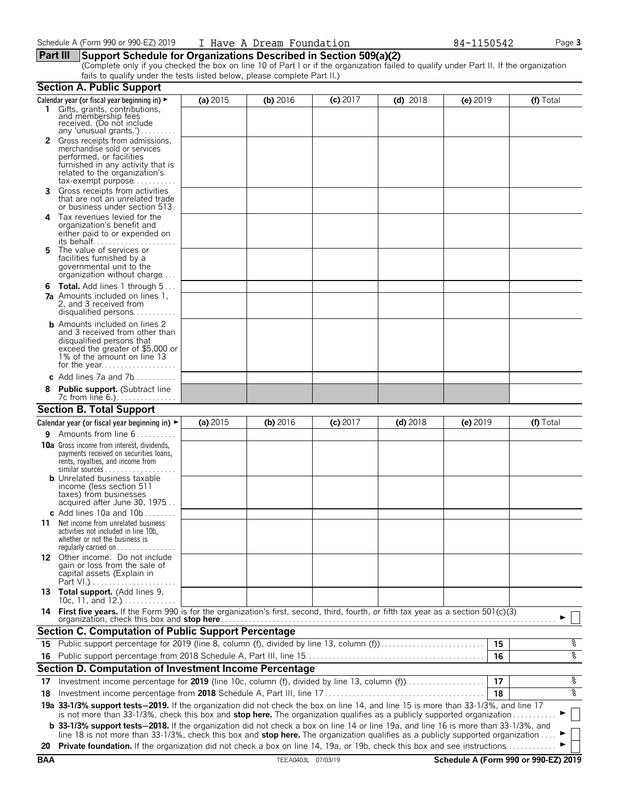#### **Part III Support Schedule for Organizations Described in Section 509(a)(2)**

(Complete only if you checked the box on line 10 of Part I or if the organization failed to qualify under Part II. If the organization fails to qualify under the tests listed below, please complete Part II.)

|            | <b>Section A. Public Support</b>                                                                                                                                                                                                                                   |          |                    |            |            |            |                                      |
|------------|--------------------------------------------------------------------------------------------------------------------------------------------------------------------------------------------------------------------------------------------------------------------|----------|--------------------|------------|------------|------------|--------------------------------------|
|            | Calendar year (or fiscal year beginning in) ►                                                                                                                                                                                                                      | (a) 2015 | (b) 2016           | $(c)$ 2017 | $(d)$ 2018 | $(e)$ 2019 | (f) Total                            |
|            | 1 Gifts, grants, contributions,<br>and membership fees<br>received. (Do not include<br>any 'unusual grants.')                                                                                                                                                      |          |                    |            |            |            |                                      |
|            | Gross receipts from admissions,<br>merchandise sold or services<br>performed, or facilities<br>furnished in any activity that is<br>related to the organization's<br>$tax\text{-}exempt$ purpose                                                                   |          |                    |            |            |            |                                      |
| 3.         | Gross receipts from activities<br>that are not an unrelated trade<br>or business under section 513.                                                                                                                                                                |          |                    |            |            |            |                                      |
| 4          | Tax revenues levied for the<br>organization's benefit and<br>either paid to or expended on<br>its behalf                                                                                                                                                           |          |                    |            |            |            |                                      |
| 5.         | The value of services or<br>facilities furnished by a<br>governmental unit to the<br>organization without charge                                                                                                                                                   |          |                    |            |            |            |                                      |
|            | <b>6 Total.</b> Add lines 1 through 5<br><b>7a</b> Amounts included on lines 1,<br>2, and 3 received from<br>disqualified persons                                                                                                                                  |          |                    |            |            |            |                                      |
|            | <b>b</b> Amounts included on lines 2<br>and 3 received from other than<br>disqualified persons that<br>exceed the greater of \$5,000 or<br>1% of the amount on line 13                                                                                             |          |                    |            |            |            |                                      |
|            | c Add lines $7a$ and $7b$                                                                                                                                                                                                                                          |          |                    |            |            |            |                                      |
|            | <b>Public support.</b> (Subtract line                                                                                                                                                                                                                              |          |                    |            |            |            |                                      |
|            | <b>Section B. Total Support</b>                                                                                                                                                                                                                                    |          |                    |            |            |            |                                      |
|            | Calendar year (or fiscal year beginning in) $\blacktriangleright$                                                                                                                                                                                                  | (a) 2015 | $(b)$ 2016         | $(c)$ 2017 | $(d)$ 2018 | (e) 2019   | (f) Total                            |
| 9.         | Amounts from line 6                                                                                                                                                                                                                                                |          |                    |            |            |            |                                      |
|            | <b>10a</b> Gross income from interest, dividends,<br>payments received on securities loans,<br>rents, royalties, and income from<br><b>b</b> Unrelated business taxable                                                                                            |          |                    |            |            |            |                                      |
|            | income (less section 511<br>taxes) from businesses<br>acquired after June 30, 1975                                                                                                                                                                                 |          |                    |            |            |            |                                      |
| 11         | c Add lines 10a and $10b$<br>Net income from unrelated business<br>activities not included in line 10b,<br>whether or not the business is<br>regularly carried on $\dots\dots\dots\dots\dots$                                                                      |          |                    |            |            |            |                                      |
|            | 12 Other income. Do not include<br>gain or loss from the sale of<br>capital assets (Explain in                                                                                                                                                                     |          |                    |            |            |            |                                      |
|            | 13 Total support. (Add lines 9,<br>10c, 11, and $12.$ )                                                                                                                                                                                                            |          |                    |            |            |            |                                      |
|            | 14 First five years. If the Form 990 is for the organization's first, second, third, fourth, or fifth tax year as a section 501(c)(3)                                                                                                                              |          |                    |            |            |            |                                      |
|            | <b>Section C. Computation of Public Support Percentage</b>                                                                                                                                                                                                         |          |                    |            |            |            |                                      |
| 15         | Public support percentage for 2019 (line 8, column (f), divided by line 13, column (f))                                                                                                                                                                            |          |                    |            |            | 15         | နွ                                   |
|            |                                                                                                                                                                                                                                                                    |          |                    |            |            | 16         | နွ                                   |
|            | Section D. Computation of Investment Income Percentage                                                                                                                                                                                                             |          |                    |            |            |            |                                      |
| 17         | Investment income percentage for 2019 (line 10c, column (f), divided by line 13, column (f)                                                                                                                                                                        |          |                    |            |            | 17         | နွ                                   |
| 18         |                                                                                                                                                                                                                                                                    |          |                    |            |            | 18         | နွ                                   |
|            | 19a 33-1/3% support tests-2019. If the organization did not check the box on line 14, and line 15 is more than 33-1/3%, and line 17<br>is not more than 33-1/3%, check this box and stop here. The organization qualifies as a publicly supported organization     |          |                    |            |            |            |                                      |
|            | <b>b</b> 33-1/3% support tests-2018. If the organization did not check a box on line 14 or line 19a, and line 16 is more than 33-1/3%, and                                                                                                                         |          |                    |            |            |            |                                      |
| 20         | line 18 is not more than 33-1/3%, check this box and stop here. The organization qualifies as a publicly supported organization<br><b>Private foundation.</b> If the organization did not check a box on line 14, 19a, or 19b, check this box and see instructions |          |                    |            |            |            |                                      |
| <b>BAA</b> |                                                                                                                                                                                                                                                                    |          | TEEA0403L 07/03/19 |            |            |            | Schedule A (Form 990 or 990-EZ) 2019 |
|            |                                                                                                                                                                                                                                                                    |          |                    |            |            |            |                                      |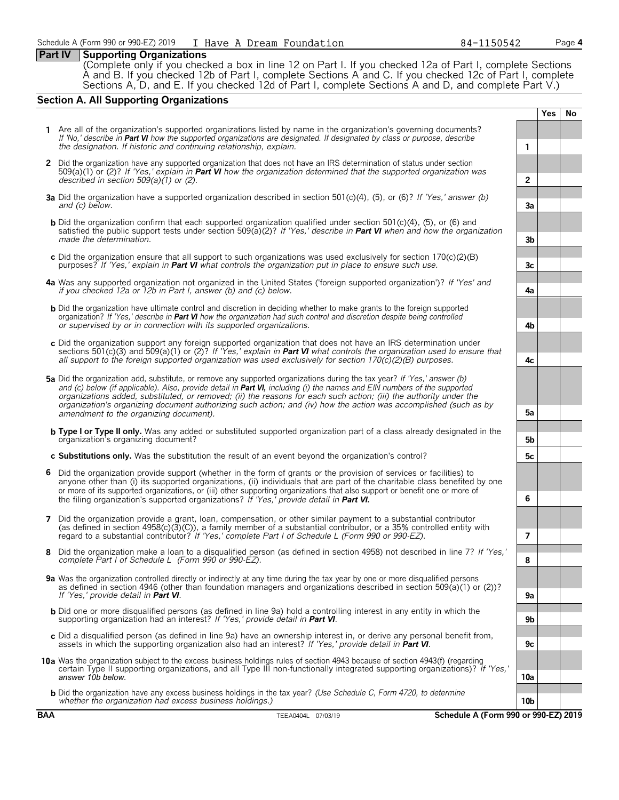#### **Part IV Supporting Organizations**

(Complete only if you checked a box in line 12 on Part I. If you checked 12a of Part I, complete Sections A and B. If you checked 12b of Part I, complete Sections A and C. If you checked 12c of Part I, complete Sections A, D, and E. If you checked 12d of Part I, complete Sections A and D, and complete Part V.)

#### **Section A. All Supporting Organizations**

- **Yes No 1** Are all of the organization's supported organizations listed by name in the organization's governing documents? *If 'No,' describe in Part VI how the supported organizations are designated. If designated by class or purpose, describe the designation. If historic and continuing relationship, explain.* **1 2** Did the organization have any supported organization that does not have an IRS determination of status under section 509(a)(1) or (2)? *If 'Yes,' explain in Part VI how the organization determined that the supported organization was described in section 509(a)(1) or (2).* **2 3a** Did the organization have a supported organization described in section 501(c)(4), (5), or (6)? *If 'Yes,' answer (b) and (c) below.* **3a b** Did the organization confirm that each supported organization qualified under section 501(c)(4), (5), or (6) and satisfied the public support tests under section 509(a)(2)? *If 'Yes,' describe in Part VI when and how the organization made the determination.* **3b c** Did the organization ensure that all support to such organizations was used exclusively for section 170(c)(2)(B) purposes? *If 'Yes,' explain in Part VI what controls the organization put in place to ensure such use.* **3c 4a** Was any supported organization not organized in the United States ('foreign supported organization')? *If 'Yes' and if you checked 12a or 12b in Part I, answer (b) and (c) below.* **4a b** Did the organization have ultimate control and discretion in deciding whether to make grants to the foreign supported organization? *If 'Yes,' describe in Part VI how the organization had such control and discretion despite being controlled or supervised by or in connection with its supported organizations.* **4b c** Did the organization support any foreign supported organization that does not have an IRS determination under sections 501(c)(3) and 509(a)(1) or (2)? *If 'Yes,' explain in Part VI what controls the organization used to ensure that all support to the foreign supported organization was used exclusively for section 170(c)(2)(B) purposes.* **4c 5a** Did the organization add, substitute, or remove any supported organizations during the tax year? *If 'Yes,' answer (b)* and (c) below (if applicable). Also, provide detail in **Part VI**, including (i) the names and EIN numbers of the supported *organizations added, substituted, or removed; (ii) the reasons for each such action; (iii) the authority under the organization's organizing document authorizing such action; and (iv) how the action was accomplished (such as by amendment to the organizing document).* **5a b Type I or Type II only.** Was any added or substituted supported organization part of a class already designated in the organization's organizing document? **5b c Substitutions only.** Was the substitution the result of an event beyond the organization's control? **5c 6** Did the organization provide support (whether in the form of grants or the provision of services or facilities) to anyone other than (i) its supported organizations, (ii) individuals that are part of the charitable class benefited by one or more of its supported organizations, or (iii) other supporting organizations that also support or benefit one or more of the filing organization's supported organizations? *If 'Yes,' provide detail in Part VI.* **6 7** Did the organization provide a grant, loan, compensation, or other similar payment to a substantial contributor (as defined in section 4958(c)(3)(C)), a family member of a substantial contributor, or a 35% controlled entity with regard to a substantial contributor? *If 'Yes,' complete Part I of Schedule L (Form 990 or 990-EZ).* **7 8** Did the organization make a loan to a disqualified person (as defined in section 4958) not described in line 7? *If 'Yes,' complete Part I of Schedule L (Form 990 or 990-EZ).* **8 9a** Was the organization controlled directly or indirectly at any time during the tax year by one or more disqualified persons as defined in section 4946 (other than foundation managers and organizations described in section 509(a)(1) or (2))? *If 'Yes,' provide detail in Part VI*. **9a** b Did one or more disqualified persons (as defined in line 9a) hold a controlling interest in any entity in which the<br>supporting organization had an interest? If 'Yes,' provide detail in **Part VI**.
- **c** Did a disqualified person (as defined in line 9a) have an ownership interest in, or derive any personal benefit from, assets in which the supporting organization also had an interest? *If 'Yes,' provide detail in Part VI*. **9c**
- **10a** Was the organization subject to the excess business holdings rules of section 4943 because of section 4943(f) (regarding certain Type II supporting organizations, and all Type III non-functionally integrated supporting organizations)? *If 'Yes,' answer 10b below.* **10a**
	- **b** Did the organization have any excess business holdings in the tax year? *(Use Schedule C, Form 4720, to determine whether the organization had excess business holdings.)* **10b**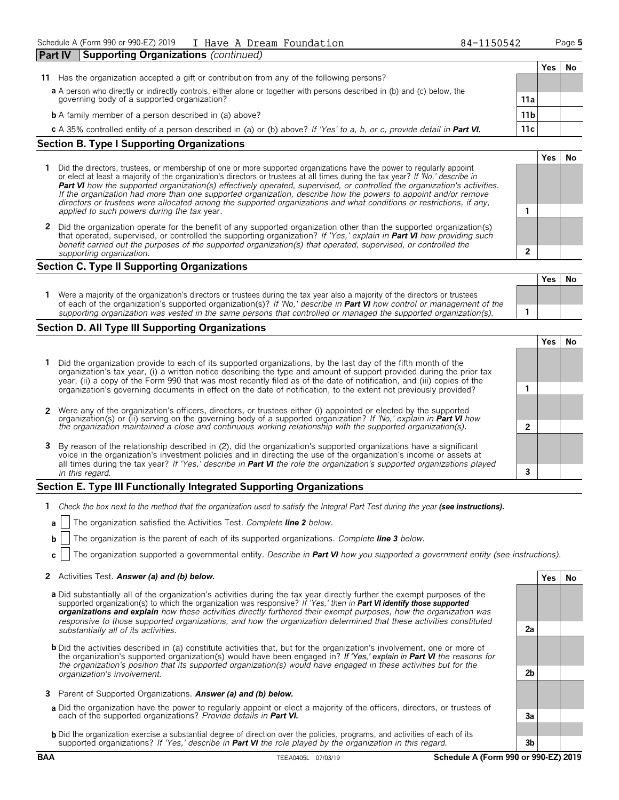| Part IV | Supporting Organizations (continued)                                                                                      |                 |     |    |
|---------|---------------------------------------------------------------------------------------------------------------------------|-----------------|-----|----|
|         |                                                                                                                           |                 | Yes | N0 |
| 11      | Has the organization accepted a gift or contribution from any of the following persons?                                   |                 |     |    |
|         | a A person who directly or indirectly controls, either alone or together with persons described in (b) and (c) below, the |                 |     |    |
|         | governing body of a supported organization?                                                                               | 11a             |     |    |
|         | <b>b</b> A family member of a person described in (a) above?                                                              | 11 <sub>b</sub> |     |    |
|         | c A 35% controlled entity of a person described in (a) or (b) above? If 'Yes' to a, b, or c, provide detail in Part VI.   | 11c             |     |    |
|         | <b>Section B. Type I Supporting Organizations</b>                                                                         |                 |     |    |

- **1** Did the directors, trustees, or membership of one or more supported organizations have the power to regularly appoint or elect at least a majority of the organization's directors or trustees at all times during the tax year? *If 'No,' describe in Part VI how the supported organization(s) effectively operated, supervised, or controlled the organization's activities. If the organization had more than one supported organization, describe how the powers to appoint and/or remove directors or trustees were allocated among the supported organizations and what conditions or restrictions, if any, applied to such powers during the tax* year. **1**
- **2** Did the organization operate for the benefit of any supported organization other than the supported organization(s) that operated, supervised, or controlled the supporting organization? *If 'Yes,' explain in Part VI how providing such benefit carried out the purposes of the supported organization(s) that operated, supervised, or controlled the supporting organization.* **2**

#### **Section C. Type II Supporting Organizations**

|                                                                                                                                                                                                                                                               | Yes |  |
|---------------------------------------------------------------------------------------------------------------------------------------------------------------------------------------------------------------------------------------------------------------|-----|--|
| Were a majority of the organization's directors or trustees during the tax year also a majority of the directors or trustees<br>of each of the organization's supported organization(s)? If 'No,' describe in <b>Part VI</b> how control or management of the |     |  |
| supporting organization was vested in the same persons that controlled or managed the supported organization(s).                                                                                                                                              |     |  |

#### **Section D. All Type III Supporting Organizations**

**Yes No 1** Did the organization provide to each of its supported organizations, by the last day of the fifth month of the organization's tax year, (i) a written notice describing the type and amount of support provided during the prior tax year, (ii) a copy of the Form 990 that was most recently filed as of the date of notification, and (iii) copies of the organization's governing documents in effect on the date of notification, to the extent not previously provided? **1 2** Were any of the organization's officers, directors, or trustees either (i) appointed or elected by the supported organization(s) or (ii) serving on the governing body of a supported organization? *If 'No,' explain in Part VI how the organization maintained a close and continuous working relationship with the supported organization(s).* **2 3** By reason of the relationship described in (2), did the organization's supported organizations have a significant voice in the organization's investment policies and in directing the use of the organization's income or assets at all times during the tax year? *If 'Yes,' describe in Part VI the role the organization's supported organizations played in this regard.* **3**

#### **Section E. Type III Functionally Integrated Supporting Organizations**

- **1** *Check the box next to the method that the organization used to satisfy the Integral Part Test during the year (see instructions).*
- **a** The organization satisfied the Activities Test. *Complete line 2 below.*
- **b** The organization is the parent of each of its supported organizations. *Complete line 3 below.*
- **c** The organization supported a governmental entity. *Describe in Part VI how you supported a government entity (see instructions).*

#### **2** Activities Test. *Answer (a) and (b) below.* **Yes No**

- **a** Did substantially all of the organization's activities during the tax year directly further the exempt purposes of the supported organization(s) to which the organization was responsive? *If 'Yes,' then in Part VI identify those supported organizations and explain how these activities directly furthered their exempt purposes, how the organization was responsive to those supported organizations, and how the organization determined that these activities constituted substantially all of its activities.* **2a**
- **b** Did the activities described in (a) constitute activities that, but for the organization's involvement, one or more of the organization's supported organization(s) would have been engaged in? *If 'Yes,' explain in Part VI the reasons for the organization's position that its supported organization(s) would have engaged in these activities but for the organization's involvement.* **2b**
- **3** Parent of Supported Organizations. *Answer (a) and (b) below.*
- **a** Did the organization have the power to regularly appoint or elect a majority of the officers, directors, or trustees of each of the supported organizations? *Provide details in Part VI.* **3a**
- **b** Did the organization exercise a substantial degree of direction over the policies, programs, and activities of each of its supported organizations? *If 'Yes,' describe in Part VI the role played by the organization in this regard.* **3b**

**Yes No**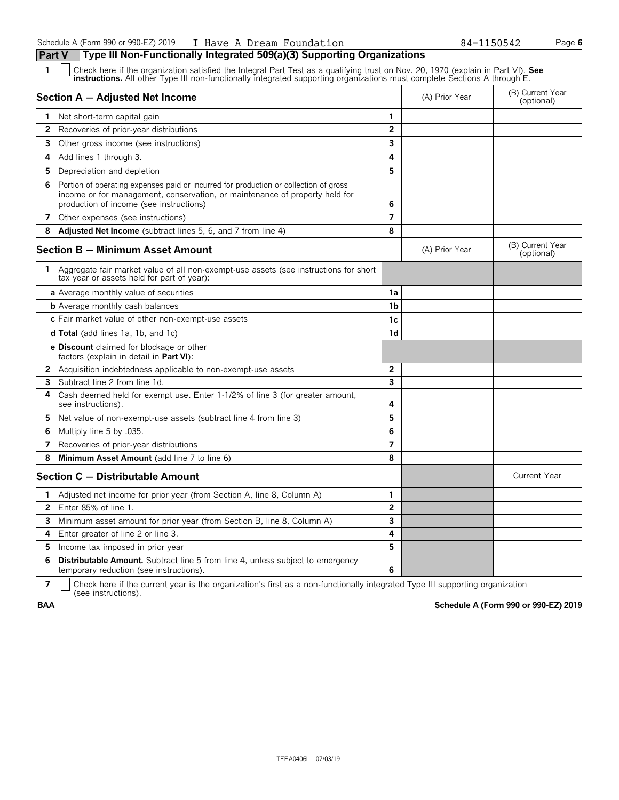| 1              | Check here if the organization satisfied the Integral Part Test as a qualifying trust on Nov. 20, 1970 (explain in Part VI). See<br><b>instructions.</b> All other Type III non-functionally integrated supporting organizations must complete Sections A through E. |                |                |                                |
|----------------|----------------------------------------------------------------------------------------------------------------------------------------------------------------------------------------------------------------------------------------------------------------------|----------------|----------------|--------------------------------|
|                | Section A - Adjusted Net Income                                                                                                                                                                                                                                      |                | (A) Prior Year | (B) Current Year<br>(optional) |
|                | 1 Net short-term capital gain                                                                                                                                                                                                                                        | 1              |                |                                |
| $\overline{2}$ | Recoveries of prior-year distributions                                                                                                                                                                                                                               | $\overline{2}$ |                |                                |
| 3              | Other gross income (see instructions)                                                                                                                                                                                                                                | $\overline{3}$ |                |                                |
| 4              | Add lines 1 through 3.                                                                                                                                                                                                                                               | 4              |                |                                |
| 5.             | Depreciation and depletion                                                                                                                                                                                                                                           | 5              |                |                                |
|                | 6 Portion of operating expenses paid or incurred for production or collection of gross<br>income or for management, conservation, or maintenance of property held for<br>production of income (see instructions)                                                     | 6              |                |                                |
| 7              | Other expenses (see instructions)                                                                                                                                                                                                                                    | $\overline{7}$ |                |                                |
| 8              | Adjusted Net Income (subtract lines 5, 6, and 7 from line 4)                                                                                                                                                                                                         | 8              |                |                                |
|                | <b>Section B - Minimum Asset Amount</b>                                                                                                                                                                                                                              |                | (A) Prior Year | (B) Current Year<br>(optional) |
|                | 1 Aggregate fair market value of all non-exempt-use assets (see instructions for short<br>tax year or assets held for part of year):                                                                                                                                 |                |                |                                |
|                | a Average monthly value of securities                                                                                                                                                                                                                                | 1a             |                |                                |
|                | <b>b</b> Average monthly cash balances                                                                                                                                                                                                                               | 1 <sub>b</sub> |                |                                |
|                | c Fair market value of other non-exempt-use assets                                                                                                                                                                                                                   | 1 <sub>c</sub> |                |                                |
|                | <b>d Total</b> (add lines 1a, 1b, and 1c)                                                                                                                                                                                                                            | 1d             |                |                                |
|                | <b>e Discount</b> claimed for blockage or other<br>factors (explain in detail in Part VI):                                                                                                                                                                           |                |                |                                |
|                | 2 Acquisition indebtedness applicable to non-exempt-use assets                                                                                                                                                                                                       | $\overline{2}$ |                |                                |
| 3              | Subtract line 2 from line 1d.                                                                                                                                                                                                                                        | $\mathbf{3}$   |                |                                |
| 4              | Cash deemed held for exempt use. Enter 1-1/2% of line 3 (for greater amount,<br>see instructions).                                                                                                                                                                   | 4              |                |                                |
| 5.             | Net value of non-exempt-use assets (subtract line 4 from line 3)                                                                                                                                                                                                     | 5              |                |                                |
| 6              | Multiply line 5 by .035.                                                                                                                                                                                                                                             | 6              |                |                                |
| $\overline{ }$ | Recoveries of prior-year distributions                                                                                                                                                                                                                               | $\overline{7}$ |                |                                |
| 8              | Minimum Asset Amount (add line 7 to line 6)                                                                                                                                                                                                                          | 8              |                |                                |
|                | Section C - Distributable Amount                                                                                                                                                                                                                                     |                |                | <b>Current Year</b>            |
| 1              | Adjusted net income for prior year (from Section A, line 8, Column A)                                                                                                                                                                                                | 1              |                |                                |
| $\mathbf{2}$   | Enter 85% of line 1.                                                                                                                                                                                                                                                 | $\overline{2}$ |                |                                |
| 3              | Minimum asset amount for prior year (from Section B, line 8, Column A)                                                                                                                                                                                               | $\mathbf{3}$   |                |                                |
| 4              | Enter greater of line 2 or line 3.                                                                                                                                                                                                                                   | 4              |                |                                |
| 5              | Income tax imposed in prior year                                                                                                                                                                                                                                     | 5              |                |                                |
| 6              | <b>Distributable Amount.</b> Subtract line 5 from line 4, unless subject to emergency<br>temporary reduction (see instructions).                                                                                                                                     | 6              |                |                                |

**7**  $\mid$  Check here if the current year is the organization's first as a non-functionally integrated Type III supporting organization (see instructions).

**BAA Schedule A (Form 990 or 990-EZ) 2019**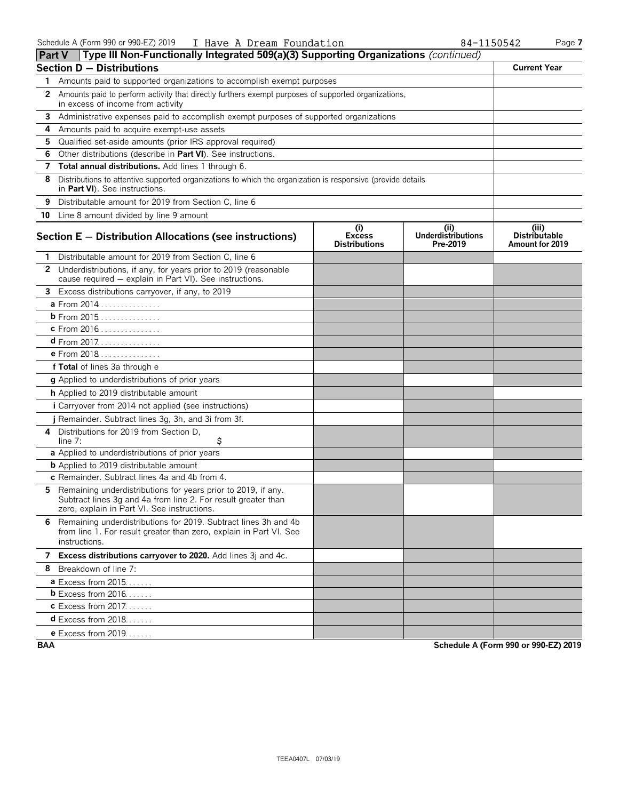| <b>Part V</b> | Type III Non-Functionally Integrated 509(a)(3) Supporting Organizations (continued)                                                                                           |                                              |                                        |                                                  |
|---------------|-------------------------------------------------------------------------------------------------------------------------------------------------------------------------------|----------------------------------------------|----------------------------------------|--------------------------------------------------|
|               | <b>Section D - Distributions</b>                                                                                                                                              |                                              |                                        | <b>Current Year</b>                              |
| 1.            | Amounts paid to supported organizations to accomplish exempt purposes                                                                                                         |                                              |                                        |                                                  |
| 2             | Amounts paid to perform activity that directly furthers exempt purposes of supported organizations,<br>in excess of income from activity                                      |                                              |                                        |                                                  |
| 3             | Administrative expenses paid to accomplish exempt purposes of supported organizations                                                                                         |                                              |                                        |                                                  |
| 4             | Amounts paid to acquire exempt-use assets                                                                                                                                     |                                              |                                        |                                                  |
| 5             | Qualified set-aside amounts (prior IRS approval required)                                                                                                                     |                                              |                                        |                                                  |
| 6             | Other distributions (describe in Part VI). See instructions.                                                                                                                  |                                              |                                        |                                                  |
| 7             | Total annual distributions. Add lines 1 through 6.                                                                                                                            |                                              |                                        |                                                  |
| 8             | Distributions to attentive supported organizations to which the organization is responsive (provide details<br>in Part VI). See instructions.                                 |                                              |                                        |                                                  |
| 9             | Distributable amount for 2019 from Section C, line 6                                                                                                                          |                                              |                                        |                                                  |
|               | 10 Line 8 amount divided by line 9 amount                                                                                                                                     |                                              |                                        |                                                  |
|               | Section $E -$ Distribution Allocations (see instructions)                                                                                                                     | (i)<br><b>Excess</b><br><b>Distributions</b> | (ii)<br>Underdistributions<br>Pre-2019 | (iii)<br><b>Distributable</b><br>Amount for 2019 |
|               | Distributable amount for 2019 from Section C, line 6                                                                                                                          |                                              |                                        |                                                  |
|               | 2 Underdistributions, if any, for years prior to 2019 (reasonable<br>cause required - explain in Part VI). See instructions.                                                  |                                              |                                        |                                                  |
| 3             | Excess distributions carryover, if any, to 2019                                                                                                                               |                                              |                                        |                                                  |
|               | a From 2014                                                                                                                                                                   |                                              |                                        |                                                  |
|               | $b$ From 2015                                                                                                                                                                 |                                              |                                        |                                                  |
|               | c From 2016                                                                                                                                                                   |                                              |                                        |                                                  |
|               | <b>d</b> From 2017.                                                                                                                                                           |                                              |                                        |                                                  |
|               | <b>e</b> From 2018                                                                                                                                                            |                                              |                                        |                                                  |
|               | f Total of lines 3a through e                                                                                                                                                 |                                              |                                        |                                                  |
|               | g Applied to underdistributions of prior years                                                                                                                                |                                              |                                        |                                                  |
|               | h Applied to 2019 distributable amount                                                                                                                                        |                                              |                                        |                                                  |
|               | <i>i</i> Carryover from 2014 not applied (see instructions)                                                                                                                   |                                              |                                        |                                                  |
|               | j Remainder. Subtract lines 3g, 3h, and 3i from 3f.                                                                                                                           |                                              |                                        |                                                  |
| 4             | Distributions for 2019 from Section D.<br>\$<br>line $7:$                                                                                                                     |                                              |                                        |                                                  |
|               | a Applied to underdistributions of prior years                                                                                                                                |                                              |                                        |                                                  |
|               | <b>b</b> Applied to 2019 distributable amount                                                                                                                                 |                                              |                                        |                                                  |
|               | c Remainder. Subtract lines 4a and 4b from 4.                                                                                                                                 |                                              |                                        |                                                  |
| 5.            | Remaining underdistributions for years prior to 2019, if any.<br>Subtract lines 3g and 4a from line 2. For result greater than<br>zero, explain in Part VI. See instructions. |                                              |                                        |                                                  |
|               | 6 Remaining underdistributions for 2019. Subtract lines 3h and 4b<br>from line 1. For result greater than zero, explain in Part VI. See<br>instructions.                      |                                              |                                        |                                                  |
|               | 7 Excess distributions carryover to 2020. Add lines 3j and 4c.                                                                                                                |                                              |                                        |                                                  |
|               | 8 Breakdown of line 7:                                                                                                                                                        |                                              |                                        |                                                  |
|               | $a$ Excess from 2015.                                                                                                                                                         |                                              |                                        |                                                  |
|               | <b>b</b> Excess from 2016                                                                                                                                                     |                                              |                                        |                                                  |
|               | <b>c</b> Excess from 2017.                                                                                                                                                    |                                              |                                        |                                                  |
|               | $d$ Excess from 2018                                                                                                                                                          |                                              |                                        |                                                  |
|               | <b>e</b> Excess from 2019.                                                                                                                                                    |                                              |                                        |                                                  |

**BAA Schedule A (Form 990 or 990-EZ) 2019**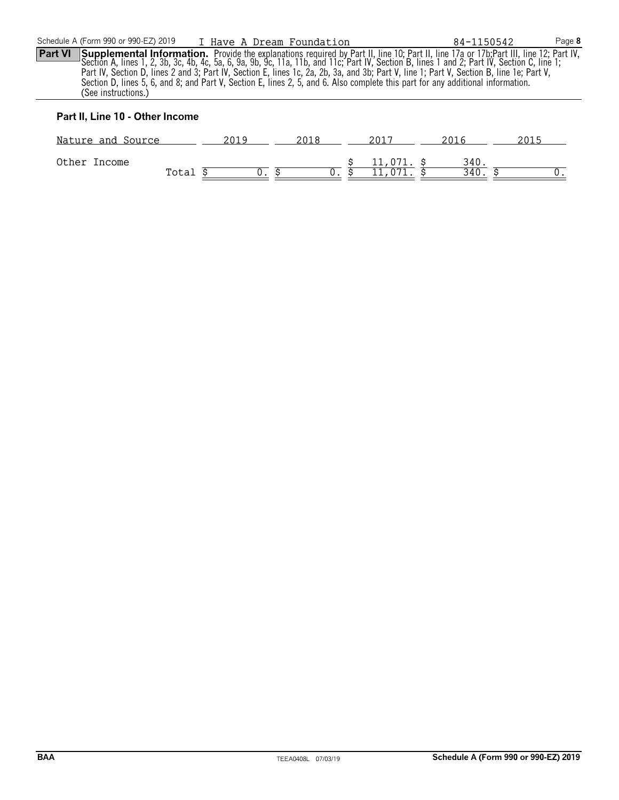Part VI Supplemental Information. Provide the explanations required by Part II, line 10; Part II, line 17a or 17b;Part III, line 12; Part IV,<br>Section A, lines 1, 2, 3b, 3c, 4b, 4c, 5a, 6, 9a, 9b, 9c, 11a, 11b, and 11c; Par Part IV, Section D, lines 2 and 3; Part IV, Section E, lines 1c, 2a, 2b, 3a, and 3b; Part V, line 1; Part V, Section B, line 1e; Part V, Section D, lines 5, 6, and 8; and Part V, Section E, lines 2, 5, and 6. Also complete this part for any additional information. (See instructions.)

## **Part II, Line 10 - Other Income**

| Nature and Source |       |  |  |            |     |  |
|-------------------|-------|--|--|------------|-----|--|
| Other Income      | Total |  |  | 11,071. \$ | 340 |  |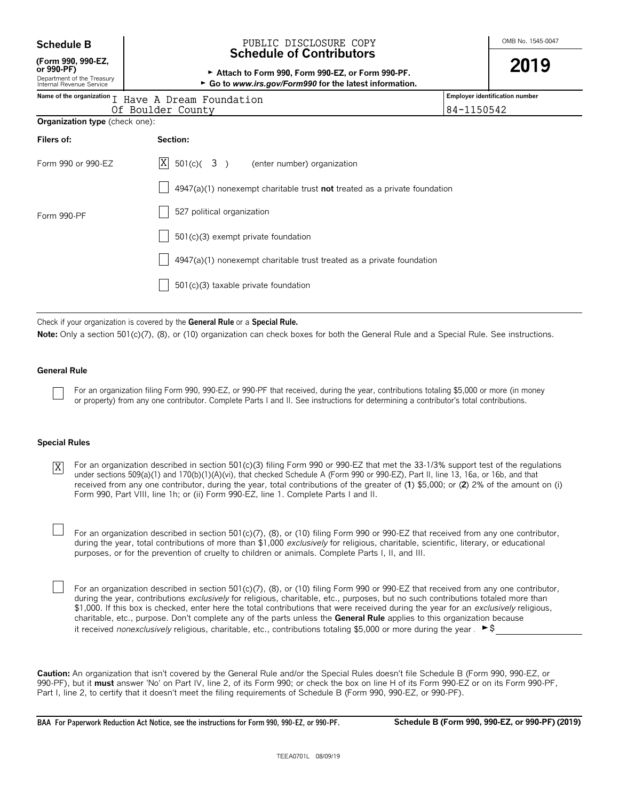| <b>Schedule B</b> |  |
|-------------------|--|
|-------------------|--|

**(Form 990, 990-EZ,**

#### OMB No. 1545-0047 **Schedule B** PUBLIC DISCLOSURE COPY **Schedule of Contributors**

| ×<br>٦ | ×<br>I |
|--------|--------|
|        |        |

| (Form 990, 990-EZ,<br>or 990-PF)<br>Department of the Treasury<br>Internal Revenue Service | Attach to Form 990, Form 990-EZ, or Form 990-PF.<br>► Go to www.irs.gov/Form990 for the latest information. | 2019                                  |
|--------------------------------------------------------------------------------------------|-------------------------------------------------------------------------------------------------------------|---------------------------------------|
|                                                                                            | Name of the organization I Have A Dream Foundation                                                          | <b>Employer identification number</b> |
|                                                                                            | Of Boulder County                                                                                           | 84-1150542                            |
| Organization type (check one):                                                             |                                                                                                             |                                       |
| Filers of:                                                                                 | Section:                                                                                                    |                                       |
| Form 990 or 990-EZ                                                                         | X<br>$501(c)$ ( 3 )<br>(enter number) organization                                                          |                                       |
|                                                                                            | $4947(a)(1)$ nonexempt charitable trust <b>not</b> treated as a private foundation                          |                                       |
| Form 990-PF                                                                                | 527 political organization                                                                                  |                                       |
|                                                                                            | $501(c)(3)$ exempt private foundation                                                                       |                                       |
|                                                                                            | $4947(a)(1)$ nonexempt charitable trust treated as a private foundation                                     |                                       |
|                                                                                            | 501(c)(3) taxable private foundation                                                                        |                                       |

Check if your organization is covered by the **General Rule** or a **Special Rule.**

**Note:** Only a section 501(c)(7), (8), or (10) organization can check boxes for both the General Rule and a Special Rule. See instructions.

#### **General Rule**

For an organization filing Form 990, 990-EZ, or 990-PF that received, during the year, contributions totaling \$5,000 or more (in money or property) from any one contributor. Complete Parts I and II. See instructions for determining a contributor's total contributions.

#### **Special Rules**

- For an organization described in section 501(c)(3) filing Form 990 or 990-EZ that met the 33-1/3% support test of the regulations under sections 509(a)(1) and 170(b)(1)(A)(vi), that checked Schedule A (Form 990 or 990-EZ), Part II, line 13, 16a, or 16b, and that received from any one contributor, during the year, total contributions of the greater of (**1**) \$5,000; or (**2**) 2% of the amount on (i) Form 990, Part VIII, line 1h; or (ii) Form 990-EZ, line 1. Complete Parts I and II. X
	- For an organization described in section 501(c)(7), (8), or (10) filing Form 990 or 990-EZ that received from any one contributor, during the year, total contributions of more than \$1,000 *exclusively* for religious, charitable, scientific, literary, or educational purposes, or for the prevention of cruelty to children or animals. Complete Parts I, II, and III.

For an organization described in section 501(c)(7), (8), or (10) filing Form 990 or 990-EZ that received from any one contributor, during the year, contributions *exclusively* for religious, charitable, etc., purposes, but no such contributions totaled more than \$1,000. If this box is checked, enter here the total contributions that were received during the year for an *exclusively* religious, charitable, etc., purpose. Don't complete any of the parts unless the **General Rule** applies to this organization because it received *nonexclusively* religious, charitable, etc., contributions totaling \$5,000 or more during the year .  $\blacktriangleright$ \$

**Caution:** An organization that isn't covered by the General Rule and/or the Special Rules doesn't file Schedule B (Form 990, 990-EZ, or 990-PF), but it **must** answer 'No' on Part IV, line 2, of its Form 990; or check the box on line H of its Form 990-EZ or on its Form 990-PF, Part I, line 2, to certify that it doesn't meet the filing requirements of Schedule B (Form 990, 990-EZ, or 990-PF).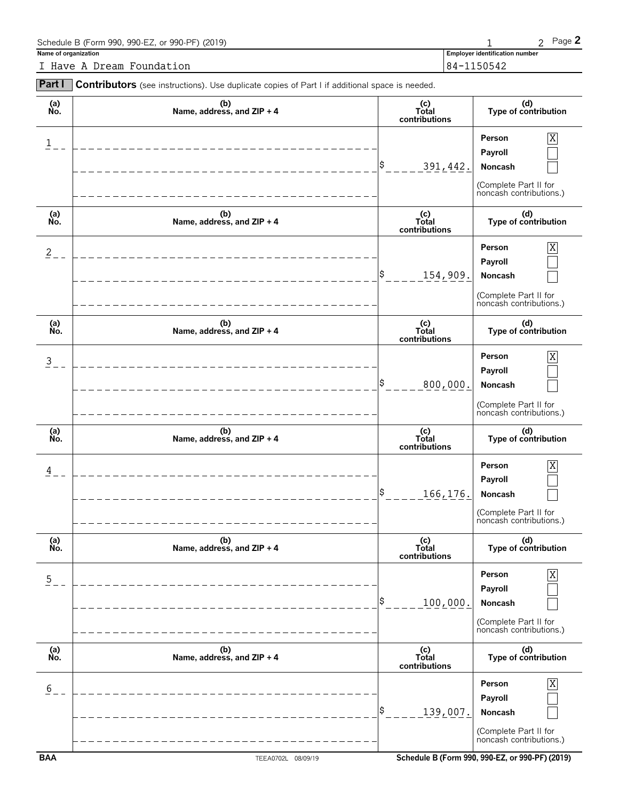| Schedule B (Form 990, 990-EZ, or 990-PF) (2019) |                                       | Page $\blacktriangle$ |
|-------------------------------------------------|---------------------------------------|-----------------------|
| Name of organization                            | <b>Employer identification number</b> |                       |
| I Have A Dream Foundation                       | 84-1150542                            |                       |

| Part I         | Contributors (see instructions). Use duplicate copies of Part I if additional space is needed. |                                 |                                                                                       |
|----------------|------------------------------------------------------------------------------------------------|---------------------------------|---------------------------------------------------------------------------------------|
| (a)<br>No.     | (b)<br>Name, address, and ZIP + 4                                                              | (c)<br>Total<br>contributions   | (d)<br>Type of contribution                                                           |
| $\mathbf{1}$   |                                                                                                | 391,442.                        | Person<br>Payroll<br>Noncash<br>(Complete Part II for<br>noncash contributions.)      |
| (a)<br>No.     | (b)<br>Name, address, and ZIP + 4                                                              | $(c)$<br>Total<br>contributions | (d)<br>Type of contribution                                                           |
| $\overline{2}$ |                                                                                                | 154,909.                        | Χ<br>Person<br>Payroll<br>Noncash<br>(Complete Part II for<br>noncash contributions.) |
| (a)<br>No.     | (b)<br>Name, address, and ZIP + 4                                                              | (c)<br>Total<br>contributions   | (d)<br>Type of contribution                                                           |
| $\overline{3}$ |                                                                                                | 800,000.                        | Χ<br>Person<br>Payroll<br>Noncash<br>(Complete Part II for<br>noncash contributions.) |
| (a)<br>No.     | (b)<br>Name, address, and ZIP + 4                                                              | (c)<br>Total<br>contributions   | (d)<br>Type of contribution                                                           |
| 4              |                                                                                                | 166, 176.                       | Χ<br>Person<br>Payroll<br>Noncash<br>(Complete Part II for<br>noncash contributions.) |
| (a)<br>No.     | (b)<br>Name, address, and ZIP + 4                                                              | (c)<br>Total<br>contributions   | (d)<br>Type of contribution                                                           |
| $\overline{5}$ |                                                                                                | 100,000.                        | X<br>Person<br>Payroll<br>Noncash<br>(Complete Part II for<br>noncash contributions.) |
| (a)<br>No.     | (b)<br>Name, address, and ZIP + 4                                                              | (c)<br>Total<br>contributions   | (d)<br>Type of contribution                                                           |
| 6              |                                                                                                | 139,007.                        | Χ<br>Person<br>Payroll<br>Noncash<br>(Complete Part II for<br>noncash contributions.) |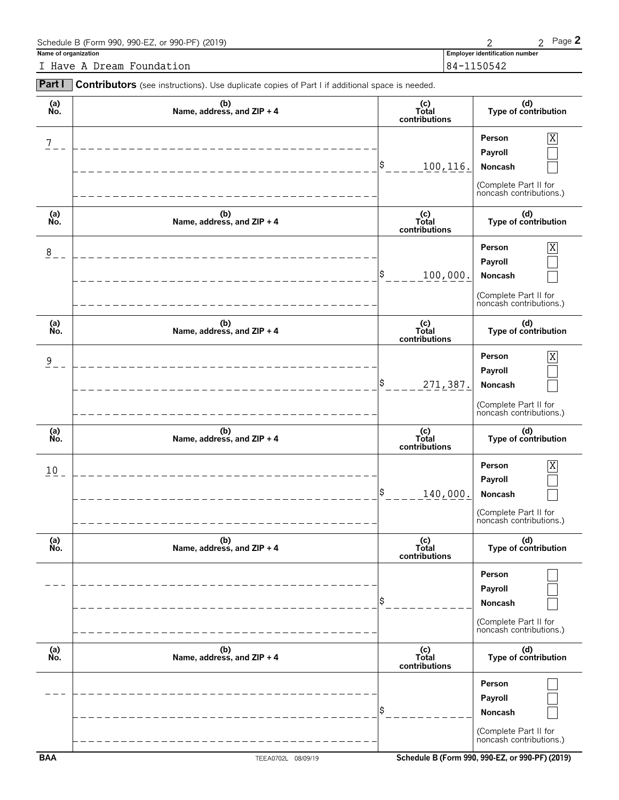| Schedule B (Form 990, 990-EZ, or 990-PF) (2019) |                                       | Page $\angle$ |
|-------------------------------------------------|---------------------------------------|---------------|
| Name of organization                            | <b>Employer identification number</b> |               |
| I Have A Dream Foundation                       | 84-1150542                            |               |

|                | Contributors (see instructions). Use duplicate copies of Part I if additional space is needed. |                               |                                                                                       |
|----------------|------------------------------------------------------------------------------------------------|-------------------------------|---------------------------------------------------------------------------------------|
| (a)<br>No.     | (b)<br>Name, address, and ZIP + 4                                                              | (c)<br>Total<br>contributions | (d)<br>Type of contribution                                                           |
| 7              |                                                                                                | \$<br>100,116.                | Person<br>Χ<br>Payroll<br>Noncash<br>(Complete Part II for<br>noncash contributions.) |
| (a)<br>No.     | (b)<br>Name, address, and ZIP + 4                                                              | (c)<br>Total<br>contributions | (d)<br>Type of contribution                                                           |
| 8              |                                                                                                | \$<br>100,000.                | X<br>Person<br>Payroll<br>Noncash<br>(Complete Part II for<br>noncash contributions.) |
| (a)<br>No.     | (b)<br>Name, address, and ZIP + 4                                                              | (c)<br>Total<br>contributions | (d)<br>Type of contribution                                                           |
| $\overline{9}$ |                                                                                                | \$<br>271,387.                | Person<br>X<br>Payroll<br>Noncash<br>(Complete Part II for<br>noncash contributions.) |
| (a)<br>No.     | (b)<br>Name, address, and ZIP + 4                                                              | (c)<br>Total<br>contributions | (d)<br>Type of contribution                                                           |
|                |                                                                                                |                               |                                                                                       |
| 10             |                                                                                                | \$<br>140,000.                | Person<br>X<br>Payroll<br>Noncash<br>(Complete Part II for<br>noncash contributions.) |
| (a)<br>No.     | (b)<br>Name, address, and ZIP + 4                                                              | (c)<br>Total<br>contributions | (d)<br>Type of contribution                                                           |
|                |                                                                                                | \$                            | Person<br>Payroll<br>Noncash<br>(Complete Part II for<br>noncash contributions.)      |
| (a)<br>No.     | (b)<br>Name, address, and ZIP + 4                                                              | (c)<br>Total<br>contributions | (d)<br>Type of contribution                                                           |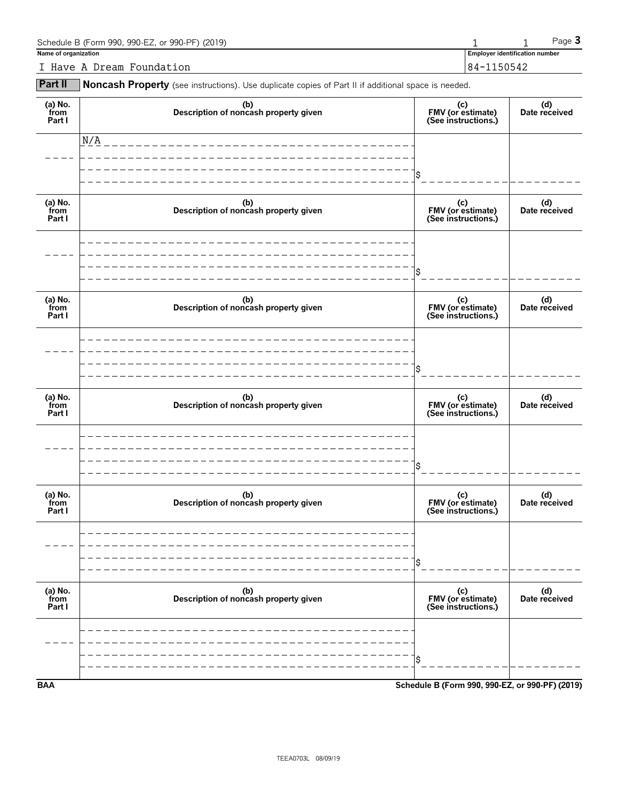| Schedule B (Form 990, 990-EZ, or 990-PF) (2019) |            |                                       | Page $\mathbf 3$ |  |
|-------------------------------------------------|------------|---------------------------------------|------------------|--|
| Name of organization                            |            | <b>Employer identification number</b> |                  |  |
| I Have A Dream Foundation                       | 84-1150542 |                                       |                  |  |

**Part II** Noncash Property (see instructions). Use duplicate copies of Part II if additional space is needed.

| (a) No.<br>from<br>Part I | (b)<br>Description of noncash property given | (c)<br>FMV (or estimate)<br>(See instructions.) | (d)<br>Date received |
|---------------------------|----------------------------------------------|-------------------------------------------------|----------------------|
|                           | N/A                                          |                                                 |                      |
|                           |                                              | \$                                              |                      |
| (a) No.<br>from<br>Part I | (b)<br>Description of noncash property given | (c)<br>FMV (or estimate)<br>(See instructions.) | (d)<br>Date received |
|                           |                                              |                                                 |                      |
|                           |                                              | \$                                              |                      |
| (a) No.<br>from<br>Part I | (b)<br>Description of noncash property given | (c)<br>FMV (or estimate)<br>(See instructions.) | (d)<br>Date received |
|                           |                                              |                                                 |                      |
|                           |                                              | \$                                              |                      |
| (a) No.<br>from<br>Part I | (b)<br>Description of noncash property given | (c)<br>FMV (or estimate)<br>(See instructions.) | (d)<br>Date received |
|                           |                                              |                                                 |                      |
|                           |                                              | \$                                              |                      |
| (a) No.<br>from<br>Part I | (b)<br>Description of noncash property given | (c)<br>FMV (or estimate)<br>(See instructions.) | (d)<br>Date received |
|                           |                                              |                                                 |                      |
|                           |                                              | \$                                              |                      |
| (a) No.<br>from<br>Part I | (b)<br>Description of noncash property given | (c)<br>FMV (or estimate)<br>(See instructions.) | (d)<br>Date received |
|                           |                                              |                                                 |                      |
|                           |                                              | \$                                              |                      |
| <b>BAA</b>                |                                              | Schedule B (Form 990, 990-EZ, or 990-PF) (2019) |                      |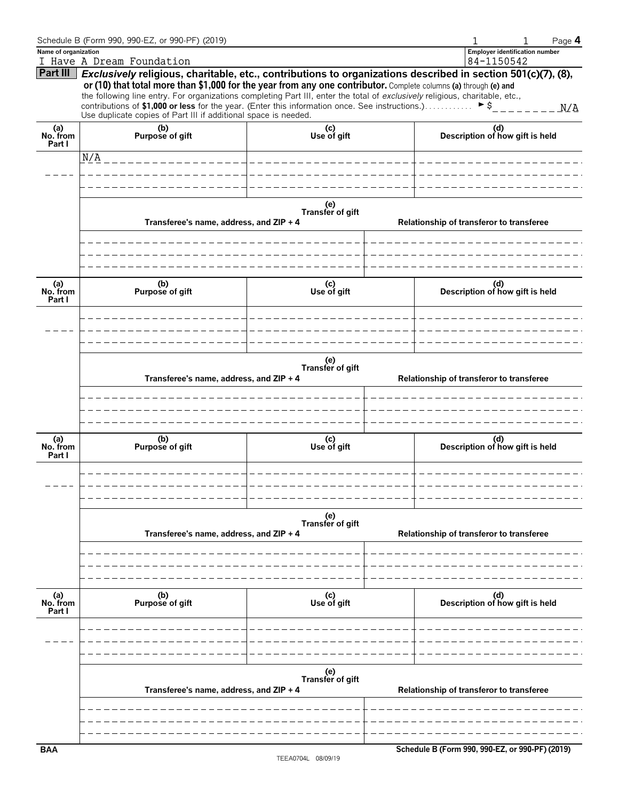|                           | Schedule B (Form 990, 990-EZ, or 990-PF) (2019)                                                                                                                                                                                                                                                                                                                                                                                                                                                                                                                     |                         | Page 4                                              |
|---------------------------|---------------------------------------------------------------------------------------------------------------------------------------------------------------------------------------------------------------------------------------------------------------------------------------------------------------------------------------------------------------------------------------------------------------------------------------------------------------------------------------------------------------------------------------------------------------------|-------------------------|-----------------------------------------------------|
| Name of organization      | I Have A Dream Foundation                                                                                                                                                                                                                                                                                                                                                                                                                                                                                                                                           |                         | <b>Employer identification number</b><br>84-1150542 |
|                           | Part III Exclusively religious, charitable, etc., contributions to organizations described in section 501(c)(7), (8),<br>or (10) that total more than \$1,000 for the year from any one contributor. Complete columns (a) through (e) and<br>the following line entry. For organizations completing Part III, enter the total of exclusively religious, charitable, etc.,<br>contributions of \$1,000 or less for the year. (Enter this information once. See instructions.) $\triangleright$ \$<br>Use duplicate copies of Part III if additional space is needed. |                         |                                                     |
| (a)<br>No. from<br>Part I | (b)<br>Purpose of gift                                                                                                                                                                                                                                                                                                                                                                                                                                                                                                                                              | (c)<br>Use of gift      | (d)<br>Description of how gift is held              |
|                           |                                                                                                                                                                                                                                                                                                                                                                                                                                                                                                                                                                     | _____________________   |                                                     |
|                           |                                                                                                                                                                                                                                                                                                                                                                                                                                                                                                                                                                     |                         |                                                     |
|                           |                                                                                                                                                                                                                                                                                                                                                                                                                                                                                                                                                                     |                         |                                                     |
|                           | Transferee's name, address, and ZIP + 4                                                                                                                                                                                                                                                                                                                                                                                                                                                                                                                             | (e)<br>Transfer of gift | Relationship of transferor to transferee            |
| (a)<br>No. from           | (b)<br>Purpose of gift                                                                                                                                                                                                                                                                                                                                                                                                                                                                                                                                              | (c)<br>Use of gift      | (d)<br>Description of how gift is held              |
| Part I                    |                                                                                                                                                                                                                                                                                                                                                                                                                                                                                                                                                                     |                         |                                                     |
|                           | Transferee's name, address, and ZIP + 4                                                                                                                                                                                                                                                                                                                                                                                                                                                                                                                             | (e)<br>Transfer of gift | Relationship of transferor to transferee            |
| (a)<br>No. from<br>Part I | (b)<br>Purpose of gift                                                                                                                                                                                                                                                                                                                                                                                                                                                                                                                                              | (c)<br>Use of gift      | (d)<br>Description of how gift is held              |
|                           |                                                                                                                                                                                                                                                                                                                                                                                                                                                                                                                                                                     |                         |                                                     |
|                           | Transferee's name, address, and ZIP + 4                                                                                                                                                                                                                                                                                                                                                                                                                                                                                                                             | (e)<br>Transfer of gift | Relationship of transferor to transferee            |
| (a)<br>No. from<br>Part I | (b)<br>Purpose of gift                                                                                                                                                                                                                                                                                                                                                                                                                                                                                                                                              | (c)<br>Use of gift      | (d)<br>Description of how gift is held              |
|                           |                                                                                                                                                                                                                                                                                                                                                                                                                                                                                                                                                                     |                         |                                                     |
|                           | Transferee's name, address, and ZIP + 4                                                                                                                                                                                                                                                                                                                                                                                                                                                                                                                             | (e)<br>Transfer of gift | Relationship of transferor to transferee            |
| <b>BAA</b>                |                                                                                                                                                                                                                                                                                                                                                                                                                                                                                                                                                                     |                         | Schedule B (Form 990, 990-EZ, or 990-PF) (2019)     |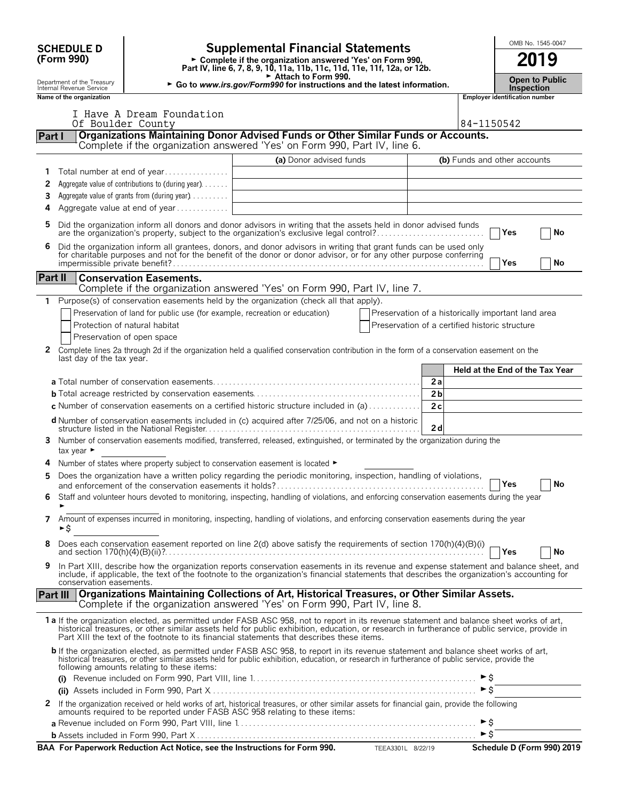|                 | <b>SCHEDULE D</b>                                      |                                                                                | <b>Supplemental Financial Statements</b>                                                                                                                                                                                                                                                                                                                                               |                                                    |                       |                     |                                       | OMB No. 1545-0047               |
|-----------------|--------------------------------------------------------|--------------------------------------------------------------------------------|----------------------------------------------------------------------------------------------------------------------------------------------------------------------------------------------------------------------------------------------------------------------------------------------------------------------------------------------------------------------------------------|----------------------------------------------------|-----------------------|---------------------|---------------------------------------|---------------------------------|
|                 | (Form 990)                                             |                                                                                | ► Complete if the organization answered 'Yes' on Form 990,<br>Part IV, line 6, 7, 8, 9, 10, 11a, 11b, 11c, 11d, 11e, 11f, 12a, or 12b.                                                                                                                                                                                                                                                 |                                                    |                       |                     |                                       | 2019                            |
|                 | Department of the Treasury<br>Internal Revenue Service |                                                                                | Attach to Form 990.<br>► Go to www.irs.gov/Form990 for instructions and the latest information.                                                                                                                                                                                                                                                                                        | <b>Inspection</b>                                  | <b>Open to Public</b> |                     |                                       |                                 |
|                 | Name of the organization                               |                                                                                |                                                                                                                                                                                                                                                                                                                                                                                        |                                                    |                       |                     | <b>Employer identification number</b> |                                 |
|                 |                                                        | I Have A Dream Foundation                                                      |                                                                                                                                                                                                                                                                                                                                                                                        |                                                    |                       |                     |                                       |                                 |
|                 | Of Boulder County                                      |                                                                                | Organizations Maintaining Donor Advised Funds or Other Similar Funds or Accounts.                                                                                                                                                                                                                                                                                                      |                                                    |                       | 84-1150542          |                                       |                                 |
| Part I          |                                                        |                                                                                | Complete if the organization answered 'Yes' on Form 990, Part IV, line 6.                                                                                                                                                                                                                                                                                                              |                                                    |                       |                     |                                       |                                 |
|                 |                                                        |                                                                                | (a) Donor advised funds                                                                                                                                                                                                                                                                                                                                                                |                                                    |                       |                     | (b) Funds and other accounts          |                                 |
| 1.              |                                                        | Total number at end of year                                                    |                                                                                                                                                                                                                                                                                                                                                                                        |                                                    |                       |                     |                                       |                                 |
| 2               |                                                        | Aggregate value of contributions to (during year)                              |                                                                                                                                                                                                                                                                                                                                                                                        |                                                    |                       |                     |                                       |                                 |
| 3<br>4          |                                                        | Aggregate value of grants from (during year)<br>Aggregate value at end of year |                                                                                                                                                                                                                                                                                                                                                                                        |                                                    |                       |                     |                                       |                                 |
| 5               |                                                        |                                                                                | Did the organization inform all donors and donor advisors in writing that the assets held in donor advised funds                                                                                                                                                                                                                                                                       |                                                    |                       |                     |                                       |                                 |
| 6               |                                                        |                                                                                | are the organization's property, subject to the organization's exclusive legal control?<br>Did the organization inform all grantees, donors, and donor advisors in writing that grant funds can be used only                                                                                                                                                                           |                                                    |                       |                     | Yes                                   | No                              |
|                 |                                                        |                                                                                | for charitable purposes and not for the benefit of the donor or donor advisor, or for any other purpose conferring                                                                                                                                                                                                                                                                     |                                                    |                       |                     | Yes                                   | No                              |
| Part II         |                                                        | <b>Conservation Easements.</b>                                                 |                                                                                                                                                                                                                                                                                                                                                                                        |                                                    |                       |                     |                                       |                                 |
|                 |                                                        |                                                                                | Complete if the organization answered 'Yes' on Form 990, Part IV, line 7.                                                                                                                                                                                                                                                                                                              |                                                    |                       |                     |                                       |                                 |
| 1.              |                                                        |                                                                                | Purpose(s) of conservation easements held by the organization (check all that apply).                                                                                                                                                                                                                                                                                                  |                                                    |                       |                     |                                       |                                 |
|                 |                                                        | Preservation of land for public use (for example, recreation or education)     |                                                                                                                                                                                                                                                                                                                                                                                        | Preservation of a historically important land area |                       |                     |                                       |                                 |
|                 |                                                        | Protection of natural habitat                                                  |                                                                                                                                                                                                                                                                                                                                                                                        | Preservation of a certified historic structure     |                       |                     |                                       |                                 |
| 2               |                                                        | Preservation of open space                                                     | Complete lines 2a through 2d if the organization held a qualified conservation contribution in the form of a conservation easement on the                                                                                                                                                                                                                                              |                                                    |                       |                     |                                       |                                 |
|                 | last day of the tax year.                              |                                                                                |                                                                                                                                                                                                                                                                                                                                                                                        |                                                    |                       |                     |                                       |                                 |
|                 |                                                        |                                                                                |                                                                                                                                                                                                                                                                                                                                                                                        |                                                    |                       |                     |                                       | Held at the End of the Tax Year |
|                 |                                                        |                                                                                |                                                                                                                                                                                                                                                                                                                                                                                        |                                                    | 2a<br>2 <sub>b</sub>  |                     |                                       |                                 |
|                 |                                                        |                                                                                | c Number of conservation easements on a certified historic structure included in (a)                                                                                                                                                                                                                                                                                                   |                                                    | 2c                    |                     |                                       |                                 |
|                 |                                                        |                                                                                | <b>d</b> Number of conservation easements included in (c) acquired after 7/25/06, and not on a historic                                                                                                                                                                                                                                                                                |                                                    |                       |                     |                                       |                                 |
| 3               |                                                        |                                                                                | Number of conservation easements modified, transferred, released, extinguished, or terminated by the organization during the                                                                                                                                                                                                                                                           |                                                    | 2d                    |                     |                                       |                                 |
|                 | tax year $\blacktriangleright$                         |                                                                                |                                                                                                                                                                                                                                                                                                                                                                                        |                                                    |                       |                     |                                       |                                 |
| 4               |                                                        |                                                                                | Number of states where property subject to conservation easement is located ►                                                                                                                                                                                                                                                                                                          |                                                    |                       |                     |                                       |                                 |
|                 |                                                        |                                                                                | Does the organization have a written policy regarding the periodic monitoring, inspection, handling of violations,                                                                                                                                                                                                                                                                     |                                                    |                       |                     | $\exists$ Yes                         | <b>No</b>                       |
| 6               |                                                        |                                                                                | Staff and volunteer hours devoted to monitoring, inspecting, handling of violations, and enforcing conservation easements during the year                                                                                                                                                                                                                                              |                                                    |                       |                     |                                       |                                 |
| 7               |                                                        |                                                                                | Amount of expenses incurred in monitoring, inspecting, handling of violations, and enforcing conservation easements during the year                                                                                                                                                                                                                                                    |                                                    |                       |                     |                                       |                                 |
|                 | ►\$                                                    |                                                                                |                                                                                                                                                                                                                                                                                                                                                                                        |                                                    |                       |                     |                                       |                                 |
| 8               |                                                        |                                                                                | Does each conservation easement reported on line 2(d) above satisfy the requirements of section 170(h)(4)(B)(i)                                                                                                                                                                                                                                                                        |                                                    |                       |                     | Yes                                   | <b>No</b>                       |
| 9               | conservation easements.                                |                                                                                | In Part XIII, describe how the organization reports conservation easements in its revenue and expense statement and balance sheet, and<br>include, if applicable, the text of the footnote to the organization's financial statements that describes the organization's accounting for                                                                                                 |                                                    |                       |                     |                                       |                                 |
| <b>Part III</b> |                                                        |                                                                                | Organizations Maintaining Collections of Art, Historical Treasures, or Other Similar Assets.<br>Complete if the organization answered 'Yes' on Form 990, Part IV, line 8.                                                                                                                                                                                                              |                                                    |                       |                     |                                       |                                 |
|                 |                                                        |                                                                                | 1a If the organization elected, as permitted under FASB ASC 958, not to report in its revenue statement and balance sheet works of art,<br>historical treasures, or other similar assets held for public exhibition, education, or research in furtherance of public service, provide in<br>Part XIII the text of the footnote to its financial statements that describes these items. |                                                    |                       |                     |                                       |                                 |
|                 |                                                        | following amounts relating to these items:                                     | <b>b</b> If the organization elected, as permitted under FASB ASC 958, to report in its revenue statement and balance sheet works of art,<br>historical treasures, or other similar assets held for public exhibition, education, or research in furtherance of public service, provide the                                                                                            |                                                    |                       |                     |                                       |                                 |
|                 |                                                        |                                                                                |                                                                                                                                                                                                                                                                                                                                                                                        |                                                    |                       | ►s                  |                                       |                                 |
|                 |                                                        |                                                                                |                                                                                                                                                                                                                                                                                                                                                                                        |                                                    |                       | $\triangleright$ \$ |                                       |                                 |
|                 |                                                        |                                                                                | 2 If the organization received or held works of art, historical treasures, or other similar assets for financial gain, provide the following amounts required to be reported under FASB ASC 958 relating to these items:                                                                                                                                                               |                                                    |                       |                     |                                       |                                 |
|                 |                                                        |                                                                                |                                                                                                                                                                                                                                                                                                                                                                                        |                                                    |                       |                     |                                       |                                 |
|                 |                                                        |                                                                                | BAA For Paperwork Reduction Act Notice, see the Instructions for Form 990. TEEA3301L 8/22/19                                                                                                                                                                                                                                                                                           |                                                    |                       |                     |                                       | Schedule D (Form 990) 2019      |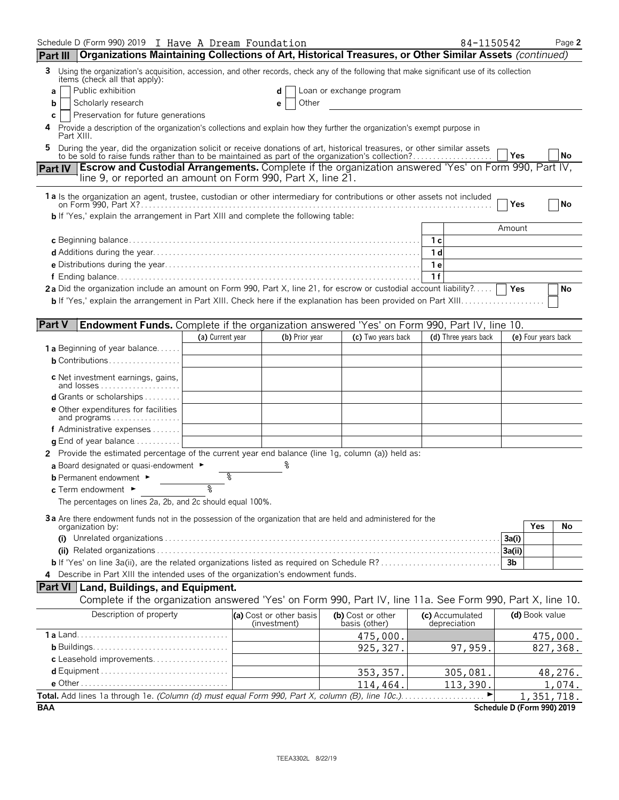| Schedule D (Form 990) 2019 I Have A Dream Foundation<br>Part III   Organizations Maintaining Collections of Art, Historical Treasures, or Other Similar Assets (continued)                                                |                  |                                         |                                    | 84-1150542                      |                                          | Page 2   |
|---------------------------------------------------------------------------------------------------------------------------------------------------------------------------------------------------------------------------|------------------|-----------------------------------------|------------------------------------|---------------------------------|------------------------------------------|----------|
| 3 Using the organization's acquisition, accession, and other records, check any of the following that make significant use of its collection                                                                              |                  |                                         |                                    |                                 |                                          |          |
| items (check all that apply):                                                                                                                                                                                             |                  |                                         |                                    |                                 |                                          |          |
| Public exhibition<br>a<br>Scholarly research<br>b                                                                                                                                                                         |                  | d<br>Other                              | Loan or exchange program           |                                 |                                          |          |
| Preservation for future generations<br>C                                                                                                                                                                                  |                  |                                         |                                    |                                 |                                          |          |
| 4 Provide a description of the organization's collections and explain how they further the organization's exempt purpose in<br>Part XIII.                                                                                 |                  |                                         |                                    |                                 |                                          |          |
| 5.                                                                                                                                                                                                                        |                  |                                         |                                    |                                 |                                          |          |
| During the year, did the organization solicit or receive donations of art, historical treasures, or other similar assets to be sold to raise funds rather than to be maintained as part of the organization's collection? |                  |                                         |                                    |                                 | l Yes                                    | No       |
| Part IV Escrow and Custodial Arrangements. Complete if the organization answered 'Yes' on Form 990, Part IV,<br>line 9, or reported an amount on Form 990, Part X, line 21.                                               |                  |                                         |                                    |                                 |                                          |          |
| 1a Is the organization an agent, trustee, custodian or other intermediary for contributions or other assets not included                                                                                                  |                  |                                         |                                    |                                 |                                          |          |
|                                                                                                                                                                                                                           |                  |                                         |                                    |                                 | Yes                                      | No       |
| <b>b</b> If 'Yes,' explain the arrangement in Part XIII and complete the following table:                                                                                                                                 |                  |                                         |                                    |                                 | Amount                                   |          |
|                                                                                                                                                                                                                           |                  |                                         |                                    |                                 |                                          |          |
|                                                                                                                                                                                                                           |                  |                                         |                                    | 1 d                             |                                          |          |
|                                                                                                                                                                                                                           |                  |                                         |                                    | 1e                              |                                          |          |
|                                                                                                                                                                                                                           |                  |                                         |                                    | 1f                              |                                          |          |
| 2a Did the organization include an amount on Form 990, Part X, line 21, for escrow or custodial account liability?                                                                                                        |                  |                                         |                                    |                                 | <b>Yes</b>                               | No       |
|                                                                                                                                                                                                                           |                  |                                         |                                    |                                 |                                          |          |
|                                                                                                                                                                                                                           |                  |                                         |                                    |                                 |                                          |          |
| <b>Part V</b><br>Endowment Funds. Complete if the organization answered 'Yes' on Form 990, Part IV, line 10.                                                                                                              | (a) Current year | (b) Prior year                          | (c) Two years back                 | (d) Three years back            | (e) Four years back                      |          |
| <b>1 a</b> Beginning of year balance                                                                                                                                                                                      |                  |                                         |                                    |                                 |                                          |          |
| $b$ Contributions                                                                                                                                                                                                         |                  |                                         |                                    |                                 |                                          |          |
|                                                                                                                                                                                                                           |                  |                                         |                                    |                                 |                                          |          |
| <b>c</b> Net investment earnings, gains,<br>and losses                                                                                                                                                                    |                  |                                         |                                    |                                 |                                          |          |
| d Grants or scholarships                                                                                                                                                                                                  |                  |                                         |                                    |                                 |                                          |          |
| <b>e</b> Other expenditures for facilities                                                                                                                                                                                |                  |                                         |                                    |                                 |                                          |          |
| and programs<br>f Administrative expenses                                                                                                                                                                                 |                  |                                         |                                    |                                 |                                          |          |
| <b>q</b> End of year balance $\dots\dots\dots\dots$                                                                                                                                                                       |                  |                                         |                                    |                                 |                                          |          |
| 2 Provide the estimated percentage of the current year end balance (line 1g, column (a)) held as:                                                                                                                         |                  |                                         |                                    |                                 |                                          |          |
| a Board designated or quasi-endowment $\blacktriangleright$                                                                                                                                                               |                  |                                         |                                    |                                 |                                          |          |
| <b>b</b> Permanent endowment ►                                                                                                                                                                                            | g                |                                         |                                    |                                 |                                          |          |
| c Term endowment ►                                                                                                                                                                                                        | ৡ                |                                         |                                    |                                 |                                          |          |
| The percentages on lines 2a, 2b, and 2c should equal 100%.                                                                                                                                                                |                  |                                         |                                    |                                 |                                          |          |
| 3a Are there endowment funds not in the possession of the organization that are held and administered for the                                                                                                             |                  |                                         |                                    |                                 |                                          |          |
| organization by:                                                                                                                                                                                                          |                  |                                         |                                    |                                 | Yes                                      | No       |
|                                                                                                                                                                                                                           |                  |                                         |                                    |                                 | 3a(i)                                    |          |
| <b>b</b> If 'Yes' on line 3a(ii), are the related organizations listed as required on Schedule R?                                                                                                                         |                  |                                         |                                    |                                 | 3a(ii)<br>3 <sub>b</sub>                 |          |
| 4 Describe in Part XIII the intended uses of the organization's endowment funds.                                                                                                                                          |                  |                                         |                                    |                                 |                                          |          |
| <b>Part VI</b> Land, Buildings, and Equipment.                                                                                                                                                                            |                  |                                         |                                    |                                 |                                          |          |
| Complete if the organization answered 'Yes' on Form 990, Part IV, line 11a. See Form 990, Part X, line 10.                                                                                                                |                  |                                         |                                    |                                 |                                          |          |
| Description of property                                                                                                                                                                                                   |                  | (a) Cost or other basis<br>(investment) | (b) Cost or other<br>basis (other) | (c) Accumulated<br>depreciation | (d) Book value                           |          |
|                                                                                                                                                                                                                           |                  |                                         | 475,000.                           |                                 |                                          | 475,000. |
|                                                                                                                                                                                                                           |                  |                                         | 925, 327.                          | 97,959.                         |                                          | 827,368. |
| c Leasehold improvements                                                                                                                                                                                                  |                  |                                         |                                    |                                 |                                          |          |
|                                                                                                                                                                                                                           |                  |                                         | 353, 357.                          | 305,081.                        |                                          | 48,276.  |
|                                                                                                                                                                                                                           |                  |                                         | 114,464.                           | 113,390.                        |                                          | 1,074.   |
| <b>BAA</b>                                                                                                                                                                                                                |                  |                                         |                                    |                                 | 1,351,718.<br>Schedule D (Form 990) 2019 |          |
|                                                                                                                                                                                                                           |                  |                                         |                                    |                                 |                                          |          |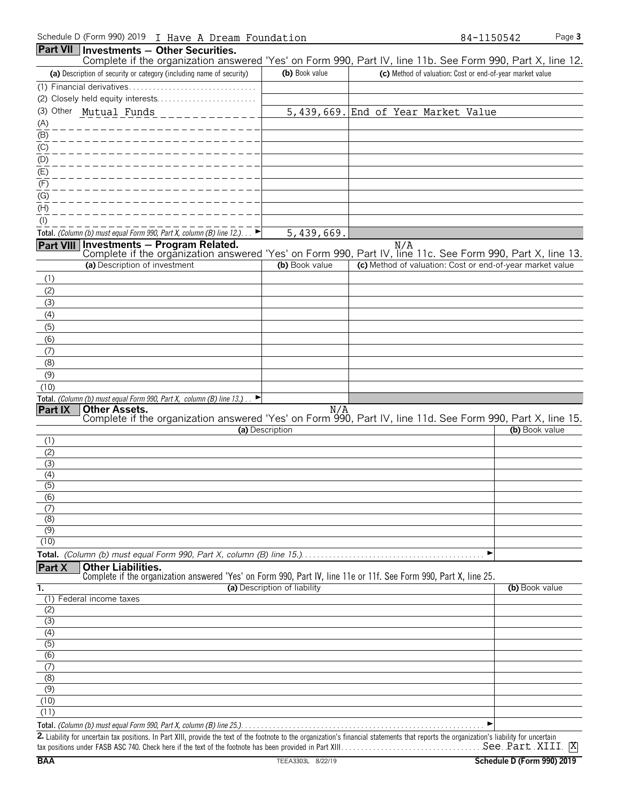|                                       | Part VII   Investments - Other Securities.                                                                                                                                                  |                              |                                                           |                |
|---------------------------------------|---------------------------------------------------------------------------------------------------------------------------------------------------------------------------------------------|------------------------------|-----------------------------------------------------------|----------------|
|                                       | Complete if the organization answered 'Yes' on Form 990, Part IV, line 11b. See Form 990, Part X, line 12.                                                                                  |                              |                                                           |                |
|                                       | (a) Description of security or category (including name of security)                                                                                                                        | (b) Book value               | (c) Method of valuation: Cost or end-of-year market value |                |
|                                       |                                                                                                                                                                                             |                              |                                                           |                |
|                                       | (3) Other Mutual Funds                                                                                                                                                                      |                              | 5,439,669. End of Year Market Value                       |                |
| (A)                                   |                                                                                                                                                                                             |                              |                                                           |                |
| $\overline{(\mathsf{B})}$             |                                                                                                                                                                                             |                              |                                                           |                |
| $\overline{C}$                        |                                                                                                                                                                                             |                              |                                                           |                |
|                                       |                                                                                                                                                                                             |                              |                                                           |                |
| $\frac{\overline{10}}{\overline{10}}$ |                                                                                                                                                                                             |                              |                                                           |                |
| (F)                                   |                                                                                                                                                                                             |                              |                                                           |                |
| (G)                                   |                                                                                                                                                                                             |                              |                                                           |                |
| $\overline{\text{(H)}}$               |                                                                                                                                                                                             |                              |                                                           |                |
| $($ l $)$                             |                                                                                                                                                                                             |                              |                                                           |                |
|                                       | Total. (Column (b) must equal Form 990, Part X, column (B) line 12.)                                                                                                                        | 5,439,669.                   |                                                           |                |
| Part VIII                             | Investments - Program Related.<br>Complete if the organization answered 'Yes' on Form 990, Part IV, line 11c. See Form 990, Part X, line 13.                                                |                              | N/A                                                       |                |
|                                       | (a) Description of investment                                                                                                                                                               | (b) Book value               | (c) Method of valuation: Cost or end-of-year market value |                |
| (1)                                   |                                                                                                                                                                                             |                              |                                                           |                |
| (2)                                   |                                                                                                                                                                                             |                              |                                                           |                |
| (3)                                   |                                                                                                                                                                                             |                              |                                                           |                |
| (4)                                   |                                                                                                                                                                                             |                              |                                                           |                |
| (5)                                   |                                                                                                                                                                                             |                              |                                                           |                |
| (6)                                   |                                                                                                                                                                                             |                              |                                                           |                |
| (7)                                   |                                                                                                                                                                                             |                              |                                                           |                |
| (8)                                   |                                                                                                                                                                                             |                              |                                                           |                |
| (9)                                   |                                                                                                                                                                                             |                              |                                                           |                |
| (10)                                  | Total. (Column (b) must equal Form 990, Part X, column (B) line 13.).<br>►                                                                                                                  |                              |                                                           |                |
| Part IX                               | <b>Other Assets.</b>                                                                                                                                                                        | N/A                          |                                                           |                |
|                                       | Complete if the organization answered 'Yes' on Form 990, Part IV, line 11d. See Form 990, Part X, line 15.                                                                                  |                              |                                                           |                |
| (1)                                   |                                                                                                                                                                                             | (a) Description              |                                                           | (b) Book value |
| (2)                                   |                                                                                                                                                                                             |                              |                                                           |                |
| (3)                                   |                                                                                                                                                                                             |                              |                                                           |                |
| (4)                                   |                                                                                                                                                                                             |                              |                                                           |                |
| $\overline{(5)}$                      |                                                                                                                                                                                             |                              |                                                           |                |
| $\overline{(6)}$                      |                                                                                                                                                                                             |                              |                                                           |                |
| (7)<br>(8)                            |                                                                                                                                                                                             |                              |                                                           |                |
| $\overline{(9)}$                      |                                                                                                                                                                                             |                              |                                                           |                |
| (10)                                  |                                                                                                                                                                                             |                              |                                                           |                |
|                                       |                                                                                                                                                                                             |                              | ▶                                                         |                |
| Part X                                | <b>Other Liabilities.</b>                                                                                                                                                                   |                              |                                                           |                |
|                                       | Complete if the organization answered 'Yes' on Form 990, Part IV, line 11e or 11f. See Form 990, Part X, line 25.                                                                           | (a) Description of liability |                                                           |                |
| 1.                                    | (1) Federal income taxes                                                                                                                                                                    |                              |                                                           | (b) Book value |
| (2)                                   |                                                                                                                                                                                             |                              |                                                           |                |
| (3)                                   |                                                                                                                                                                                             |                              |                                                           |                |
| (4)                                   |                                                                                                                                                                                             |                              |                                                           |                |
| (5)                                   |                                                                                                                                                                                             |                              |                                                           |                |
| (6)                                   |                                                                                                                                                                                             |                              |                                                           |                |
| (7)<br>(8)                            |                                                                                                                                                                                             |                              |                                                           |                |
| (9)                                   |                                                                                                                                                                                             |                              |                                                           |                |
| (10)                                  |                                                                                                                                                                                             |                              |                                                           |                |
| (11)                                  |                                                                                                                                                                                             |                              |                                                           |                |
|                                       |                                                                                                                                                                                             |                              | ▶                                                         |                |
|                                       | 2. Lightlity for uncertain tay nositions, In Part YIII, provide the text of the footnote to the organization's financial statements that reports the organization's lightlity for uncertain |                              |                                                           |                |

x positions. In Part XIII, provide the text of the footnote to the organization's financial statements that reports the orga tax positions under FASB ASC 740. Check here if the text of the footnote has been provided in Part XIII. . . . . . . . . . . . . . . . . . . . . . . . . . . . . . . . . . . . . . . . . . . . . . . . . . . . . . . . X See Part XIII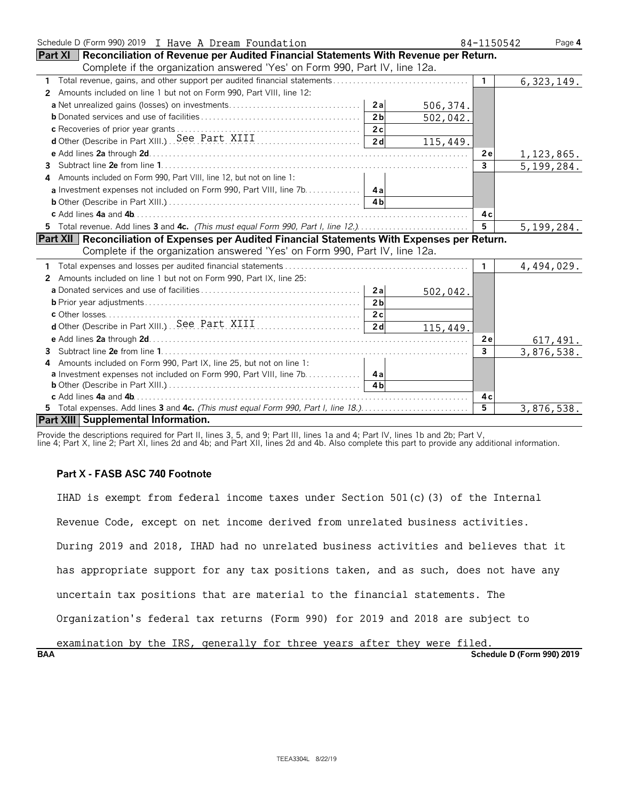| Schedule D (Form 990) 2019 I Have A Dream Foundation                                                  | 84-1150542     | Page 4       |
|-------------------------------------------------------------------------------------------------------|----------------|--------------|
| <b>Part XI</b> Reconciliation of Revenue per Audited Financial Statements With Revenue per Return.    |                |              |
| Complete if the organization answered 'Yes' on Form 990, Part IV, line 12a.                           |                |              |
| $\mathbf{1}$                                                                                          | $\mathbf{1}$   | 6, 323, 149. |
| Amounts included on line 1 but not on Form 990, Part VIII, line 12:<br>2                              |                |              |
| 506, 374.                                                                                             |                |              |
| 2 <sub>b</sub><br>502,042.                                                                            |                |              |
|                                                                                                       |                |              |
| d Other (Describe in Part XIII) See Part XIII (2008)<br>115,449.                                      |                |              |
|                                                                                                       | 2 e            | 1,123,865.   |
| 3.                                                                                                    | $\mathbf{3}$   | 5,199,284.   |
| Amounts included on Form 990, Part VIII, line 12, but not on line 1:                                  |                |              |
| a Investment expenses not included on Form 990, Part VIII, line 7b.   4a                              |                |              |
|                                                                                                       |                |              |
|                                                                                                       | 4с             |              |
| 5 Total revenue. Add lines 3 and 4c. (This must equal Form 990, Part I, line 12.)                     | 5 <sup>5</sup> | 5, 199, 284. |
| <b>Part XII Reconciliation of Expenses per Audited Financial Statements With Expenses per Return.</b> |                |              |
| Complete if the organization answered 'Yes' on Form 990, Part IV, line 12a.                           |                |              |
|                                                                                                       | $\mathbf{1}$   | 4,494,029.   |
| Amounts included on line 1 but not on Form 990, Part IX, line 25:<br>2                                |                |              |
| 502,042.                                                                                              |                |              |
| 2 <sub>b</sub>                                                                                        |                |              |
|                                                                                                       |                |              |
| 2d<br>115,449.                                                                                        |                |              |
|                                                                                                       | 2e             | 617,491.     |
| 3                                                                                                     | 3              | 3,876,538.   |
| Amounts included on Form 990, Part IX, line 25, but not on line 1:<br>4                               |                |              |
| a Investment expenses not included on Form 990, Part VIII, line 7b.   4a                              |                |              |
| <b>4h</b>                                                                                             |                |              |
|                                                                                                       | 4 c            |              |
|                                                                                                       | $\overline{5}$ | 3,876,538.   |
| Part XIII Supplemental Information.                                                                   |                |              |

Provide the descriptions required for Part II, lines 3, 5, and 9; Part III, lines 1a and 4; Part IV, lines 1b and 2b; Part V,

line 4; Part X, line 2; Part XI, lines 2d and 4b; and Part XII, lines 2d and 4b. Also complete this part to provide any additional information.

## **Part X - FASB ASC 740 Footnote**

IHAD is exempt from federal income taxes under Section 501(c)(3) of the Internal Revenue Code, except on net income derived from unrelated business activities. During 2019 and 2018, IHAD had no unrelated business activities and believes that it has appropriate support for any tax positions taken, and as such, does not have any uncertain tax positions that are material to the financial statements. The Organization's federal tax returns (Form 990) for 2019 and 2018 are subject to examination by the IRS, generally for three years after they were filed.

**BAA Schedule D (Form 990) 2019**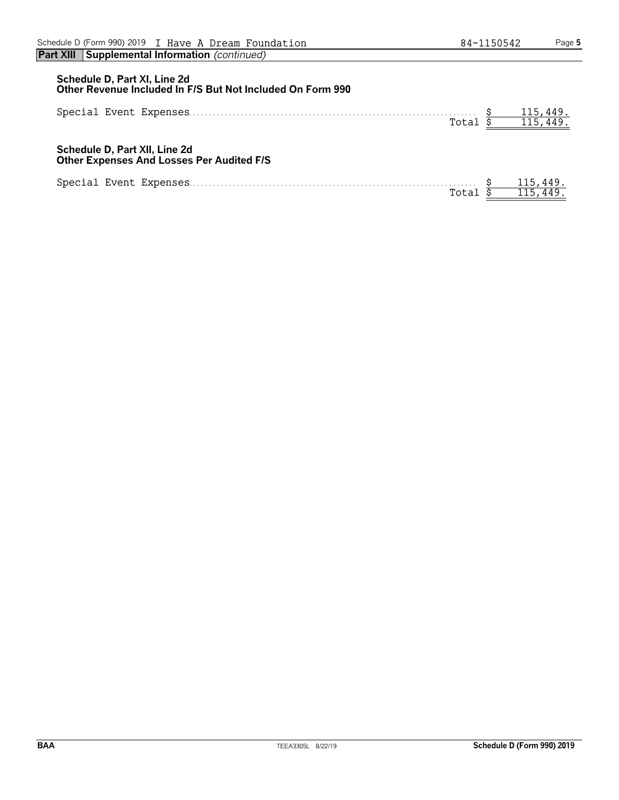## **Schedule D, Part XI, Line 2d Other Revenue Included In F/S But Not Included On Form 990** Special Event Expenses. . . . . . . . . . . . . . . . . . . . . . . . . . . . . . . . . . . . . . . . . . . . . . . . . . . . . . . . . . . . . . . . . . . . . . . . \$ 115,449.  $\frac{115,449.}{115,449.}$ **Schedule D, Part XII, Line 2d Other Expenses And Losses Per Audited F/S**  $\begin{array}{cccccc} \texttt{Special Event Expenses} & \texttt{3} & \texttt{3} & \texttt{5} & \texttt{Total} & \texttt{5} \\ & & \texttt{Total} & \texttt{5} & \texttt{5} & \texttt{6} & \texttt{6} \\ & & \texttt{6} & \texttt{7} & \texttt{8} & \texttt{9} & \texttt{10} \\ & & \texttt{9} & \texttt{10} & \texttt{10} & \texttt{11} & \texttt{11} & \texttt{12} & \texttt{13} \\ \end{array}$  $\frac{115,449.}{115,449.}$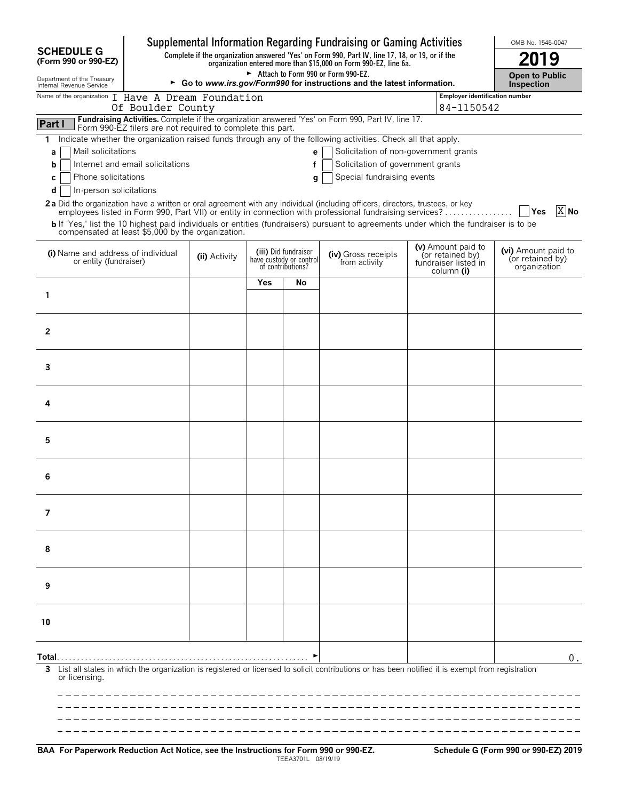|                                                                                                                                                                    |                                                                                                                                                                     |                                                                                                                |     |                                                                      | Supplemental Information Regarding Fundraising or Gaming Activities                                                                                                                                                                              |  |                                                                | OMB No. 1545-0047                                       |
|--------------------------------------------------------------------------------------------------------------------------------------------------------------------|---------------------------------------------------------------------------------------------------------------------------------------------------------------------|----------------------------------------------------------------------------------------------------------------|-----|----------------------------------------------------------------------|--------------------------------------------------------------------------------------------------------------------------------------------------------------------------------------------------------------------------------------------------|--|----------------------------------------------------------------|---------------------------------------------------------|
| <b>SCHEDULE G</b><br>(Form 990 or 990-EZ)                                                                                                                          | Complete if the organization answered 'Yes' on Form 990, Part IV, line 17, 18, or 19, or if the<br>organization entered more than \$15,000 on Form 990-EZ, line 6a. |                                                                                                                |     |                                                                      |                                                                                                                                                                                                                                                  |  | 19                                                             |                                                         |
| Department of the Treasury<br>Internal Revenue Service                                                                                                             |                                                                                                                                                                     | Attach to Form 990 or Form 990-EZ.<br>► Go to www.irs.gov/Form990 for instructions and the latest information. |     |                                                                      |                                                                                                                                                                                                                                                  |  |                                                                | <b>Open to Public</b><br><b>Inspection</b>              |
| Name of the organization I Have A Dream Foundation                                                                                                                 | Of Boulder County                                                                                                                                                   |                                                                                                                |     |                                                                      |                                                                                                                                                                                                                                                  |  | Employer identification number<br>84-1150542                   |                                                         |
| Part I<br>Form 990-EZ filers are not required to complete this part.                                                                                               |                                                                                                                                                                     |                                                                                                                |     |                                                                      | Fundraising Activities. Complete if the organization answered 'Yes' on Form 990, Part IV, line 17.                                                                                                                                               |  |                                                                |                                                         |
| 1.<br>Mail solicitations<br>а<br>Internet and email solicitations<br>b<br>Phone solicitations                                                                      |                                                                                                                                                                     |                                                                                                                |     | e <sub>1</sub><br>f                                                  | Indicate whether the organization raised funds through any of the following activities. Check all that apply.<br>Solicitation of non-government grants<br>Solicitation of government grants<br>Special fundraising events                        |  |                                                                |                                                         |
| c<br>d<br>In-person solicitations<br>2a Did the organization have a written or oral agreement with any individual (including officers, directors, trustees, or key |                                                                                                                                                                     |                                                                                                                |     | q                                                                    | employees listed in Form 990, Part VII) or entity in connection with professional fundraising services?<br>b If 'Yes,' list the 10 highest paid individuals or entities (fundraisers) pursuant to agreements under which the fundraiser is to be |  |                                                                | $X$ No                                                  |
| compensated at least \$5,000 by the organization.<br>(i) Name and address of individual<br>or entity (fundraiser)                                                  |                                                                                                                                                                     | (ii) Activity                                                                                                  |     | (iii) Did fundraiser<br>have custody or control<br>of contributions? | (iv) Gross receipts<br>from activity                                                                                                                                                                                                             |  | (v) Amount paid to<br>(or retained by)<br>fundraiser listed in | (vi) Amount paid to<br>(or retained by)<br>organization |
|                                                                                                                                                                    |                                                                                                                                                                     |                                                                                                                | Yes | No                                                                   |                                                                                                                                                                                                                                                  |  | column (i)                                                     |                                                         |
| 1                                                                                                                                                                  |                                                                                                                                                                     |                                                                                                                |     |                                                                      |                                                                                                                                                                                                                                                  |  |                                                                |                                                         |
| 2                                                                                                                                                                  |                                                                                                                                                                     |                                                                                                                |     |                                                                      |                                                                                                                                                                                                                                                  |  |                                                                |                                                         |
| 3                                                                                                                                                                  |                                                                                                                                                                     |                                                                                                                |     |                                                                      |                                                                                                                                                                                                                                                  |  |                                                                |                                                         |
| 4                                                                                                                                                                  |                                                                                                                                                                     |                                                                                                                |     |                                                                      |                                                                                                                                                                                                                                                  |  |                                                                |                                                         |
| 5                                                                                                                                                                  |                                                                                                                                                                     |                                                                                                                |     |                                                                      |                                                                                                                                                                                                                                                  |  |                                                                |                                                         |
| 6                                                                                                                                                                  |                                                                                                                                                                     |                                                                                                                |     |                                                                      |                                                                                                                                                                                                                                                  |  |                                                                |                                                         |
| 7                                                                                                                                                                  |                                                                                                                                                                     |                                                                                                                |     |                                                                      |                                                                                                                                                                                                                                                  |  |                                                                |                                                         |
| 8                                                                                                                                                                  |                                                                                                                                                                     |                                                                                                                |     |                                                                      |                                                                                                                                                                                                                                                  |  |                                                                |                                                         |
| 9                                                                                                                                                                  |                                                                                                                                                                     |                                                                                                                |     |                                                                      |                                                                                                                                                                                                                                                  |  |                                                                |                                                         |
| 10                                                                                                                                                                 |                                                                                                                                                                     |                                                                                                                |     |                                                                      |                                                                                                                                                                                                                                                  |  |                                                                |                                                         |
| Total…<br>3<br>or licensing.                                                                                                                                       |                                                                                                                                                                     |                                                                                                                |     |                                                                      | List all states in which the organization is registered or licensed to solicit contributions or has been notified it is exempt from registration                                                                                                 |  |                                                                | $0$ .                                                   |
|                                                                                                                                                                    |                                                                                                                                                                     |                                                                                                                |     |                                                                      |                                                                                                                                                                                                                                                  |  |                                                                |                                                         |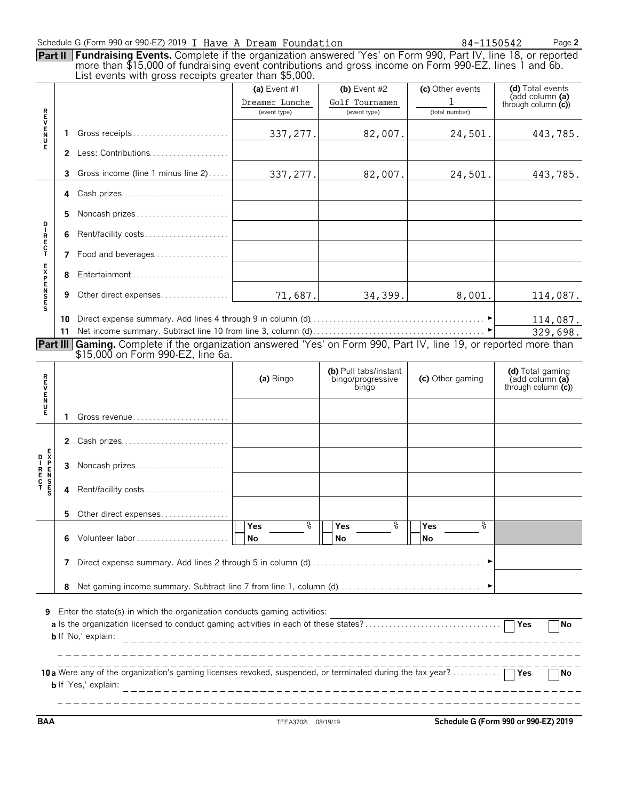|                    | Part II        | Schedule G (Form 990 or 990-EZ) 2019 I Have A Dream Foundation<br>Fundraising Events. Complete if the organization answered 'Yes' on Form 990, Part IV, line 18, or reported<br>more than \$15,000 of fundraising event contributions and gross income on Form 990-EZ, lines 1 and 6b.<br>List events with gross receipts greater than \$5,000. |                                                |                                                     | 84-1150542                              | Page 2                                                                  |
|--------------------|----------------|-------------------------------------------------------------------------------------------------------------------------------------------------------------------------------------------------------------------------------------------------------------------------------------------------------------------------------------------------|------------------------------------------------|-----------------------------------------------------|-----------------------------------------|-------------------------------------------------------------------------|
|                    |                |                                                                                                                                                                                                                                                                                                                                                 | (a) Event #1<br>Dreamer Lunche<br>(event type) | (b) Event $#2$<br>Golf Tournamen<br>(event type)    | (c) Other events<br>1<br>(total number) | (d) Total events<br>(add column (a)<br>through column $(c)$             |
| <b>REVENU</b><br>Е | 1              | 2 Less: Contributions                                                                                                                                                                                                                                                                                                                           | 337,277.                                       | 82,007.                                             | 24,501.                                 | 443,785.                                                                |
|                    | 3              | Gross income (line 1 minus line 2)                                                                                                                                                                                                                                                                                                              | 337, 277.                                      | 82,007.                                             | 24,501.                                 | 443,785.                                                                |
|                    | 4              | Cash prizes                                                                                                                                                                                                                                                                                                                                     |                                                |                                                     |                                         |                                                                         |
|                    | 5.             | Noncash prizes                                                                                                                                                                                                                                                                                                                                  |                                                |                                                     |                                         |                                                                         |
| <b>DIRECT</b>      | 6              | Rent/facility costs                                                                                                                                                                                                                                                                                                                             |                                                |                                                     |                                         |                                                                         |
|                    | 7              | Food and beverages                                                                                                                                                                                                                                                                                                                              |                                                |                                                     |                                         |                                                                         |
| <b>EXPENSES</b>    | 8              |                                                                                                                                                                                                                                                                                                                                                 |                                                |                                                     |                                         |                                                                         |
|                    | 9              | Other direct expenses                                                                                                                                                                                                                                                                                                                           | 71,687.                                        | 34,399.                                             | 8,001.                                  | 114,087.                                                                |
| <b>REVENDE</b>     | 11<br>Part III | Gaming. Complete if the organization answered 'Yes' on Form 990, Part IV, line 19, or reported more than<br>\$15,000 on Form 990-EZ, line 6a.                                                                                                                                                                                                   | (a) Bingo                                      | (b) Pull tabs/instant<br>bingo/progressive<br>bingo | (c) Other gaming                        | 329,698.<br>(d) Total gaming<br>(add column (a)<br>through column $(c)$ |
|                    | 1              | Gross revenue                                                                                                                                                                                                                                                                                                                                   |                                                |                                                     |                                         |                                                                         |
|                    | 2<br>3         | Cash prizes<br>Noncash prizes                                                                                                                                                                                                                                                                                                                   |                                                |                                                     |                                         |                                                                         |
|                    |                |                                                                                                                                                                                                                                                                                                                                                 |                                                |                                                     |                                         |                                                                         |
| EXPENSES           | 4              | Rent/facility costs                                                                                                                                                                                                                                                                                                                             |                                                |                                                     |                                         |                                                                         |
|                    | 5              | Other direct expenses                                                                                                                                                                                                                                                                                                                           | နွ<br>Yes                                      | နွ<br>Yes                                           | ٥R<br>Yes                               |                                                                         |
|                    | 7<br>8         | Volunteer labor                                                                                                                                                                                                                                                                                                                                 | No                                             | No                                                  | <b>No</b>                               |                                                                         |
| 9                  |                | Enter the state(s) in which the organization conducts gaming activities:<br><b>b</b> If 'No,' explain:<br>10 a Were any of the organization's gaming licenses revoked, suspended, or terminated during the tax year?                                                                                                                            |                                                |                                                     |                                         | Yes<br><b>No</b>                                                        |

**BAA** TEEA3702L 08/19/19 **Schedule G (Form 990 or 990-EZ) 2019**

 $-1$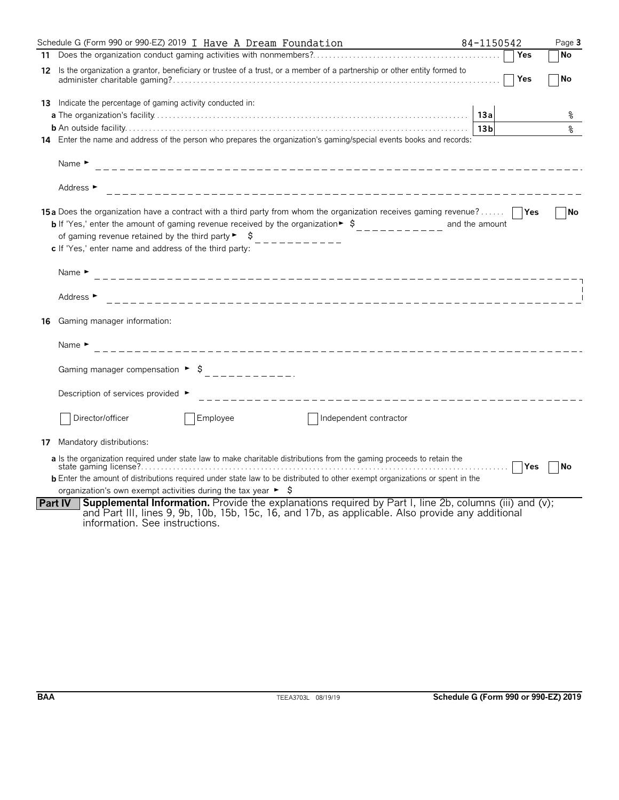|    | Schedule G (Form 990 or 990-EZ) 2019 I Have A Dream Foundation                                                                                                                                                                                                                                                                                                                         | 84-1150542      | Page 3    |
|----|----------------------------------------------------------------------------------------------------------------------------------------------------------------------------------------------------------------------------------------------------------------------------------------------------------------------------------------------------------------------------------------|-----------------|-----------|
|    |                                                                                                                                                                                                                                                                                                                                                                                        | Yes             | No        |
| 12 | Is the organization a grantor, beneficiary or trustee of a trust, or a member of a partnership or other entity formed to                                                                                                                                                                                                                                                               | Yes             | No        |
| 13 | Indicate the percentage of gaming activity conducted in:                                                                                                                                                                                                                                                                                                                               |                 |           |
|    |                                                                                                                                                                                                                                                                                                                                                                                        | 13a             | ଽ         |
|    |                                                                                                                                                                                                                                                                                                                                                                                        | 13 <sub>b</sub> | နွ        |
|    | 14 Enter the name and address of the person who prepares the organization's gaming/special events books and records:                                                                                                                                                                                                                                                                   |                 |           |
|    | Name $\blacktriangleright$                                                                                                                                                                                                                                                                                                                                                             |                 |           |
|    | Address ►                                                                                                                                                                                                                                                                                                                                                                              |                 |           |
|    | <b>15a</b> Does the organization have a contract with a third party from whom the organization receives gaming revenue?<br><b>b</b> If 'Yes,' enter the amount of gaming revenue received by the organization $\bullet$ $\circ$<br>of gaming revenue retained by the third party $\blacktriangleright$ $\blacktriangleright$<br>c If 'Yes,' enter name and address of the third party: | and the amount  | l No      |
|    | Name $\blacktriangleright$                                                                                                                                                                                                                                                                                                                                                             |                 |           |
|    | Address $\blacktriangleright$                                                                                                                                                                                                                                                                                                                                                          |                 |           |
| 16 | Gaming manager information:                                                                                                                                                                                                                                                                                                                                                            |                 |           |
|    | Name $\blacktriangleright$<br>_____________________________                                                                                                                                                                                                                                                                                                                            |                 |           |
|    |                                                                                                                                                                                                                                                                                                                                                                                        |                 |           |
|    | Description of services provided ►<br>____________________________                                                                                                                                                                                                                                                                                                                     |                 |           |
|    | Employee<br>Director/officer<br>Independent contractor                                                                                                                                                                                                                                                                                                                                 |                 |           |
|    | 17 Mandatory distributions:                                                                                                                                                                                                                                                                                                                                                            |                 |           |
|    | a Is the organization required under state law to make charitable distributions from the gaming proceeds to retain the<br><b>b</b> Enter the amount of distributions required under state law to be distributed to other exempt organizations or spent in the                                                                                                                          |                 | <b>No</b> |
|    | organization's own exempt activities during the tax year $\blacktriangleright$ $\blacklozenge$                                                                                                                                                                                                                                                                                         |                 |           |
|    | <b>Supplemental Information.</b> Provide the explanations required by Part I, line 2b, columns (iii) and (v);<br><b>Part IV</b><br>and Part III, lines 9, 9b, 10b, 15b, 15c, 16, and 17b, as applicable. Also provide any additional<br>information. See instructions.                                                                                                                 |                 |           |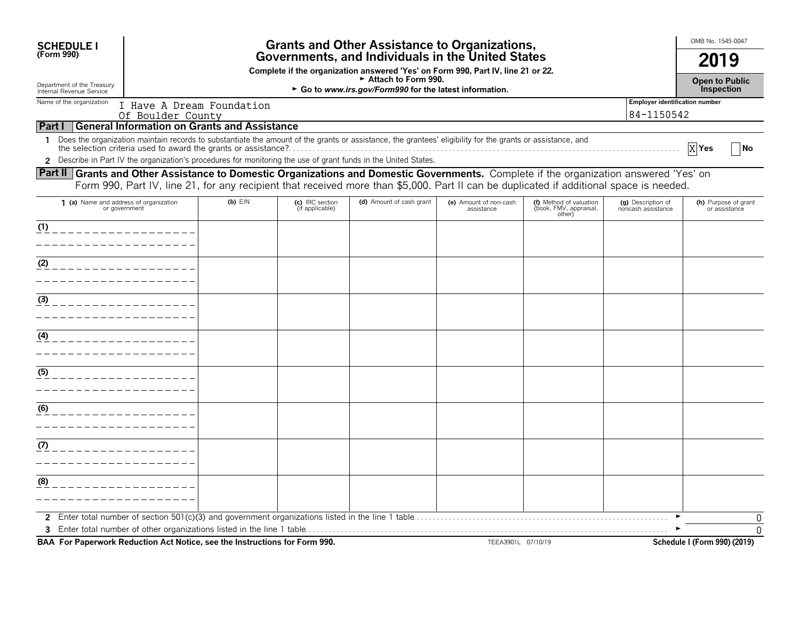| <b>SCHEDULE I</b>                                                                                                                                                                                                                                                                 |                                                                                                                                       |                                    | <b>Grants and Other Assistance to Organizations,</b> |                                      |                                                             |                                          | OMB No. 1545-0047<br>2019             |  |  |
|-----------------------------------------------------------------------------------------------------------------------------------------------------------------------------------------------------------------------------------------------------------------------------------|---------------------------------------------------------------------------------------------------------------------------------------|------------------------------------|------------------------------------------------------|--------------------------------------|-------------------------------------------------------------|------------------------------------------|---------------------------------------|--|--|
| (Form 990)                                                                                                                                                                                                                                                                        | Governments, and Individuals in the United States<br>Complete if the organization answered 'Yes' on Form 990, Part IV, line 21 or 22. |                                    |                                                      |                                      |                                                             |                                          |                                       |  |  |
| Attach to Form 990.<br>Department of the Treasury<br>Internal Revenue Service<br>► Go to www.irs.gov/Form990 for the latest information.                                                                                                                                          |                                                                                                                                       |                                    |                                                      |                                      |                                                             |                                          |                                       |  |  |
| Name of the organization                                                                                                                                                                                                                                                          |                                                                                                                                       |                                    |                                                      |                                      |                                                             | <b>Employer identification number</b>    | Inspection                            |  |  |
| Of Boulder County                                                                                                                                                                                                                                                                 | I Have A Dream Foundation                                                                                                             |                                    |                                                      |                                      |                                                             | 84-1150542                               |                                       |  |  |
| <b>General Information on Grants and Assistance</b><br>Part I                                                                                                                                                                                                                     |                                                                                                                                       |                                    |                                                      |                                      |                                                             |                                          |                                       |  |  |
| Does the organization maintain records to substantiate the amount of the grants or assistance, the grantees' eligibility for the grants or assistance, and<br>1                                                                                                                   |                                                                                                                                       |                                    |                                                      |                                      |                                                             |                                          | X Yes<br>1No                          |  |  |
| 2 Describe in Part IV the organization's procedures for monitoring the use of grant funds in the United States.                                                                                                                                                                   |                                                                                                                                       |                                    |                                                      |                                      |                                                             |                                          |                                       |  |  |
| Part II Grants and Other Assistance to Domestic Organizations and Domestic Governments. Complete if the organization answered 'Yes' on<br>Form 990, Part IV, line 21, for any recipient that received more than \$5,000. Part II can be duplicated if additional space is needed. |                                                                                                                                       |                                    |                                                      |                                      |                                                             |                                          |                                       |  |  |
| 1 (a) Name and address of organization<br>or government                                                                                                                                                                                                                           | $(b)$ EIN                                                                                                                             | (c) IRC section<br>(if applicable) | (d) Amount of cash grant                             | (e) Amount of non-cash<br>assistance | (f) Method of valuation<br>(book, FMV, appraisal,<br>other) | (g) Description of<br>noncash assistance | (h) Purpose of grant<br>or assistance |  |  |
| (1)                                                                                                                                                                                                                                                                               |                                                                                                                                       |                                    |                                                      |                                      |                                                             |                                          |                                       |  |  |
|                                                                                                                                                                                                                                                                                   |                                                                                                                                       |                                    |                                                      |                                      |                                                             |                                          |                                       |  |  |
| (2)                                                                                                                                                                                                                                                                               |                                                                                                                                       |                                    |                                                      |                                      |                                                             |                                          |                                       |  |  |
|                                                                                                                                                                                                                                                                                   |                                                                                                                                       |                                    |                                                      |                                      |                                                             |                                          |                                       |  |  |
|                                                                                                                                                                                                                                                                                   |                                                                                                                                       |                                    |                                                      |                                      |                                                             |                                          |                                       |  |  |
| (3)                                                                                                                                                                                                                                                                               |                                                                                                                                       |                                    |                                                      |                                      |                                                             |                                          |                                       |  |  |
|                                                                                                                                                                                                                                                                                   |                                                                                                                                       |                                    |                                                      |                                      |                                                             |                                          |                                       |  |  |
| (4)                                                                                                                                                                                                                                                                               |                                                                                                                                       |                                    |                                                      |                                      |                                                             |                                          |                                       |  |  |
|                                                                                                                                                                                                                                                                                   |                                                                                                                                       |                                    |                                                      |                                      |                                                             |                                          |                                       |  |  |
| (5)                                                                                                                                                                                                                                                                               |                                                                                                                                       |                                    |                                                      |                                      |                                                             |                                          |                                       |  |  |
|                                                                                                                                                                                                                                                                                   |                                                                                                                                       |                                    |                                                      |                                      |                                                             |                                          |                                       |  |  |
|                                                                                                                                                                                                                                                                                   |                                                                                                                                       |                                    |                                                      |                                      |                                                             |                                          |                                       |  |  |
| (6)                                                                                                                                                                                                                                                                               |                                                                                                                                       |                                    |                                                      |                                      |                                                             |                                          |                                       |  |  |
|                                                                                                                                                                                                                                                                                   |                                                                                                                                       |                                    |                                                      |                                      |                                                             |                                          |                                       |  |  |
| (7)                                                                                                                                                                                                                                                                               |                                                                                                                                       |                                    |                                                      |                                      |                                                             |                                          |                                       |  |  |
|                                                                                                                                                                                                                                                                                   |                                                                                                                                       |                                    |                                                      |                                      |                                                             |                                          |                                       |  |  |
| (8)                                                                                                                                                                                                                                                                               |                                                                                                                                       |                                    |                                                      |                                      |                                                             |                                          |                                       |  |  |
|                                                                                                                                                                                                                                                                                   |                                                                                                                                       |                                    |                                                      |                                      |                                                             |                                          |                                       |  |  |
| $\mathbf{2}$                                                                                                                                                                                                                                                                      |                                                                                                                                       |                                    |                                                      |                                      |                                                             |                                          | 0                                     |  |  |
|                                                                                                                                                                                                                                                                                   |                                                                                                                                       |                                    |                                                      |                                      |                                                             |                                          |                                       |  |  |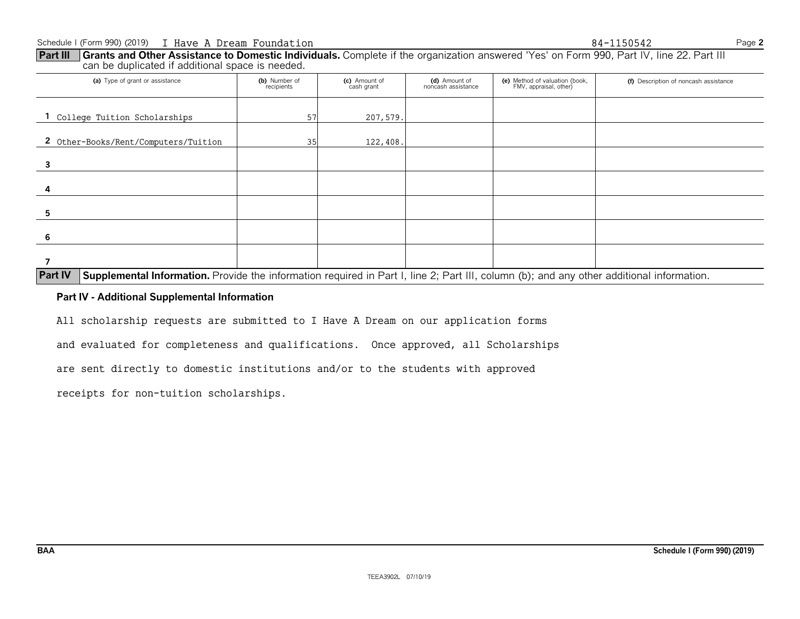can be duplicated if additional space is needed. (a) Type of grant or assistance **(b)** Number of **(b)** Number of **(c)** Amount of **(d)** Amount of **(e)** Method of valuation (book, **(f)** Description of noncash assistance **(b)** Number of **(c)** Amount of **(d)** Amount of **(d)** FMV, appraisal, other) **1** College Tuition Scholarships  $\begin{array}{ccc} 1 & 57 & 207,579. \end{array}$ 2 Other-Books/Rent/Computers/Tuition  $\vert$  35 122,408. **3 4 5 6 7**

**Part III** Grants and Other Assistance to Domestic Individuals. Complete if the organization answered 'Yes' on Form 990, Part IV, line 22. Part III

**Part IV** Supplemental Information. Provide the information required in Part I, line 2; Part III, column (b); and any other additional information.

#### **Part IV - Additional Supplemental Information**

All scholarship requests are submitted to I Have A Dream on our application forms

and evaluated for completeness and qualifications. Once approved, all Scholarships

are sent directly to domestic institutions and/or to the students with approved

receipts for non-tuition scholarships.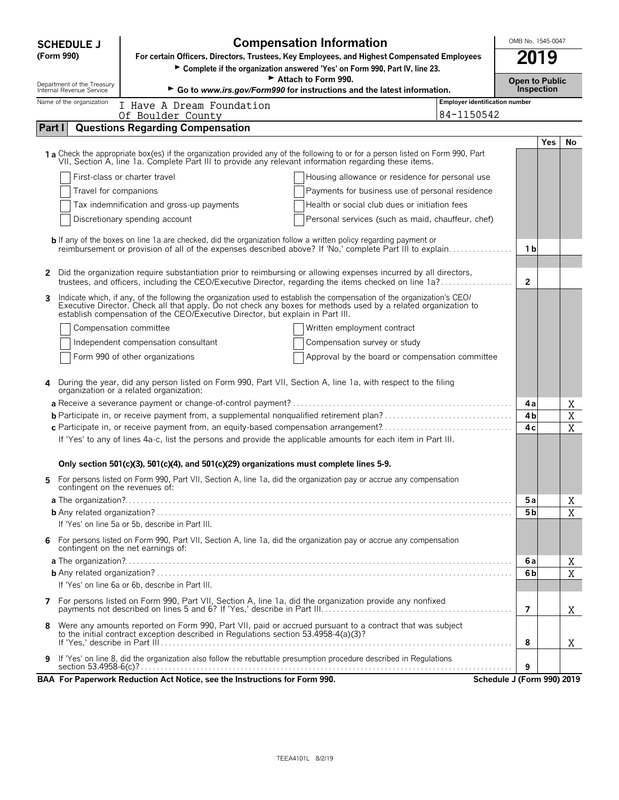| <b>SCHEDULE J</b>                                      | <b>Compensation Information</b><br>OMB No. 1545-0047                                                                                                                                                                                                                                                                        |                                                   |                                                     |                |            |             |  |
|--------------------------------------------------------|-----------------------------------------------------------------------------------------------------------------------------------------------------------------------------------------------------------------------------------------------------------------------------------------------------------------------------|---------------------------------------------------|-----------------------------------------------------|----------------|------------|-------------|--|
| (Form 990)                                             | 2019<br>For certain Officers, Directors, Trustees, Key Employees, and Highest Compensated Employees<br>Complete if the organization answered 'Yes' on Form 990, Part IV, line 23.                                                                                                                                           |                                                   |                                                     |                |            |             |  |
|                                                        | Attach to Form 990.<br><b>Open to Public</b>                                                                                                                                                                                                                                                                                |                                                   |                                                     |                |            |             |  |
| Department of the Treasury<br>Internal Revenue Service | Go to www.irs.gov/Form990 for instructions and the latest information.                                                                                                                                                                                                                                                      |                                                   |                                                     | Inspection     |            |             |  |
| Name of the organization                               | I Have A Dream Foundation<br>Of Boulder County                                                                                                                                                                                                                                                                              |                                                   | <b>Employer identification number</b><br>84-1150542 |                |            |             |  |
| Part I                                                 | <b>Questions Regarding Compensation</b>                                                                                                                                                                                                                                                                                     |                                                   |                                                     |                |            |             |  |
|                                                        |                                                                                                                                                                                                                                                                                                                             |                                                   |                                                     |                | <b>Yes</b> | No          |  |
|                                                        | 1 a Check the appropriate box(es) if the organization provided any of the following to or for a person listed on Form 990, Part<br>VII, Section A, line 1a. Complete Part III to provide any relevant information regarding these items.                                                                                    |                                                   |                                                     |                |            |             |  |
|                                                        | First-class or charter travel                                                                                                                                                                                                                                                                                               | Housing allowance or residence for personal use   |                                                     |                |            |             |  |
| Travel for companions                                  |                                                                                                                                                                                                                                                                                                                             | Payments for business use of personal residence   |                                                     |                |            |             |  |
|                                                        | Tax indemnification and gross-up payments                                                                                                                                                                                                                                                                                   | Health or social club dues or initiation fees     |                                                     |                |            |             |  |
|                                                        | Discretionary spending account                                                                                                                                                                                                                                                                                              | Personal services (such as maid, chauffeur, chef) |                                                     |                |            |             |  |
|                                                        | <b>b</b> If any of the boxes on line 1a are checked, did the organization follow a written policy regarding payment or<br>reimbursement or provision of all of the expenses described above? If 'No,' complete Part III to explain                                                                                          |                                                   |                                                     | 1 b            |            |             |  |
| $\mathbf{2}$                                           | Did the organization require substantiation prior to reimbursing or allowing expenses incurred by all directors,<br>trustees, and officers, including the CEO/Executive Director, regarding the items checked on line 1a?                                                                                                   |                                                   |                                                     | $\mathbf{2}$   |            |             |  |
| 3                                                      | Indicate which, if any, of the following the organization used to establish the compensation of the organization's CEO/<br>Executive Director. Check all that apply. Do not check any boxes for methods used by a related organization to<br>establish compensation of the CEO/Executive Director, but explain in Part III. |                                                   |                                                     |                |            |             |  |
|                                                        | Compensation committee                                                                                                                                                                                                                                                                                                      | Written employment contract                       |                                                     |                |            |             |  |
|                                                        | Independent compensation consultant                                                                                                                                                                                                                                                                                         | Compensation survey or study                      |                                                     |                |            |             |  |
|                                                        | Form 990 of other organizations                                                                                                                                                                                                                                                                                             | Approval by the board or compensation committee   |                                                     |                |            |             |  |
|                                                        | During the year, did any person listed on Form 990, Part VII, Section A, line 1a, with respect to the filing<br>organization or a related organization:                                                                                                                                                                     |                                                   |                                                     |                |            |             |  |
|                                                        |                                                                                                                                                                                                                                                                                                                             |                                                   |                                                     | 4 a            |            | Χ           |  |
|                                                        |                                                                                                                                                                                                                                                                                                                             |                                                   |                                                     | 4b             |            | $\mathbf X$ |  |
|                                                        | c Participate in, or receive payment from, an equity-based compensation arrangement?<br>If 'Yes' to any of lines 4a-c, list the persons and provide the applicable amounts for each item in Part III.                                                                                                                       |                                                   |                                                     | 4 c            |            | $\mathbf X$ |  |
|                                                        | Only section 501(c)(3), 501(c)(4), and 501(c)(29) organizations must complete lines 5-9.                                                                                                                                                                                                                                    |                                                   |                                                     |                |            |             |  |
| 5.<br>contingent on the revenues of:                   | For persons listed on Form 990, Part VII, Section A, line 1a, did the organization pay or accrue any compensation                                                                                                                                                                                                           |                                                   |                                                     |                |            |             |  |
|                                                        |                                                                                                                                                                                                                                                                                                                             |                                                   |                                                     | 5a             |            | Χ           |  |
|                                                        |                                                                                                                                                                                                                                                                                                                             |                                                   |                                                     | 5 <sub>b</sub> |            | X           |  |
|                                                        | If 'Yes' on line 5a or 5b, describe in Part III.                                                                                                                                                                                                                                                                            |                                                   |                                                     |                |            |             |  |
| 6.                                                     | For persons listed on Form 990, Part VII, Section A, line 1a, did the organization pay or accrue any compensation<br>contingent on the net earnings of:                                                                                                                                                                     |                                                   |                                                     |                |            |             |  |
|                                                        |                                                                                                                                                                                                                                                                                                                             |                                                   |                                                     | 6а             |            | Χ           |  |
|                                                        | If 'Yes' on line 6a or 6b, describe in Part III.                                                                                                                                                                                                                                                                            |                                                   |                                                     | 6b             |            | X           |  |
|                                                        |                                                                                                                                                                                                                                                                                                                             |                                                   |                                                     |                |            |             |  |
|                                                        | 7 For persons listed on Form 990, Part VII, Section A, line 1a, did the organization provide any nonfixed                                                                                                                                                                                                                   |                                                   |                                                     | 7              |            | X           |  |
| 8                                                      | Were any amounts reported on Form 990, Part VII, paid or accrued pursuant to a contract that was subject<br>to the initial contract exception described in Regulations section 53.4958-4(a)(3)?                                                                                                                             |                                                   |                                                     | 8              |            | Χ           |  |
| 9                                                      | If 'Yes' on line 8, did the organization also follow the rebuttable presumption procedure described in Regulations                                                                                                                                                                                                          |                                                   |                                                     | 9              |            |             |  |
|                                                        | BAA For Paperwork Reduction Act Notice, see the Instructions for Form 990.                                                                                                                                                                                                                                                  |                                                   | Schedule J (Form 990) 2019                          |                |            |             |  |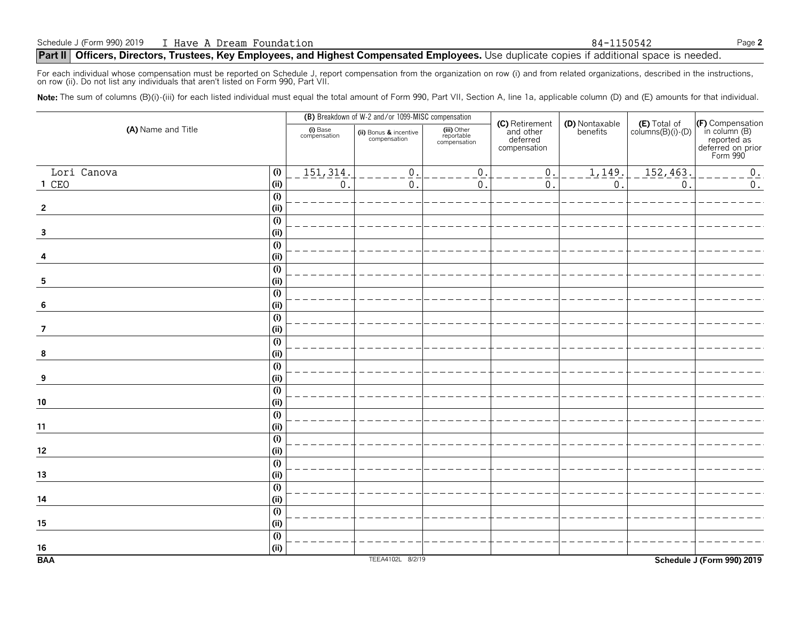For each individual whose compensation must be reported on Schedule J, report compensation from the organization on row (i) and from related organizations, described in the instructions, on row (ii). Do not list any individuals that aren't listed on Form 990, Part VII.

Note: The sum of columns (B)(i)-(iii) for each listed individual must equal the total amount of Form 990, Part VII, Section A, line 1a, applicable column (D) and (E) amounts for that individual.

|                         |                           |                          | (B) Breakdown of W-2 and/or 1099-MISC compensation |                                           |                                                         |                            |                                            |                                                                                   |
|-------------------------|---------------------------|--------------------------|----------------------------------------------------|-------------------------------------------|---------------------------------------------------------|----------------------------|--------------------------------------------|-----------------------------------------------------------------------------------|
| (A) Name and Title      |                           | (i) Base<br>compensation | (ii) Bonus & incentive<br>compensation             | (iii) Other<br>reportable<br>compensation | (C) Retirement<br>and other<br>deferred<br>compensation | (D) Nontaxable<br>benefits | $(E)$ Total of<br>columns $(B)(i)$ - $(D)$ | (F) Compensation<br>in column (B)<br>reported as<br>deferred on prior<br>Form 990 |
| Lori Canova             | (i)                       | 151, 314.                | $\mathsf 0$                                        | 0.                                        | $\mathbf{0}$                                            | 1,149.                     | 152, 463.                                  | 0.                                                                                |
| 1 CEO                   | (i)                       | $\boldsymbol{0}$         | $\mathbf 0$                                        | $\mathbf{0}$                              | $\mathbf{0}$                                            | $\mathsf{0}$ .             | $\mathbf 0$                                | $\overline{0}$ .                                                                  |
|                         | (i)                       |                          |                                                    |                                           |                                                         |                            |                                            |                                                                                   |
| $\overline{2}$          | (i)                       |                          |                                                    |                                           |                                                         |                            |                                            |                                                                                   |
|                         | (i)                       |                          |                                                    |                                           |                                                         |                            |                                            |                                                                                   |
| $\overline{\mathbf{3}}$ | (i)                       |                          |                                                    |                                           |                                                         |                            |                                            |                                                                                   |
|                         | (i)                       |                          |                                                    |                                           |                                                         |                            |                                            |                                                                                   |
| 4                       | (i)                       |                          |                                                    |                                           |                                                         |                            |                                            |                                                                                   |
|                         | $\overline{(\mathsf{i})}$ |                          |                                                    |                                           |                                                         |                            |                                            |                                                                                   |
| 5                       | (i)                       |                          |                                                    |                                           |                                                         |                            |                                            |                                                                                   |
|                         | $\overline{(\mathsf{i})}$ |                          |                                                    |                                           |                                                         |                            |                                            |                                                                                   |
| 6                       | (i)                       |                          |                                                    |                                           |                                                         |                            |                                            |                                                                                   |
|                         | (i)                       |                          |                                                    |                                           |                                                         |                            |                                            |                                                                                   |
| $\overline{7}$          | (i)                       |                          |                                                    |                                           |                                                         |                            |                                            |                                                                                   |
|                         | $\overline{(\mathsf{i})}$ |                          |                                                    |                                           |                                                         |                            |                                            |                                                                                   |
| 8                       | (i)                       |                          |                                                    |                                           |                                                         |                            |                                            |                                                                                   |
|                         | $\overline{(\mathsf{i})}$ |                          |                                                    |                                           |                                                         |                            |                                            |                                                                                   |
| 9                       | (i)                       |                          |                                                    |                                           |                                                         |                            |                                            |                                                                                   |
|                         | $\overline{(\mathsf{i})}$ |                          |                                                    |                                           |                                                         |                            |                                            |                                                                                   |
| ${\bf 10}$              | (i)                       |                          |                                                    |                                           |                                                         |                            |                                            |                                                                                   |
|                         | (i)                       |                          |                                                    |                                           |                                                         |                            |                                            |                                                                                   |
| 11                      | (i)                       |                          |                                                    |                                           |                                                         |                            |                                            |                                                                                   |
|                         | (i)                       |                          |                                                    |                                           |                                                         |                            |                                            |                                                                                   |
| $12\,$                  | (i)                       |                          |                                                    |                                           |                                                         |                            |                                            |                                                                                   |
|                         | $\overline{(\mathsf{i})}$ |                          |                                                    |                                           |                                                         |                            |                                            |                                                                                   |
| $\frac{13}{1}$          | (i)                       |                          |                                                    |                                           |                                                         |                            |                                            |                                                                                   |
|                         | (i)                       |                          |                                                    |                                           |                                                         |                            |                                            |                                                                                   |
| 14                      | (i)                       |                          |                                                    |                                           |                                                         |                            |                                            |                                                                                   |
|                         | (i)                       |                          |                                                    |                                           |                                                         |                            |                                            |                                                                                   |
| 15                      | (i)                       |                          |                                                    |                                           |                                                         |                            |                                            |                                                                                   |
|                         | (i)                       |                          |                                                    |                                           |                                                         |                            |                                            |                                                                                   |
| $16\,$                  | (i)                       |                          |                                                    |                                           |                                                         |                            |                                            |                                                                                   |
| <b>BAA</b>              |                           |                          | TEEA4102L 8/2/19                                   |                                           |                                                         |                            |                                            | Schedule J (Form 990) 2019                                                        |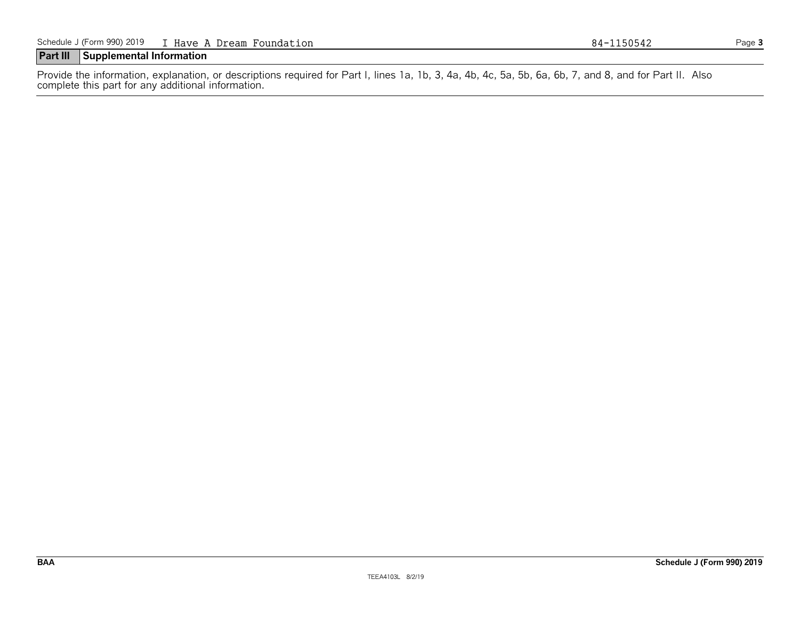## **Part III Supplemental Information**

Provide the information, explanation, or descriptions required for Part I, lines 1a, 1b, 3, 4a, 4b, 4c, 5a, 5b, 6a, 6b, 7, and 8, and for Part II. Also complete this part for any additional information.